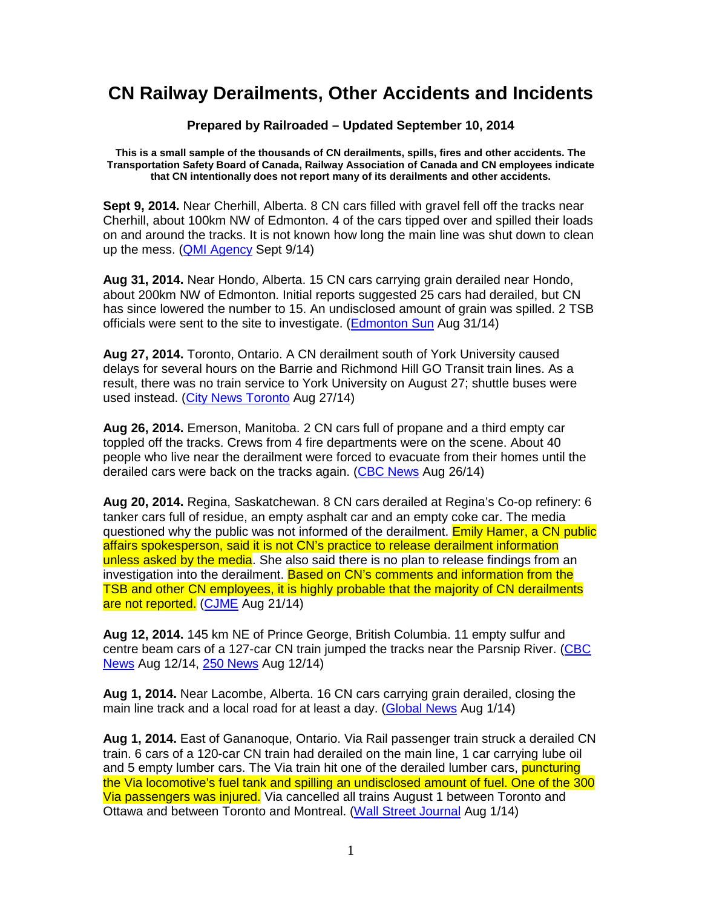## **CN Railway Derailments, Other Accidents and Incidents**

## **Prepared by Railroaded – Updated September 10, 2014**

**This is a small sample of the thousands of CN derailments, spills, fires and other accidents. The Transportation Safety Board of Canada, Railway Association of Canada and CN employees indicate that CN intentionally does not report many of its derailments and other accidents.** 

**Sept 9, 2014.** Near Cherhill, Alberta. 8 CN cars filled with gravel fell off the tracks near Cherhill, about 100km NW of Edmonton. 4 of the cars tipped over and spilled their loads on and around the tracks. It is not known how long the main line was shut down to clean up the mess. (**QMI Agency** Sept 9/14)

**Aug 31, 2014.** Near Hondo, Alberta. 15 CN cars carrying grain derailed near Hondo, about 200km NW of Edmonton. Initial reports suggested 25 cars had derailed, but CN has since lowered the number to 15. An undisclosed amount of grain was spilled. 2 TSB officials were sent to the site to investigate. (Edmonton Sun Aug 31/14)

**Aug 27, 2014.** Toronto, Ontario. A CN derailment south of York University caused delays for several hours on the Barrie and Richmond Hill GO Transit train lines. As a result, there was no train service to York University on August 27; shuttle buses were used instead. (City News Toronto Aug 27/14)

**Aug 26, 2014.** Emerson, Manitoba. 2 CN cars full of propane and a third empty car toppled off the tracks. Crews from 4 fire departments were on the scene. About 40 people who live near the derailment were forced to evacuate from their homes until the derailed cars were back on the tracks again. (CBC News Aug 26/14)

**Aug 20, 2014.** Regina, Saskatchewan. 8 CN cars derailed at Regina's Co-op refinery: 6 tanker cars full of residue, an empty asphalt car and an empty coke car. The media questioned why the public was not informed of the derailment. Emily Hamer, a CN public affairs spokesperson, said it is not CN's practice to release derailment information unless asked by the media. She also said there is no plan to release findings from an investigation into the derailment. Based on CN's comments and information from the TSB and other CN employees, it is highly probable that the majority of CN derailments are not reported. (CJME Aug 21/14)

**Aug 12, 2014.** 145 km NE of Prince George, British Columbia. 11 empty sulfur and centre beam cars of a 127-car CN train jumped the tracks near the Parsnip River. (CBC News Aug 12/14, 250 News Aug 12/14)

**Aug 1, 2014.** Near Lacombe, Alberta. 16 CN cars carrying grain derailed, closing the main line track and a local road for at least a day. (Global News Aug 1/14)

**Aug 1, 2014.** East of Gananoque, Ontario. Via Rail passenger train struck a derailed CN train. 6 cars of a 120-car CN train had derailed on the main line, 1 car carrying lube oil and 5 empty lumber cars. The Via train hit one of the derailed lumber cars, puncturing the Via locomotive's fuel tank and spilling an undisclosed amount of fuel. One of the 300 Via passengers was injured. Via cancelled all trains August 1 between Toronto and Ottawa and between Toronto and Montreal. (Wall Street Journal Aug 1/14)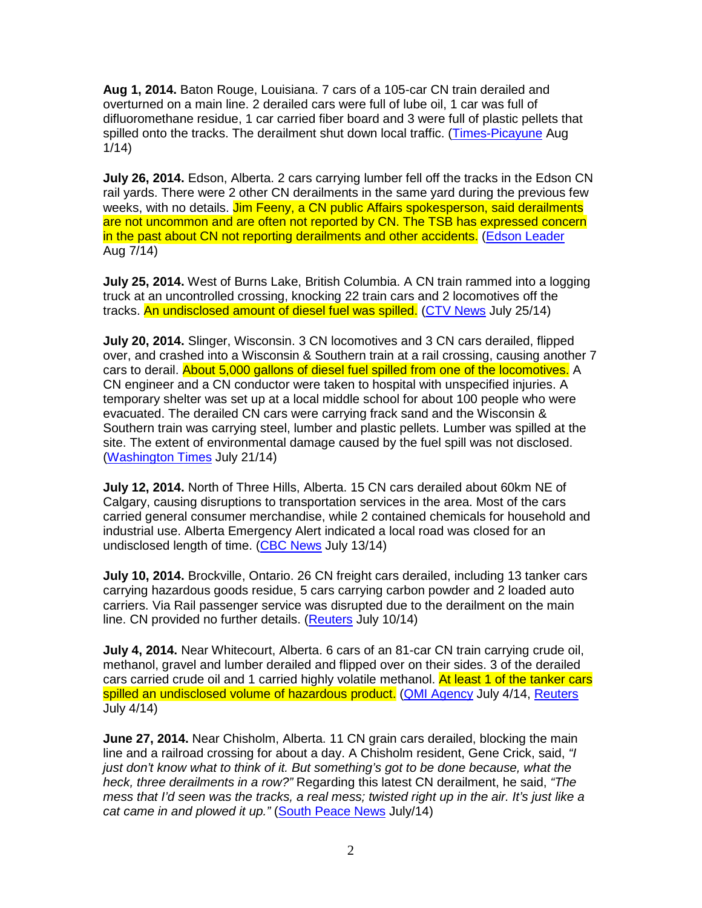**Aug 1, 2014.** Baton Rouge, Louisiana. 7 cars of a 105-car CN train derailed and overturned on a main line. 2 derailed cars were full of lube oil, 1 car was full of difluoromethane residue, 1 car carried fiber board and 3 were full of plastic pellets that spilled onto the tracks. The derailment shut down local traffic. (Times-Picayune Aug 1/14)

**July 26, 2014.** Edson, Alberta. 2 cars carrying lumber fell off the tracks in the Edson CN rail yards. There were 2 other CN derailments in the same yard during the previous few weeks, with no details. Jim Feeny, a CN public Affairs spokesperson, said derailments are not uncommon and are often not reported by CN. The TSB has expressed concern in the past about CN not reporting derailments and other accidents. (Edson Leader Aug 7/14)

**July 25, 2014.** West of Burns Lake, British Columbia. A CN train rammed into a logging truck at an uncontrolled crossing, knocking 22 train cars and 2 locomotives off the tracks. An undisclosed amount of diesel fuel was spilled. (CTV News July 25/14)

**July 20, 2014.** Slinger, Wisconsin. 3 CN locomotives and 3 CN cars derailed, flipped over, and crashed into a Wisconsin & Southern train at a rail crossing, causing another 7 cars to derail. About 5,000 gallons of diesel fuel spilled from one of the locomotives. A CN engineer and a CN conductor were taken to hospital with unspecified injuries. A temporary shelter was set up at a local middle school for about 100 people who were evacuated. The derailed CN cars were carrying frack sand and the Wisconsin & Southern train was carrying steel, lumber and plastic pellets. Lumber was spilled at the site. The extent of environmental damage caused by the fuel spill was not disclosed. (Washington Times July 21/14)

**July 12, 2014.** North of Three Hills, Alberta. 15 CN cars derailed about 60km NE of Calgary, causing disruptions to transportation services in the area. Most of the cars carried general consumer merchandise, while 2 contained chemicals for household and industrial use. Alberta Emergency Alert indicated a local road was closed for an undisclosed length of time. (CBC News July 13/14)

**July 10, 2014.** Brockville, Ontario. 26 CN freight cars derailed, including 13 tanker cars carrying hazardous goods residue, 5 cars carrying carbon powder and 2 loaded auto carriers. Via Rail passenger service was disrupted due to the derailment on the main line. CN provided no further details. (Reuters July 10/14)

**July 4, 2014.** Near Whitecourt, Alberta. 6 cars of an 81-car CN train carrying crude oil, methanol, gravel and lumber derailed and flipped over on their sides. 3 of the derailed cars carried crude oil and 1 carried highly volatile methanol. At least 1 of the tanker cars spilled an undisclosed volume of hazardous product. (QMI Agency July 4/14, Reuters July 4/14)

**June 27, 2014.** Near Chisholm, Alberta. 11 CN grain cars derailed, blocking the main line and a railroad crossing for about a day. A Chisholm resident, Gene Crick, said, "I just don't know what to think of it. But something's got to be done because, what the heck, three derailments in a row?" Regarding this latest CN derailment, he said, "The mess that I'd seen was the tracks, a real mess; twisted right up in the air. It's just like a cat came in and plowed it up." (South Peace News July/14)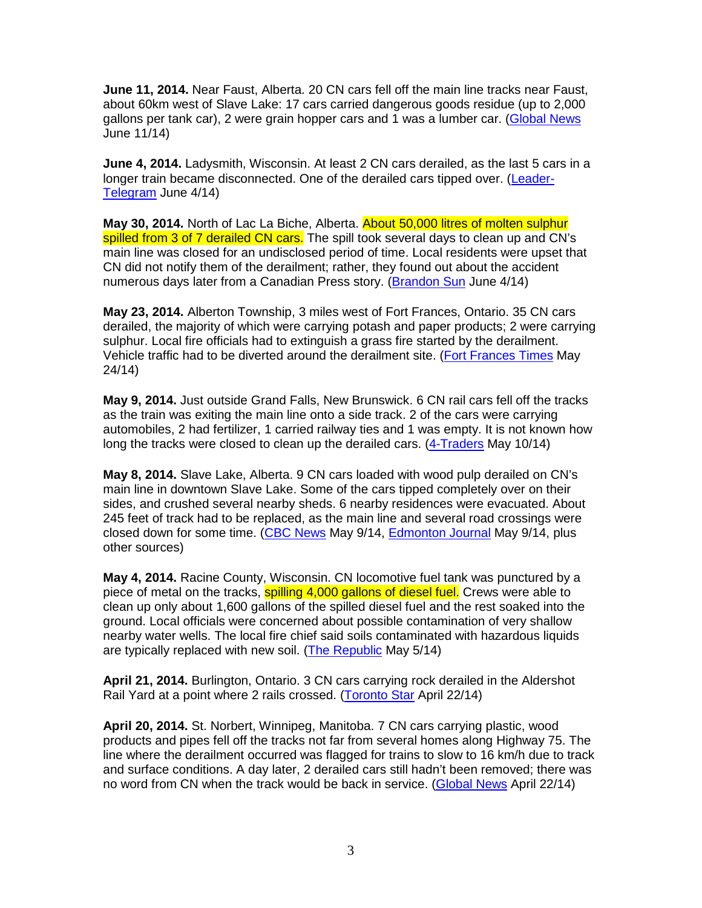**June 11, 2014.** Near Faust, Alberta. 20 CN cars fell off the main line tracks near Faust, about 60km west of Slave Lake: 17 cars carried dangerous goods residue (up to 2,000 gallons per tank car), 2 were grain hopper cars and 1 was a lumber car. (Global News June 11/14)

**June 4, 2014.** Ladysmith, Wisconsin. At least 2 CN cars derailed, as the last 5 cars in a longer train became disconnected. One of the derailed cars tipped over. (Leader-Telegram June 4/14)

**May 30, 2014.** North of Lac La Biche, Alberta. About 50,000 litres of molten sulphur spilled from 3 of 7 derailed CN cars. The spill took several days to clean up and CN's main line was closed for an undisclosed period of time. Local residents were upset that CN did not notify them of the derailment; rather, they found out about the accident numerous days later from a Canadian Press story. (Brandon Sun June 4/14)

**May 23, 2014.** Alberton Township, 3 miles west of Fort Frances, Ontario. 35 CN cars derailed, the majority of which were carrying potash and paper products; 2 were carrying sulphur. Local fire officials had to extinguish a grass fire started by the derailment. Vehicle traffic had to be diverted around the derailment site. (Fort Frances Times May 24/14)

**May 9, 2014.** Just outside Grand Falls, New Brunswick. 6 CN rail cars fell off the tracks as the train was exiting the main line onto a side track. 2 of the cars were carrying automobiles, 2 had fertilizer, 1 carried railway ties and 1 was empty. It is not known how long the tracks were closed to clean up the derailed cars. (4-Traders May 10/14)

**May 8, 2014.** Slave Lake, Alberta. 9 CN cars loaded with wood pulp derailed on CN's main line in downtown Slave Lake. Some of the cars tipped completely over on their sides, and crushed several nearby sheds. 6 nearby residences were evacuated. About 245 feet of track had to be replaced, as the main line and several road crossings were closed down for some time. (CBC News May 9/14, Edmonton Journal May 9/14, plus other sources)

**May 4, 2014.** Racine County, Wisconsin. CN locomotive fuel tank was punctured by a piece of metal on the tracks, spilling 4,000 gallons of diesel fuel. Crews were able to clean up only about 1,600 gallons of the spilled diesel fuel and the rest soaked into the ground. Local officials were concerned about possible contamination of very shallow nearby water wells. The local fire chief said soils contaminated with hazardous liquids are typically replaced with new soil. (The Republic May 5/14)

**April 21, 2014.** Burlington, Ontario. 3 CN cars carrying rock derailed in the Aldershot Rail Yard at a point where 2 rails crossed. (Toronto Star April 22/14)

**April 20, 2014.** St. Norbert, Winnipeg, Manitoba. 7 CN cars carrying plastic, wood products and pipes fell off the tracks not far from several homes along Highway 75. The line where the derailment occurred was flagged for trains to slow to 16 km/h due to track and surface conditions. A day later, 2 derailed cars still hadn't been removed; there was no word from CN when the track would be back in service. (Global News April 22/14)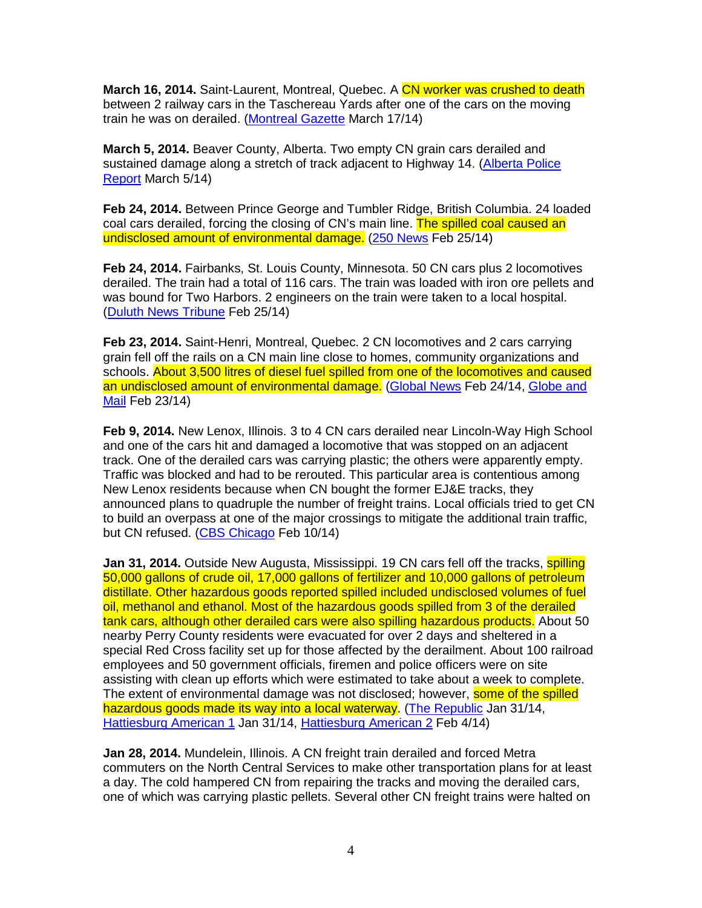**March 16, 2014.** Saint-Laurent, Montreal, Quebec. A CN worker was crushed to death between 2 railway cars in the Taschereau Yards after one of the cars on the moving train he was on derailed. (Montreal Gazette March 17/14)

**March 5, 2014.** Beaver County, Alberta. Two empty CN grain cars derailed and sustained damage along a stretch of track adjacent to Highway 14. (Alberta Police Report March 5/14)

**Feb 24, 2014.** Between Prince George and Tumbler Ridge, British Columbia. 24 loaded coal cars derailed, forcing the closing of CN's main line. The spilled coal caused an undisclosed amount of environmental damage. (250 News Feb 25/14)

**Feb 24, 2014.** Fairbanks, St. Louis County, Minnesota. 50 CN cars plus 2 locomotives derailed. The train had a total of 116 cars. The train was loaded with iron ore pellets and was bound for Two Harbors. 2 engineers on the train were taken to a local hospital. (Duluth News Tribune Feb 25/14)

**Feb 23, 2014.** Saint-Henri, Montreal, Quebec. 2 CN locomotives and 2 cars carrying grain fell off the rails on a CN main line close to homes, community organizations and schools. About 3,500 litres of diesel fuel spilled from one of the locomotives and caused an undisclosed amount of environmental damage. (Global News Feb 24/14, Globe and Mail Feb 23/14)

**Feb 9, 2014.** New Lenox, Illinois. 3 to 4 CN cars derailed near Lincoln-Way High School and one of the cars hit and damaged a locomotive that was stopped on an adjacent track. One of the derailed cars was carrying plastic; the others were apparently empty. Traffic was blocked and had to be rerouted. This particular area is contentious among New Lenox residents because when CN bought the former EJ&E tracks, they announced plans to quadruple the number of freight trains. Local officials tried to get CN to build an overpass at one of the major crossings to mitigate the additional train traffic, but CN refused. (CBS Chicago Feb 10/14)

**Jan 31, 2014.** Outside New Augusta, Mississippi, 19 CN cars fell off the tracks, **spilling** 50,000 gallons of crude oil, 17,000 gallons of fertilizer and 10,000 gallons of petroleum distillate. Other hazardous goods reported spilled included undisclosed volumes of fuel oil, methanol and ethanol. Most of the hazardous goods spilled from 3 of the derailed tank cars, although other derailed cars were also spilling hazardous products. About 50 nearby Perry County residents were evacuated for over 2 days and sheltered in a special Red Cross facility set up for those affected by the derailment. About 100 railroad employees and 50 government officials, firemen and police officers were on site assisting with clean up efforts which were estimated to take about a week to complete. The extent of environmental damage was not disclosed; however, some of the spilled hazardous goods made its way into a local waterway. (The Republic Jan 31/14, Hattiesburg American 1 Jan 31/14, Hattiesburg American 2 Feb 4/14)

**Jan 28, 2014.** Mundelein, Illinois. A CN freight train derailed and forced Metra commuters on the North Central Services to make other transportation plans for at least a day. The cold hampered CN from repairing the tracks and moving the derailed cars, one of which was carrying plastic pellets. Several other CN freight trains were halted on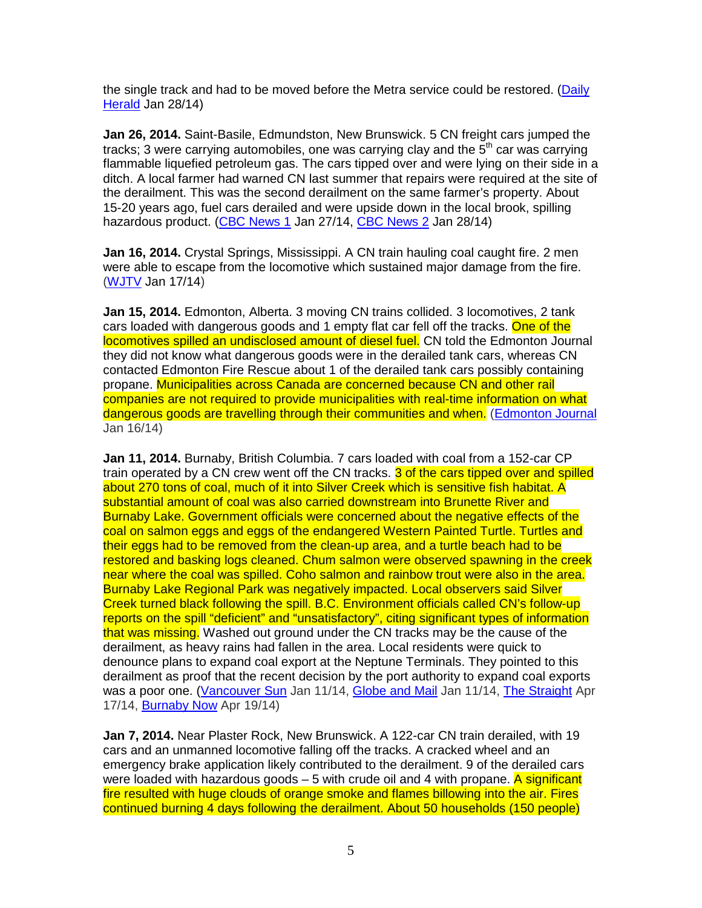the single track and had to be moved before the Metra service could be restored. (Daily Herald Jan 28/14)

**Jan 26, 2014.** Saint-Basile, Edmundston, New Brunswick. 5 CN freight cars jumped the tracks; 3 were carrying automobiles, one was carrying clay and the  $5<sup>th</sup>$  car was carrying flammable liquefied petroleum gas. The cars tipped over and were lying on their side in a ditch. A local farmer had warned CN last summer that repairs were required at the site of the derailment. This was the second derailment on the same farmer's property. About 15-20 years ago, fuel cars derailed and were upside down in the local brook, spilling hazardous product. (CBC News 1 Jan 27/14, CBC News 2 Jan 28/14)

**Jan 16, 2014.** Crystal Springs, Mississippi. A CN train hauling coal caught fire. 2 men were able to escape from the locomotive which sustained major damage from the fire. (WJTV Jan 17/14)

**Jan 15, 2014.** Edmonton, Alberta. 3 moving CN trains collided. 3 locomotives, 2 tank cars loaded with dangerous goods and 1 empty flat car fell off the tracks. One of the locomotives spilled an undisclosed amount of diesel fuel. CN told the Edmonton Journal they did not know what dangerous goods were in the derailed tank cars, whereas CN contacted Edmonton Fire Rescue about 1 of the derailed tank cars possibly containing propane. Municipalities across Canada are concerned because CN and other rail companies are not required to provide municipalities with real-time information on what dangerous goods are travelling through their communities and when. (Edmonton Journal Jan 16/14)

**Jan 11, 2014.** Burnaby, British Columbia. 7 cars loaded with coal from a 152-car CP train operated by a CN crew went off the CN tracks. 3 of the cars tipped over and spilled about 270 tons of coal, much of it into Silver Creek which is sensitive fish habitat. A substantial amount of coal was also carried downstream into Brunette River and Burnaby Lake. Government officials were concerned about the negative effects of the coal on salmon eggs and eggs of the endangered Western Painted Turtle. Turtles and their eggs had to be removed from the clean-up area, and a turtle beach had to be restored and basking logs cleaned. Chum salmon were observed spawning in the creek near where the coal was spilled. Coho salmon and rainbow trout were also in the area. Burnaby Lake Regional Park was negatively impacted. Local observers said Silver Creek turned black following the spill. B.C. Environment officials called CN's follow-up reports on the spill "deficient" and "unsatisfactory", citing significant types of information that was missing. Washed out ground under the CN tracks may be the cause of the derailment, as heavy rains had fallen in the area. Local residents were quick to denounce plans to expand coal export at the Neptune Terminals. They pointed to this derailment as proof that the recent decision by the port authority to expand coal exports was a poor one. (Vancouver Sun Jan 11/14, Globe and Mail Jan 11/14, The Straight Apr 17/14, Burnaby Now Apr 19/14)

**Jan 7, 2014.** Near Plaster Rock, New Brunswick. A 122-car CN train derailed, with 19 cars and an unmanned locomotive falling off the tracks. A cracked wheel and an emergency brake application likely contributed to the derailment. 9 of the derailed cars were loaded with hazardous goods  $-5$  with crude oil and 4 with propane. A significant fire resulted with huge clouds of orange smoke and flames billowing into the air. Fires continued burning 4 days following the derailment. About 50 households (150 people)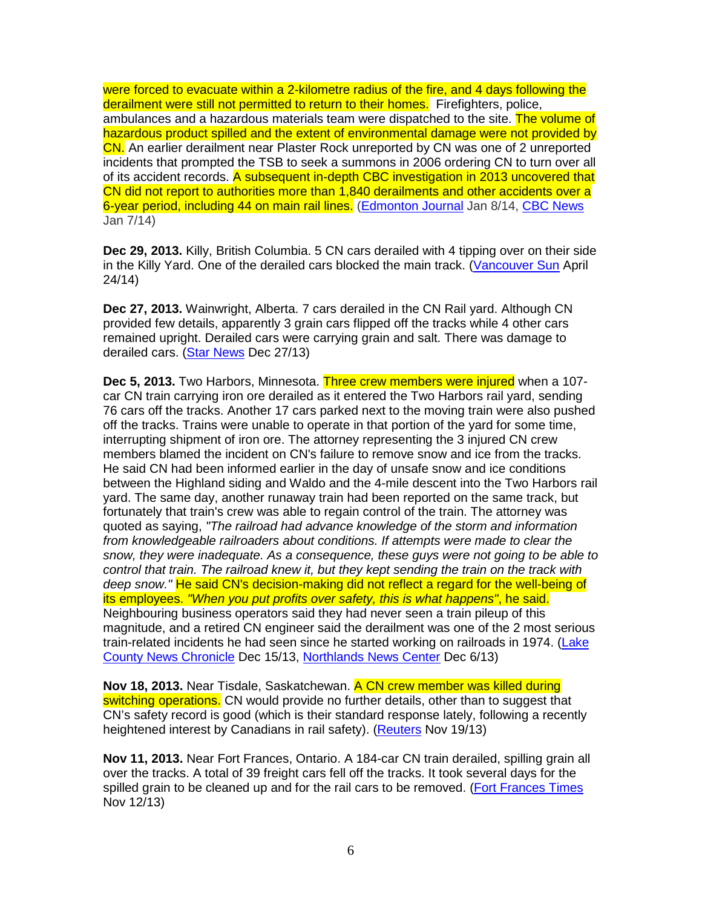were forced to evacuate within a 2-kilometre radius of the fire, and 4 days following the derailment were still not permitted to return to their homes. Firefighters, police, ambulances and a hazardous materials team were dispatched to the site. The volume of hazardous product spilled and the extent of environmental damage were not provided by CN. An earlier derailment near Plaster Rock unreported by CN was one of 2 unreported incidents that prompted the TSB to seek a summons in 2006 ordering CN to turn over all of its accident records. A subsequent in-depth CBC investigation in 2013 uncovered that CN did not report to authorities more than 1,840 derailments and other accidents over a 6-year period, including 44 on main rail lines. (Edmonton Journal Jan 8/14, CBC News Jan 7/14)

**Dec 29, 2013.** Killy, British Columbia. 5 CN cars derailed with 4 tipping over on their side in the Killy Yard. One of the derailed cars blocked the main track. (Vancouver Sun April 24/14)

**Dec 27, 2013.** Wainwright, Alberta. 7 cars derailed in the CN Rail yard. Although CN provided few details, apparently 3 grain cars flipped off the tracks while 4 other cars remained upright. Derailed cars were carrying grain and salt. There was damage to derailed cars. (Star News Dec 27/13)

**Dec 5, 2013.** Two Harbors, Minnesota. Three crew members were injured when a 107 car CN train carrying iron ore derailed as it entered the Two Harbors rail yard, sending 76 cars off the tracks. Another 17 cars parked next to the moving train were also pushed off the tracks. Trains were unable to operate in that portion of the yard for some time, interrupting shipment of iron ore. The attorney representing the 3 injured CN crew members blamed the incident on CN's failure to remove snow and ice from the tracks. He said CN had been informed earlier in the day of unsafe snow and ice conditions between the Highland siding and Waldo and the 4-mile descent into the Two Harbors rail yard. The same day, another runaway train had been reported on the same track, but fortunately that train's crew was able to regain control of the train. The attorney was quoted as saying, "The railroad had advance knowledge of the storm and information from knowledgeable railroaders about conditions. If attempts were made to clear the snow, they were inadequate. As a consequence, these guys were not going to be able to control that train. The railroad knew it, but they kept sending the train on the track with deep snow." He said CN's decision-making did not reflect a regard for the well-being of its employees. "When you put profits over safety, this is what happens", he said. Neighbouring business operators said they had never seen a train pileup of this magnitude, and a retired CN engineer said the derailment was one of the 2 most serious train-related incidents he had seen since he started working on railroads in 1974. (Lake County News Chronicle Dec 15/13, Northlands News Center Dec 6/13)

**Nov 18, 2013.** Near Tisdale, Saskatchewan. A CN crew member was killed during switching operations. CN would provide no further details, other than to suggest that CN's safety record is good (which is their standard response lately, following a recently heightened interest by Canadians in rail safety). (Reuters Nov 19/13)

**Nov 11, 2013.** Near Fort Frances, Ontario. A 184-car CN train derailed, spilling grain all over the tracks. A total of 39 freight cars fell off the tracks. It took several days for the spilled grain to be cleaned up and for the rail cars to be removed. (Fort Frances Times Nov 12/13)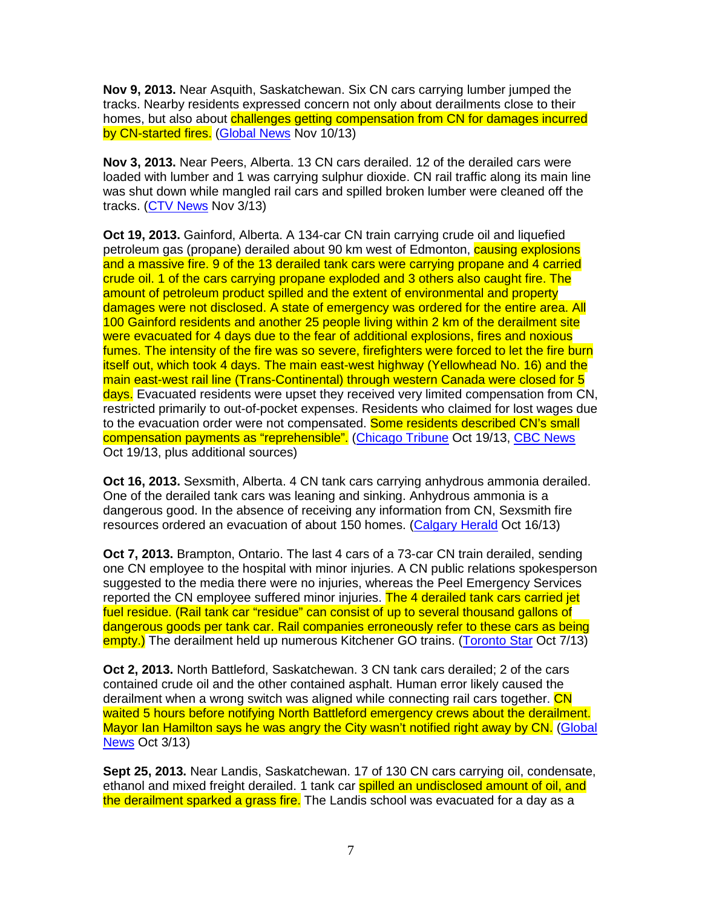**Nov 9, 2013.** Near Asquith, Saskatchewan. Six CN cars carrying lumber jumped the tracks. Nearby residents expressed concern not only about derailments close to their homes, but also about challenges getting compensation from CN for damages incurred by CN-started fires. (Global News Nov 10/13)

**Nov 3, 2013.** Near Peers, Alberta. 13 CN cars derailed. 12 of the derailed cars were loaded with lumber and 1 was carrying sulphur dioxide. CN rail traffic along its main line was shut down while mangled rail cars and spilled broken lumber were cleaned off the tracks. (CTV News Nov 3/13)

**Oct 19, 2013.** Gainford, Alberta. A 134-car CN train carrying crude oil and liquefied petroleum gas (propane) derailed about 90 km west of Edmonton, causing explosions and a massive fire. 9 of the 13 derailed tank cars were carrying propane and 4 carried crude oil. 1 of the cars carrying propane exploded and 3 others also caught fire. The amount of petroleum product spilled and the extent of environmental and property damages were not disclosed. A state of emergency was ordered for the entire area. All 100 Gainford residents and another 25 people living within 2 km of the derailment site were evacuated for 4 days due to the fear of additional explosions, fires and noxious fumes. The intensity of the fire was so severe, firefighters were forced to let the fire burn itself out, which took 4 days. The main east-west highway (Yellowhead No. 16) and the main east-west rail line (Trans-Continental) through western Canada were closed for 5 days. Evacuated residents were upset they received very limited compensation from CN. restricted primarily to out-of-pocket expenses. Residents who claimed for lost wages due to the evacuation order were not compensated. Some residents described CN's small compensation payments as "reprehensible". (Chicago Tribune Oct 19/13, CBC News Oct 19/13, plus additional sources)

**Oct 16, 2013.** Sexsmith, Alberta. 4 CN tank cars carrying anhydrous ammonia derailed. One of the derailed tank cars was leaning and sinking. Anhydrous ammonia is a dangerous good. In the absence of receiving any information from CN, Sexsmith fire resources ordered an evacuation of about 150 homes. (Calgary Herald Oct 16/13)

**Oct 7, 2013.** Brampton, Ontario. The last 4 cars of a 73-car CN train derailed, sending one CN employee to the hospital with minor injuries. A CN public relations spokesperson suggested to the media there were no injuries, whereas the Peel Emergency Services reported the CN employee suffered minor injuries. The 4 derailed tank cars carried jet fuel residue. (Rail tank car "residue" can consist of up to several thousand gallons of dangerous goods per tank car. Rail companies erroneously refer to these cars as being empty.) The derailment held up numerous Kitchener GO trains. (Toronto Star Oct 7/13)

**Oct 2, 2013.** North Battleford, Saskatchewan. 3 CN tank cars derailed; 2 of the cars contained crude oil and the other contained asphalt. Human error likely caused the derailment when a wrong switch was aligned while connecting rail cars together. CN waited 5 hours before notifying North Battleford emergency crews about the derailment. Mayor Ian Hamilton says he was angry the City wasn't notified right away by CN. (Global News Oct 3/13)

**Sept 25, 2013.** Near Landis, Saskatchewan. 17 of 130 CN cars carrying oil, condensate, ethanol and mixed freight derailed. 1 tank car spilled an undisclosed amount of oil, and the derailment sparked a grass fire. The Landis school was evacuated for a dav as a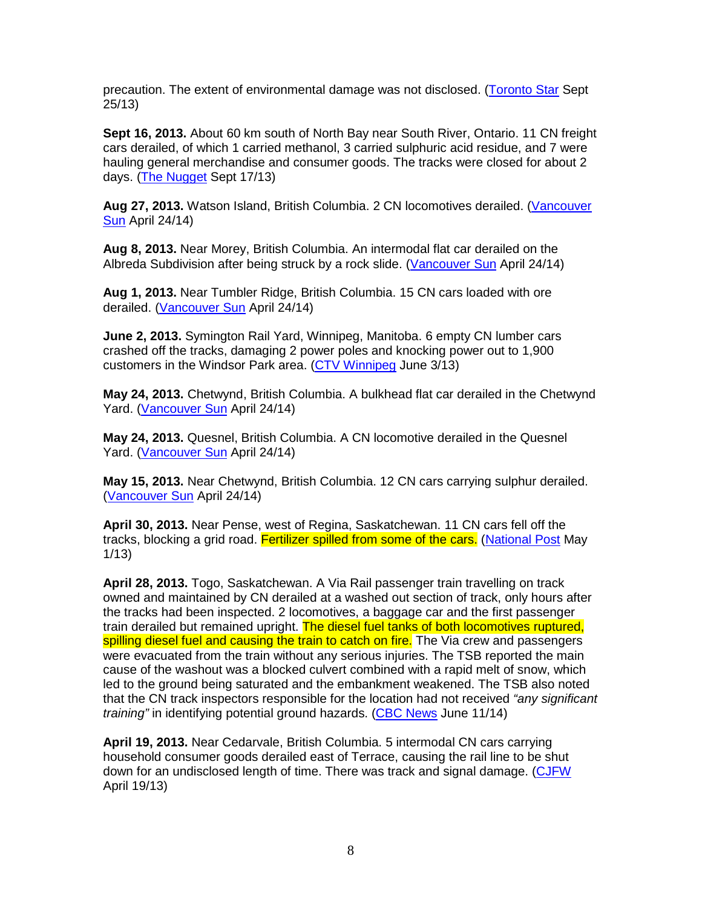precaution. The extent of environmental damage was not disclosed. (Toronto Star Sept 25/13)

**Sept 16, 2013.** About 60 km south of North Bay near South River, Ontario. 11 CN freight cars derailed, of which 1 carried methanol, 3 carried sulphuric acid residue, and 7 were hauling general merchandise and consumer goods. The tracks were closed for about 2 days. (The Nugget Sept 17/13)

**Aug 27, 2013.** Watson Island, British Columbia. 2 CN locomotives derailed. (Vancouver Sun April 24/14)

**Aug 8, 2013.** Near Morey, British Columbia. An intermodal flat car derailed on the Albreda Subdivision after being struck by a rock slide. (Vancouver Sun April 24/14)

**Aug 1, 2013.** Near Tumbler Ridge, British Columbia. 15 CN cars loaded with ore derailed. (Vancouver Sun April 24/14)

**June 2, 2013.** Symington Rail Yard, Winnipeg, Manitoba. 6 empty CN lumber cars crashed off the tracks, damaging 2 power poles and knocking power out to 1,900 customers in the Windsor Park area. (CTV Winnipeg June 3/13)

**May 24, 2013.** Chetwynd, British Columbia. A bulkhead flat car derailed in the Chetwynd Yard. (Vancouver Sun April 24/14)

**May 24, 2013.** Quesnel, British Columbia. A CN locomotive derailed in the Quesnel Yard. (Vancouver Sun April 24/14)

**May 15, 2013.** Near Chetwynd, British Columbia. 12 CN cars carrying sulphur derailed. (Vancouver Sun April 24/14)

**April 30, 2013.** Near Pense, west of Regina, Saskatchewan. 11 CN cars fell off the tracks, blocking a grid road. Fertilizer spilled from some of the cars. (National Post May 1/13)

**April 28, 2013.** Togo, Saskatchewan. A Via Rail passenger train travelling on track owned and maintained by CN derailed at a washed out section of track, only hours after the tracks had been inspected. 2 locomotives, a baggage car and the first passenger train derailed but remained upright. The diesel fuel tanks of both locomotives ruptured, spilling diesel fuel and causing the train to catch on fire. The Via crew and passengers were evacuated from the train without any serious injuries. The TSB reported the main cause of the washout was a blocked culvert combined with a rapid melt of snow, which led to the ground being saturated and the embankment weakened. The TSB also noted that the CN track inspectors responsible for the location had not received "any significant" training" in identifying potential ground hazards. (CBC News June 11/14)

**April 19, 2013.** Near Cedarvale, British Columbia. 5 intermodal CN cars carrying household consumer goods derailed east of Terrace, causing the rail line to be shut down for an undisclosed length of time. There was track and signal damage. (CJFW April 19/13)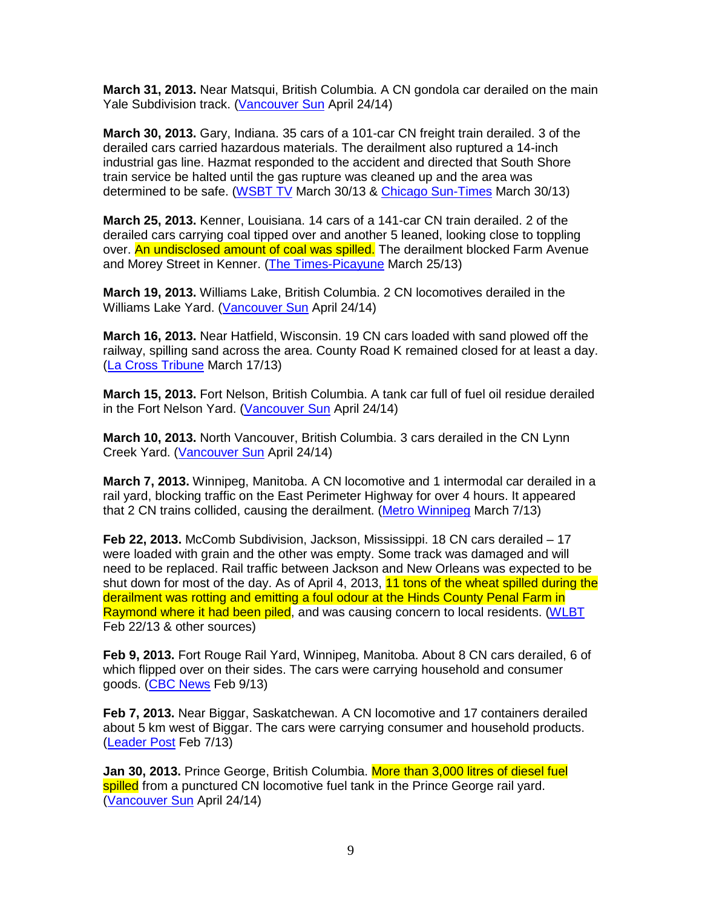**March 31, 2013.** Near Matsqui, British Columbia. A CN gondola car derailed on the main Yale Subdivision track. (Vancouver Sun April 24/14)

**March 30, 2013.** Gary, Indiana. 35 cars of a 101-car CN freight train derailed. 3 of the derailed cars carried hazardous materials. The derailment also ruptured a 14-inch industrial gas line. Hazmat responded to the accident and directed that South Shore train service be halted until the gas rupture was cleaned up and the area was determined to be safe. (WSBT TV March 30/13 & Chicago Sun-Times March 30/13)

**March 25, 2013.** Kenner, Louisiana. 14 cars of a 141-car CN train derailed. 2 of the derailed cars carrying coal tipped over and another 5 leaned, looking close to toppling over. An undisclosed amount of coal was spilled. The derailment blocked Farm Avenue and Morey Street in Kenner. (The Times-Picayune March 25/13)

**March 19, 2013.** Williams Lake, British Columbia. 2 CN locomotives derailed in the Williams Lake Yard. (Vancouver Sun April 24/14)

**March 16, 2013.** Near Hatfield, Wisconsin. 19 CN cars loaded with sand plowed off the railway, spilling sand across the area. County Road K remained closed for at least a day. (La Cross Tribune March 17/13)

**March 15, 2013.** Fort Nelson, British Columbia. A tank car full of fuel oil residue derailed in the Fort Nelson Yard. (Vancouver Sun April 24/14)

**March 10, 2013.** North Vancouver, British Columbia. 3 cars derailed in the CN Lynn Creek Yard. (Vancouver Sun April 24/14)

**March 7, 2013.** Winnipeg, Manitoba. A CN locomotive and 1 intermodal car derailed in a rail yard, blocking traffic on the East Perimeter Highway for over 4 hours. It appeared that 2 CN trains collided, causing the derailment. (Metro Winnipeg March 7/13)

**Feb 22, 2013.** McComb Subdivision, Jackson, Mississippi. 18 CN cars derailed – 17 were loaded with grain and the other was empty. Some track was damaged and will need to be replaced. Rail traffic between Jackson and New Orleans was expected to be shut down for most of the day. As of April 4, 2013, 11 tons of the wheat spilled during the derailment was rotting and emitting a foul odour at the Hinds County Penal Farm in Raymond where it had been piled, and was causing concern to local residents. (WLBT Feb 22/13 & other sources)

**Feb 9, 2013.** Fort Rouge Rail Yard, Winnipeg, Manitoba. About 8 CN cars derailed, 6 of which flipped over on their sides. The cars were carrying household and consumer goods. (CBC News Feb 9/13)

**Feb 7, 2013.** Near Biggar, Saskatchewan. A CN locomotive and 17 containers derailed about 5 km west of Biggar. The cars were carrying consumer and household products. (Leader Post Feb 7/13)

**Jan 30, 2013.** Prince George, British Columbia. More than 3,000 litres of diesel fuel spilled from a punctured CN locomotive fuel tank in the Prince George rail yard. (Vancouver Sun April 24/14)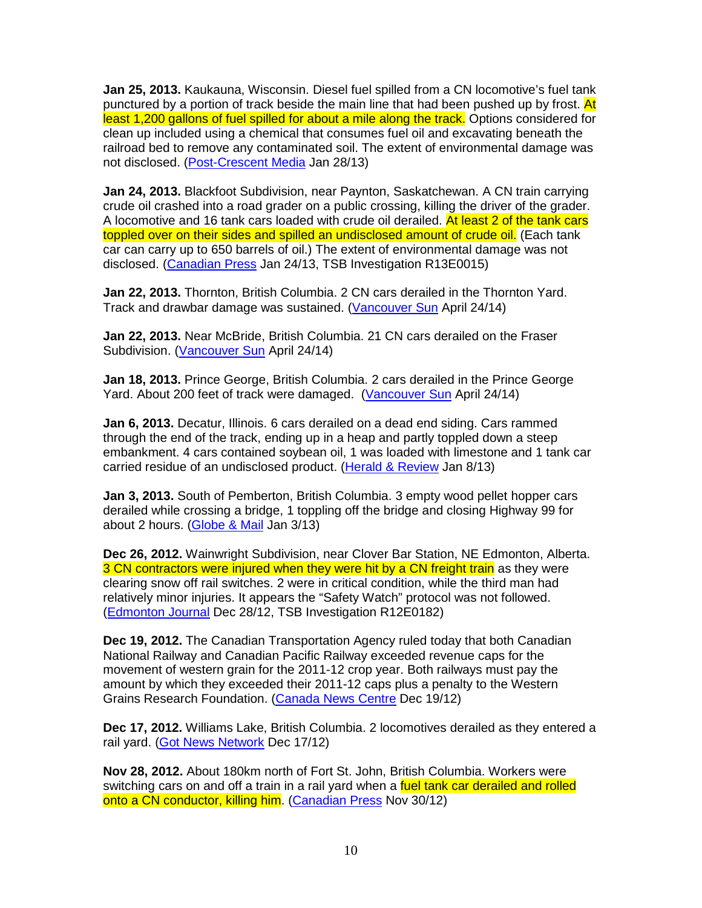**Jan 25, 2013.** Kaukauna, Wisconsin. Diesel fuel spilled from a CN locomotive's fuel tank punctured by a portion of track beside the main line that had been pushed up by frost. At least 1,200 gallons of fuel spilled for about a mile along the track. Options considered for clean up included using a chemical that consumes fuel oil and excavating beneath the railroad bed to remove any contaminated soil. The extent of environmental damage was not disclosed. (Post-Crescent Media Jan 28/13)

**Jan 24, 2013.** Blackfoot Subdivision, near Paynton, Saskatchewan. A CN train carrying crude oil crashed into a road grader on a public crossing, killing the driver of the grader. A locomotive and 16 tank cars loaded with crude oil derailed. At least 2 of the tank cars toppled over on their sides and spilled an undisclosed amount of crude oil. (Each tank car can carry up to 650 barrels of oil.) The extent of environmental damage was not disclosed. (Canadian Press Jan 24/13, TSB Investigation R13E0015)

**Jan 22, 2013.** Thornton, British Columbia. 2 CN cars derailed in the Thornton Yard. Track and drawbar damage was sustained. (Vancouver Sun April 24/14)

**Jan 22, 2013.** Near McBride, British Columbia. 21 CN cars derailed on the Fraser Subdivision. (Vancouver Sun April 24/14)

**Jan 18, 2013.** Prince George, British Columbia. 2 cars derailed in the Prince George Yard. About 200 feet of track were damaged. (Vancouver Sun April 24/14)

**Jan 6, 2013.** Decatur, Illinois. 6 cars derailed on a dead end siding. Cars rammed through the end of the track, ending up in a heap and partly toppled down a steep embankment. 4 cars contained soybean oil, 1 was loaded with limestone and 1 tank car carried residue of an undisclosed product. (Herald & Review Jan 8/13)

**Jan 3, 2013.** South of Pemberton, British Columbia. 3 empty wood pellet hopper cars derailed while crossing a bridge, 1 toppling off the bridge and closing Highway 99 for about 2 hours. (Globe & Mail Jan 3/13)

**Dec 26, 2012.** Wainwright Subdivision, near Clover Bar Station, NE Edmonton, Alberta. 3 CN contractors were injured when they were hit by a CN freight train as they were clearing snow off rail switches. 2 were in critical condition, while the third man had relatively minor injuries. It appears the "Safety Watch" protocol was not followed. (Edmonton Journal Dec 28/12, TSB Investigation R12E0182)

**Dec 19, 2012.** The Canadian Transportation Agency ruled today that both Canadian National Railway and Canadian Pacific Railway exceeded revenue caps for the movement of western grain for the 2011-12 crop year. Both railways must pay the amount by which they exceeded their 2011-12 caps plus a penalty to the Western Grains Research Foundation. (Canada News Centre Dec 19/12)

**Dec 17, 2012.** Williams Lake, British Columbia. 2 locomotives derailed as they entered a rail yard. (Got News Network Dec 17/12)

**Nov 28, 2012.** About 180km north of Fort St. John, British Columbia. Workers were switching cars on and off a train in a rail yard when a fuel tank car derailed and rolled onto a CN conductor, killing him. (Canadian Press Nov 30/12)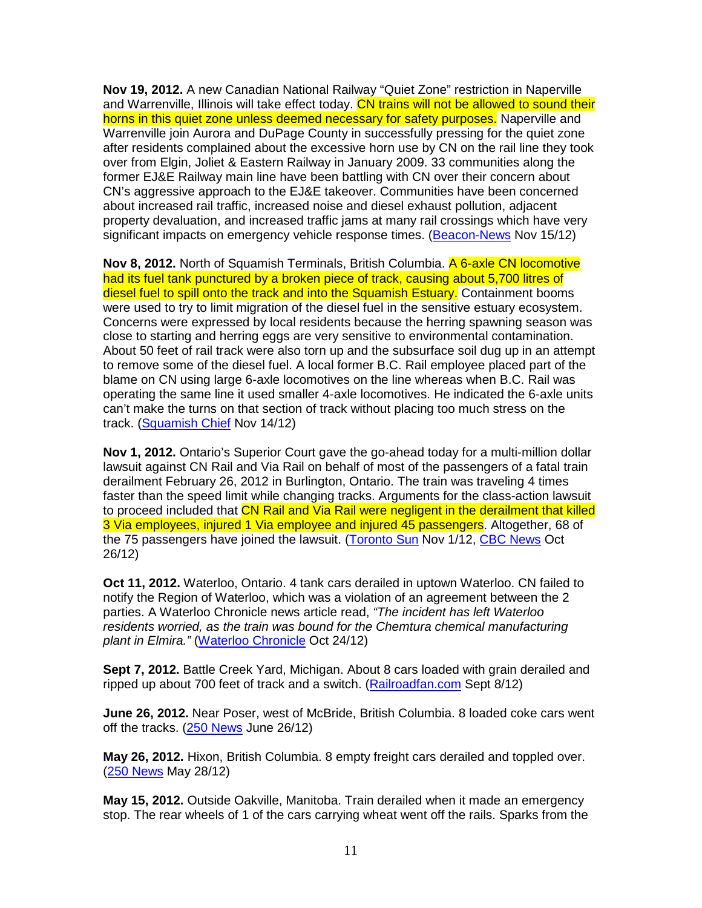**Nov 19, 2012.** A new Canadian National Railway "Quiet Zone" restriction in Naperville and Warrenville, Illinois will take effect today. CN trains will not be allowed to sound their horns in this quiet zone unless deemed necessary for safety purposes. Naperville and Warrenville join Aurora and DuPage County in successfully pressing for the quiet zone after residents complained about the excessive horn use by CN on the rail line they took over from Elgin, Joliet & Eastern Railway in January 2009. 33 communities along the former EJ&E Railway main line have been battling with CN over their concern about CN's aggressive approach to the EJ&E takeover. Communities have been concerned about increased rail traffic, increased noise and diesel exhaust pollution, adjacent property devaluation, and increased traffic jams at many rail crossings which have very significant impacts on emergency vehicle response times. (Beacon-News Nov 15/12)

**Nov 8, 2012.** North of Squamish Terminals, British Columbia. A 6-axle CN locomotive had its fuel tank punctured by a broken piece of track, causing about 5,700 litres of diesel fuel to spill onto the track and into the Squamish Estuary. Containment booms were used to try to limit migration of the diesel fuel in the sensitive estuary ecosystem. Concerns were expressed by local residents because the herring spawning season was close to starting and herring eggs are very sensitive to environmental contamination. About 50 feet of rail track were also torn up and the subsurface soil dug up in an attempt to remove some of the diesel fuel. A local former B.C. Rail employee placed part of the blame on CN using large 6-axle locomotives on the line whereas when B.C. Rail was operating the same line it used smaller 4-axle locomotives. He indicated the 6-axle units can't make the turns on that section of track without placing too much stress on the track. (Squamish Chief Nov 14/12)

**Nov 1, 2012.** Ontario's Superior Court gave the go-ahead today for a multi-million dollar lawsuit against CN Rail and Via Rail on behalf of most of the passengers of a fatal train derailment February 26, 2012 in Burlington, Ontario. The train was traveling 4 times faster than the speed limit while changing tracks. Arguments for the class-action lawsuit to proceed included that CN Rail and Via Rail were negligent in the derailment that killed 3 Via employees, injured 1 Via employee and injured 45 passengers. Altogether, 68 of the 75 passengers have joined the lawsuit. (Toronto Sun Nov 1/12, CBC News Oct 26/12)

**Oct 11, 2012.** Waterloo, Ontario. 4 tank cars derailed in uptown Waterloo. CN failed to notify the Region of Waterloo, which was a violation of an agreement between the 2 parties. A Waterloo Chronicle news article read, "The incident has left Waterloo residents worried, as the train was bound for the Chemtura chemical manufacturing plant in Elmira." (Waterloo Chronicle Oct 24/12)

**Sept 7, 2012.** Battle Creek Yard, Michigan. About 8 cars loaded with grain derailed and ripped up about 700 feet of track and a switch. (Railroadfan.com Sept 8/12)

**June 26, 2012.** Near Poser, west of McBride, British Columbia. 8 loaded coke cars went off the tracks. (250 News June 26/12)

**May 26, 2012.** Hixon, British Columbia. 8 empty freight cars derailed and toppled over. (250 News May 28/12)

**May 15, 2012.** Outside Oakville, Manitoba. Train derailed when it made an emergency stop. The rear wheels of 1 of the cars carrying wheat went off the rails. Sparks from the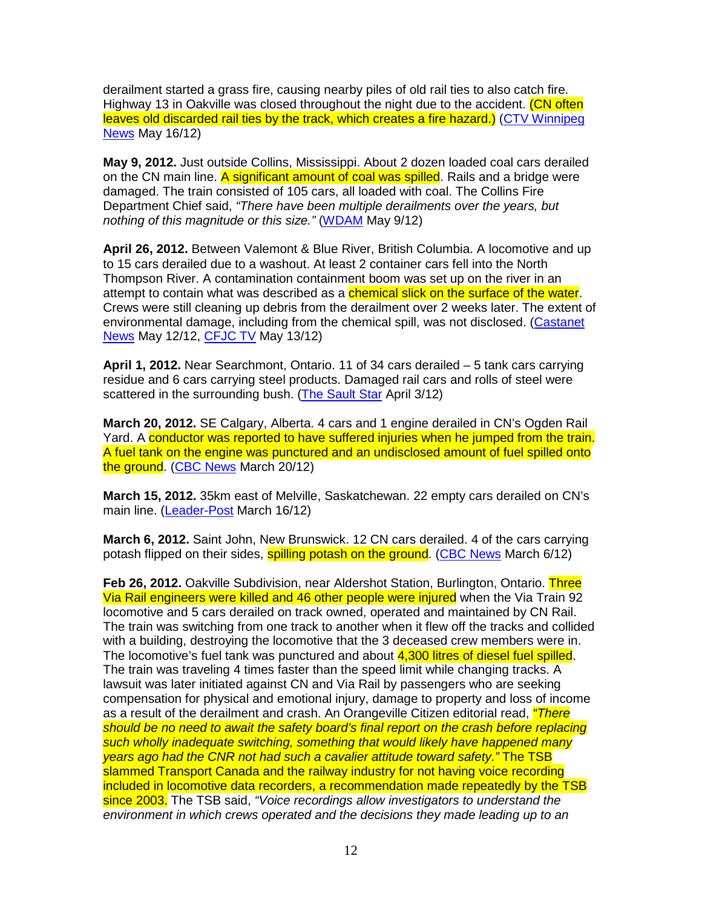derailment started a grass fire, causing nearby piles of old rail ties to also catch fire. Highway 13 in Oakville was closed throughout the night due to the accident. (CN often leaves old discarded rail ties by the track, which creates a fire hazard.) (CTV Winnipeg News May 16/12)

**May 9, 2012.** Just outside Collins, Mississippi. About 2 dozen loaded coal cars derailed on the CN main line. A significant amount of coal was spilled. Rails and a bridge were damaged. The train consisted of 105 cars, all loaded with coal. The Collins Fire Department Chief said, "There have been multiple derailments over the years, but nothing of this magnitude or this size." (WDAM May 9/12)

**April 26, 2012.** Between Valemont & Blue River, British Columbia. A locomotive and up to 15 cars derailed due to a washout. At least 2 container cars fell into the North Thompson River. A contamination containment boom was set up on the river in an attempt to contain what was described as a chemical slick on the surface of the water. Crews were still cleaning up debris from the derailment over 2 weeks later. The extent of environmental damage, including from the chemical spill, was not disclosed. (Castanet News May 12/12, CFJC TV May 13/12)

**April 1, 2012.** Near Searchmont, Ontario. 11 of 34 cars derailed – 5 tank cars carrying residue and 6 cars carrying steel products. Damaged rail cars and rolls of steel were scattered in the surrounding bush. (The Sault Star April 3/12)

**March 20, 2012.** SE Calgary, Alberta. 4 cars and 1 engine derailed in CN's Ogden Rail Yard. A conductor was reported to have suffered injuries when he jumped from the train. A fuel tank on the engine was punctured and an undisclosed amount of fuel spilled onto the ground. (CBC News March 20/12)

**March 15, 2012.** 35km east of Melville, Saskatchewan. 22 empty cars derailed on CN's main line. (Leader-Post March 16/12)

**March 6, 2012.** Saint John, New Brunswick. 12 CN cars derailed. 4 of the cars carrying potash flipped on their sides, **spilling potash on the ground.** (CBC News March 6/12)

**Feb 26, 2012.** Oakville Subdivision, near Aldershot Station, Burlington, Ontario. Three Via Rail engineers were killed and 46 other people were injured when the Via Train 92 locomotive and 5 cars derailed on track owned, operated and maintained by CN Rail. The train was switching from one track to another when it flew off the tracks and collided with a building, destroying the locomotive that the 3 deceased crew members were in. The locomotive's fuel tank was punctured and about 4,300 litres of diesel fuel spilled. The train was traveling 4 times faster than the speed limit while changing tracks. A lawsuit was later initiated against CN and Via Rail by passengers who are seeking compensation for physical and emotional injury, damage to property and loss of income as a result of the derailment and crash. An Orangeville Citizen editorial read, *"There* should be no need to await the safety board's final report on the crash before replacing such wholly inadequate switching, something that would likely have happened many years ago had the CNR not had such a cavalier attitude toward safety." The TSB slammed Transport Canada and the railway industry for not having voice recording included in locomotive data recorders, a recommendation made repeatedly by the TSB since 2003. The TSB said, "Voice recordings allow investigators to understand the environment in which crews operated and the decisions they made leading up to an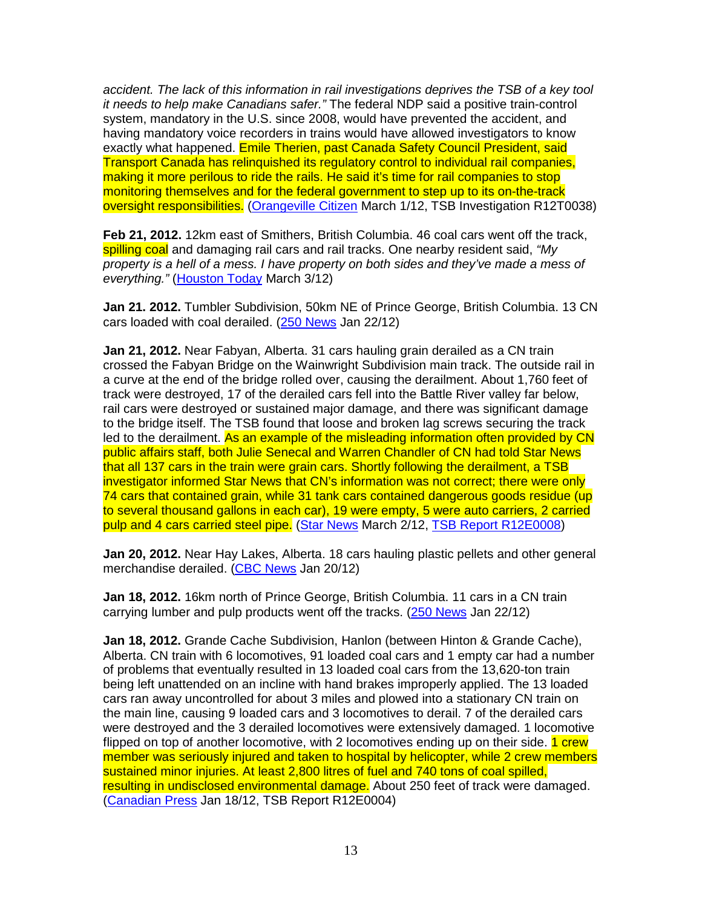accident. The lack of this information in rail investigations deprives the TSB of a key tool it needs to help make Canadians safer." The federal NDP said a positive train-control system, mandatory in the U.S. since 2008, would have prevented the accident, and having mandatory voice recorders in trains would have allowed investigators to know exactly what happened. Emile Therien, past Canada Safety Council President, said Transport Canada has relinquished its regulatory control to individual rail companies, making it more perilous to ride the rails. He said it's time for rail companies to stop monitoring themselves and for the federal government to step up to its on-the-track oversight responsibilities. (Orangeville Citizen March 1/12, TSB Investigation R12T0038)

**Feb 21, 2012.** 12km east of Smithers, British Columbia. 46 coal cars went off the track, spilling coal and damaging rail cars and rail tracks. One nearby resident said, "My property is a hell of a mess. I have property on both sides and they've made a mess of everything." (Houston Today March 3/12)

**Jan 21. 2012.** Tumbler Subdivision, 50km NE of Prince George, British Columbia. 13 CN cars loaded with coal derailed. (250 News Jan 22/12)

**Jan 21, 2012.** Near Fabyan, Alberta. 31 cars hauling grain derailed as a CN train crossed the Fabyan Bridge on the Wainwright Subdivision main track. The outside rail in a curve at the end of the bridge rolled over, causing the derailment. About 1,760 feet of track were destroyed, 17 of the derailed cars fell into the Battle River valley far below, rail cars were destroyed or sustained major damage, and there was significant damage to the bridge itself. The TSB found that loose and broken lag screws securing the track led to the derailment. As an example of the misleading information often provided by CN public affairs staff, both Julie Senecal and Warren Chandler of CN had told Star News that all 137 cars in the train were grain cars. Shortly following the derailment, a TSB investigator informed Star News that CN's information was not correct; there were only 74 cars that contained grain, while 31 tank cars contained dangerous goods residue (up to several thousand gallons in each car), 19 were empty, 5 were auto carriers, 2 carried pulp and 4 cars carried steel pipe. (Star News March 2/12, TSB Report R12E0008)

**Jan 20, 2012.** Near Hay Lakes, Alberta. 18 cars hauling plastic pellets and other general merchandise derailed. (CBC News Jan 20/12)

**Jan 18, 2012.** 16km north of Prince George, British Columbia. 11 cars in a CN train carrying lumber and pulp products went off the tracks. (250 News Jan 22/12)

**Jan 18, 2012.** Grande Cache Subdivision, Hanlon (between Hinton & Grande Cache), Alberta. CN train with 6 locomotives, 91 loaded coal cars and 1 empty car had a number of problems that eventually resulted in 13 loaded coal cars from the 13,620-ton train being left unattended on an incline with hand brakes improperly applied. The 13 loaded cars ran away uncontrolled for about 3 miles and plowed into a stationary CN train on the main line, causing 9 loaded cars and 3 locomotives to derail. 7 of the derailed cars were destroyed and the 3 derailed locomotives were extensively damaged. 1 locomotive flipped on top of another locomotive, with 2 locomotives ending up on their side. **1 crew** member was seriously injured and taken to hospital by helicopter, while 2 crew members sustained minor injuries. At least 2,800 litres of fuel and 740 tons of coal spilled, resulting in undisclosed environmental damage. About 250 feet of track were damaged. (Canadian Press Jan 18/12, TSB Report R12E0004)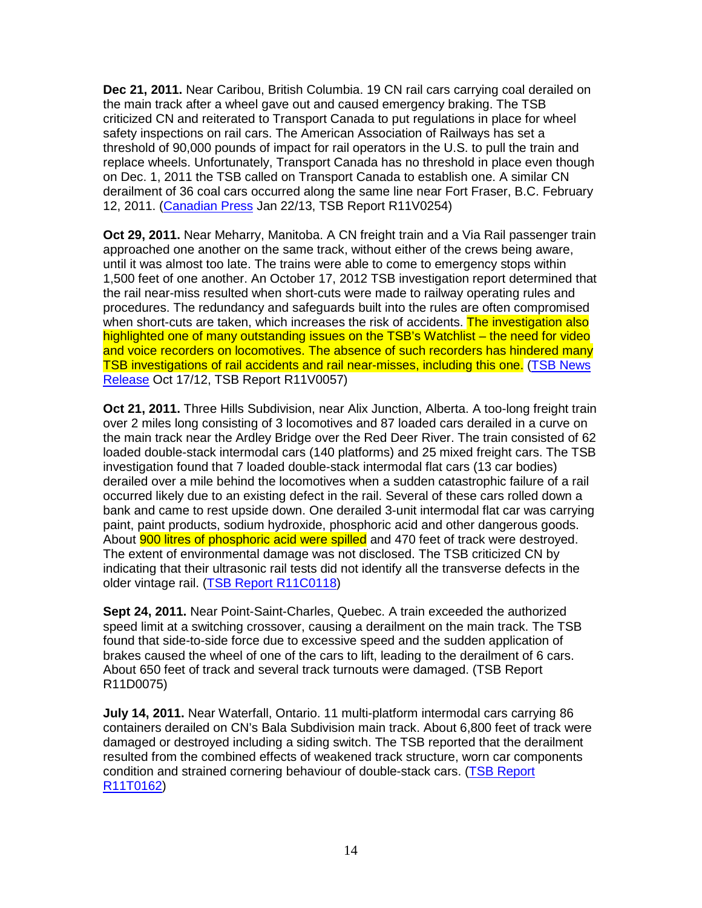**Dec 21, 2011.** Near Caribou, British Columbia. 19 CN rail cars carrying coal derailed on the main track after a wheel gave out and caused emergency braking. The TSB criticized CN and reiterated to Transport Canada to put regulations in place for wheel safety inspections on rail cars. The American Association of Railways has set a threshold of 90,000 pounds of impact for rail operators in the U.S. to pull the train and replace wheels. Unfortunately, Transport Canada has no threshold in place even though on Dec. 1, 2011 the TSB called on Transport Canada to establish one. A similar CN derailment of 36 coal cars occurred along the same line near Fort Fraser, B.C. February 12, 2011. (Canadian Press Jan 22/13, TSB Report R11V0254)

**Oct 29, 2011.** Near Meharry, Manitoba. A CN freight train and a Via Rail passenger train approached one another on the same track, without either of the crews being aware, until it was almost too late. The trains were able to come to emergency stops within 1,500 feet of one another. An October 17, 2012 TSB investigation report determined that the rail near-miss resulted when short-cuts were made to railway operating rules and procedures. The redundancy and safeguards built into the rules are often compromised when short-cuts are taken, which increases the risk of accidents. The investigation also highlighted one of many outstanding issues on the TSB's Watchlist – the need for video and voice recorders on locomotives. The absence of such recorders has hindered many TSB investigations of rail accidents and rail near-misses, including this one. (TSB News Release Oct 17/12, TSB Report R11V0057)

**Oct 21, 2011.** Three Hills Subdivision, near Alix Junction, Alberta. A too-long freight train over 2 miles long consisting of 3 locomotives and 87 loaded cars derailed in a curve on the main track near the Ardley Bridge over the Red Deer River. The train consisted of 62 loaded double-stack intermodal cars (140 platforms) and 25 mixed freight cars. The TSB investigation found that 7 loaded double-stack intermodal flat cars (13 car bodies) derailed over a mile behind the locomotives when a sudden catastrophic failure of a rail occurred likely due to an existing defect in the rail. Several of these cars rolled down a bank and came to rest upside down. One derailed 3-unit intermodal flat car was carrying paint, paint products, sodium hydroxide, phosphoric acid and other dangerous goods. About 900 litres of phosphoric acid were spilled and 470 feet of track were destroyed. The extent of environmental damage was not disclosed. The TSB criticized CN by indicating that their ultrasonic rail tests did not identify all the transverse defects in the older vintage rail. (TSB Report R11C0118)

**Sept 24, 2011.** Near Point-Saint-Charles, Quebec. A train exceeded the authorized speed limit at a switching crossover, causing a derailment on the main track. The TSB found that side-to-side force due to excessive speed and the sudden application of brakes caused the wheel of one of the cars to lift, leading to the derailment of 6 cars. About 650 feet of track and several track turnouts were damaged. (TSB Report R11D0075)

**July 14, 2011.** Near Waterfall, Ontario. 11 multi-platform intermodal cars carrying 86 containers derailed on CN's Bala Subdivision main track. About 6,800 feet of track were damaged or destroyed including a siding switch. The TSB reported that the derailment resulted from the combined effects of weakened track structure, worn car components condition and strained cornering behaviour of double-stack cars. (TSB Report R11T0162)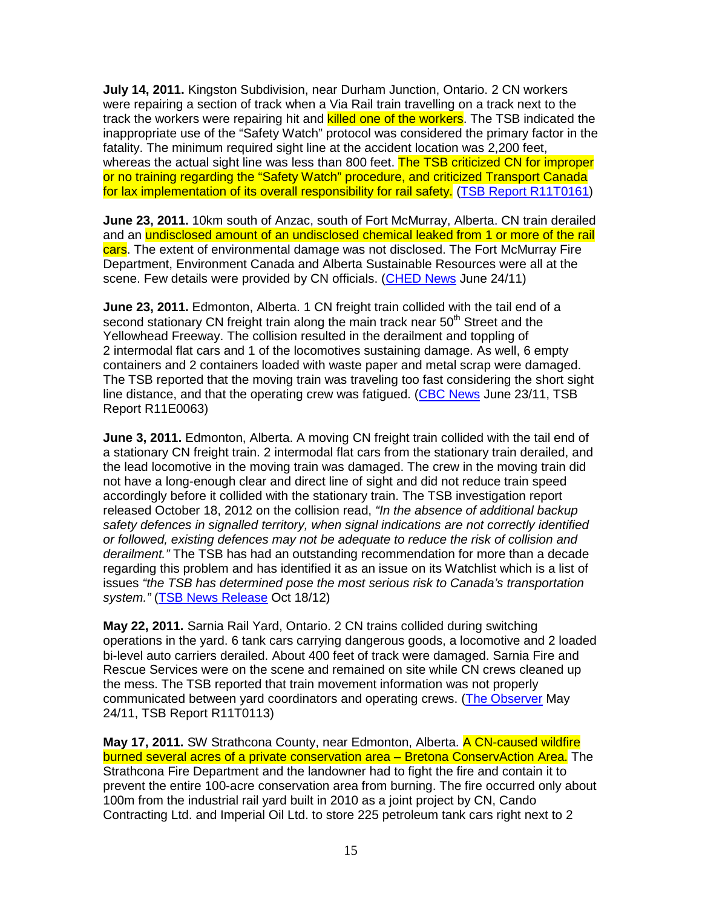**July 14, 2011.** Kingston Subdivision, near Durham Junction, Ontario. 2 CN workers were repairing a section of track when a Via Rail train travelling on a track next to the track the workers were repairing hit and killed one of the workers. The TSB indicated the inappropriate use of the "Safety Watch" protocol was considered the primary factor in the fatality. The minimum required sight line at the accident location was 2,200 feet, whereas the actual sight line was less than 800 feet. The TSB criticized CN for improper or no training regarding the "Safety Watch" procedure, and criticized Transport Canada for lax implementation of its overall responsibility for rail safety. (TSB Report R11T0161)

**June 23, 2011.** 10km south of Anzac, south of Fort McMurray, Alberta. CN train derailed and an undisclosed amount of an undisclosed chemical leaked from 1 or more of the rail cars. The extent of environmental damage was not disclosed. The Fort McMurray Fire Department, Environment Canada and Alberta Sustainable Resources were all at the scene. Few details were provided by CN officials. (CHED News June 24/11)

**June 23, 2011.** Edmonton, Alberta. 1 CN freight train collided with the tail end of a second stationary CN freight train along the main track near 50<sup>th</sup> Street and the Yellowhead Freeway. The collision resulted in the derailment and toppling of 2 intermodal flat cars and 1 of the locomotives sustaining damage. As well, 6 empty containers and 2 containers loaded with waste paper and metal scrap were damaged. The TSB reported that the moving train was traveling too fast considering the short sight line distance, and that the operating crew was fatigued. (CBC News June 23/11, TSB Report R11E0063)

**June 3, 2011.** Edmonton, Alberta. A moving CN freight train collided with the tail end of a stationary CN freight train. 2 intermodal flat cars from the stationary train derailed, and the lead locomotive in the moving train was damaged. The crew in the moving train did not have a long-enough clear and direct line of sight and did not reduce train speed accordingly before it collided with the stationary train. The TSB investigation report released October 18, 2012 on the collision read, "In the absence of additional backup safety defences in signalled territory, when signal indications are not correctly identified or followed, existing defences may not be adequate to reduce the risk of collision and derailment." The TSB has had an outstanding recommendation for more than a decade regarding this problem and has identified it as an issue on its Watchlist which is a list of issues "the TSB has determined pose the most serious risk to Canada's transportation system." (TSB News Release Oct 18/12)

**May 22, 2011.** Sarnia Rail Yard, Ontario. 2 CN trains collided during switching operations in the yard. 6 tank cars carrying dangerous goods, a locomotive and 2 loaded bi-level auto carriers derailed. About 400 feet of track were damaged. Sarnia Fire and Rescue Services were on the scene and remained on site while CN crews cleaned up the mess. The TSB reported that train movement information was not properly communicated between yard coordinators and operating crews. (The Observer May 24/11, TSB Report R11T0113)

**May 17, 2011.** SW Strathcona County, near Edmonton, Alberta. A CN-caused wildfire burned several acres of a private conservation area – Bretona ConservAction Area. The Strathcona Fire Department and the landowner had to fight the fire and contain it to prevent the entire 100-acre conservation area from burning. The fire occurred only about 100m from the industrial rail yard built in 2010 as a joint project by CN, Cando Contracting Ltd. and Imperial Oil Ltd. to store 225 petroleum tank cars right next to 2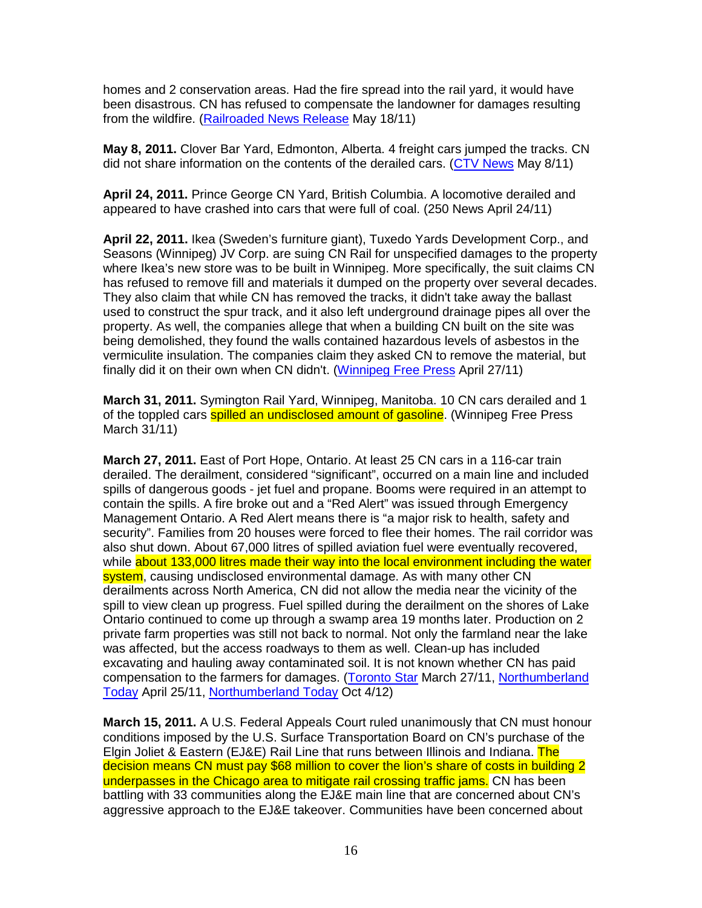homes and 2 conservation areas. Had the fire spread into the rail yard, it would have been disastrous. CN has refused to compensate the landowner for damages resulting from the wildfire. (Railroaded News Release May 18/11)

**May 8, 2011.** Clover Bar Yard, Edmonton, Alberta. 4 freight cars jumped the tracks. CN did not share information on the contents of the derailed cars. (CTV News May 8/11)

**April 24, 2011.** Prince George CN Yard, British Columbia. A locomotive derailed and appeared to have crashed into cars that were full of coal. (250 News April 24/11)

**April 22, 2011.** Ikea (Sweden's furniture giant), Tuxedo Yards Development Corp., and Seasons (Winnipeg) JV Corp. are suing CN Rail for unspecified damages to the property where Ikea's new store was to be built in Winnipeg. More specifically, the suit claims CN has refused to remove fill and materials it dumped on the property over several decades. They also claim that while CN has removed the tracks, it didn't take away the ballast used to construct the spur track, and it also left underground drainage pipes all over the property. As well, the companies allege that when a building CN built on the site was being demolished, they found the walls contained hazardous levels of asbestos in the vermiculite insulation. The companies claim they asked CN to remove the material, but finally did it on their own when CN didn't. (Winnipeg Free Press April 27/11)

**March 31, 2011.** Symington Rail Yard, Winnipeg, Manitoba. 10 CN cars derailed and 1 of the toppled cars **spilled an undisclosed amount of gasoline**. (Winnipeg Free Press March 31/11)

**March 27, 2011.** East of Port Hope, Ontario. At least 25 CN cars in a 116-car train derailed. The derailment, considered "significant", occurred on a main line and included spills of dangerous goods - jet fuel and propane. Booms were required in an attempt to contain the spills. A fire broke out and a "Red Alert" was issued through Emergency Management Ontario. A Red Alert means there is "a major risk to health, safety and security". Families from 20 houses were forced to flee their homes. The rail corridor was also shut down. About 67,000 litres of spilled aviation fuel were eventually recovered, while about 133,000 litres made their way into the local environment including the water system, causing undisclosed environmental damage. As with many other CN derailments across North America, CN did not allow the media near the vicinity of the spill to view clean up progress. Fuel spilled during the derailment on the shores of Lake Ontario continued to come up through a swamp area 19 months later. Production on 2 private farm properties was still not back to normal. Not only the farmland near the lake was affected, but the access roadways to them as well. Clean-up has included excavating and hauling away contaminated soil. It is not known whether CN has paid compensation to the farmers for damages. (Toronto Star March 27/11, Northumberland Today April 25/11, Northumberland Today Oct 4/12)

**March 15, 2011.** A U.S. Federal Appeals Court ruled unanimously that CN must honour conditions imposed by the U.S. Surface Transportation Board on CN's purchase of the Elgin Joliet & Eastern (EJ&E) Rail Line that runs between Illinois and Indiana. The decision means CN must pay \$68 million to cover the lion's share of costs in building 2 underpasses in the Chicago area to mitigate rail crossing traffic jams. CN has been battling with 33 communities along the EJ&E main line that are concerned about CN's aggressive approach to the EJ&E takeover. Communities have been concerned about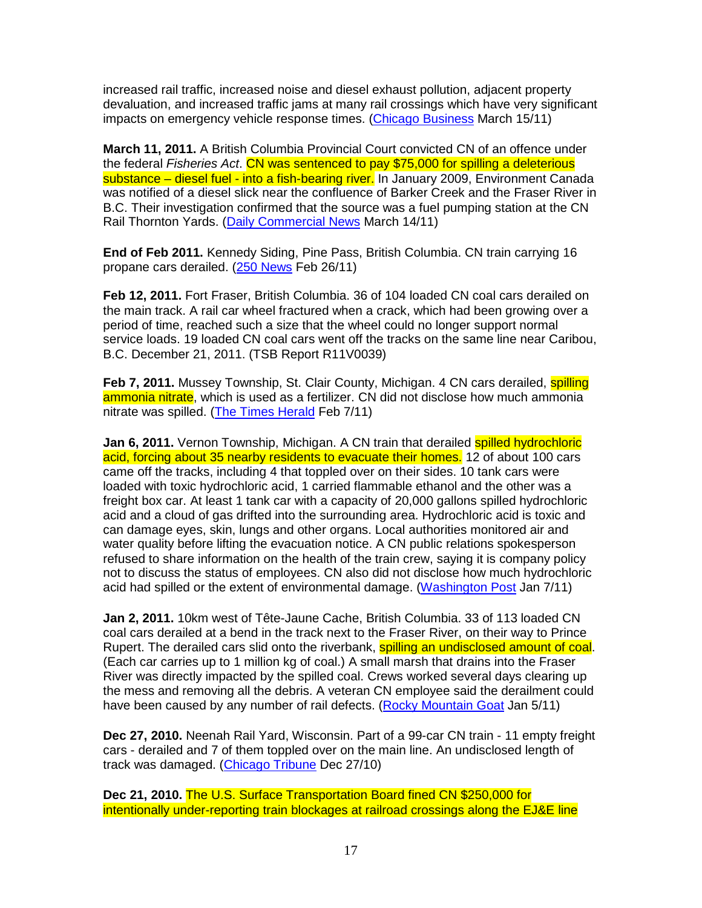increased rail traffic, increased noise and diesel exhaust pollution, adjacent property devaluation, and increased traffic jams at many rail crossings which have very significant impacts on emergency vehicle response times. (Chicago Business March 15/11)

**March 11, 2011.** A British Columbia Provincial Court convicted CN of an offence under the federal Fisheries Act. CN was sentenced to pay \$75,000 for spilling a deleterious substance – diesel fuel - into a fish-bearing river. In January 2009, Environment Canada was notified of a diesel slick near the confluence of Barker Creek and the Fraser River in B.C. Their investigation confirmed that the source was a fuel pumping station at the CN Rail Thornton Yards. (Daily Commercial News March 14/11)

**End of Feb 2011.** Kennedy Siding, Pine Pass, British Columbia. CN train carrying 16 propane cars derailed. (250 News Feb 26/11)

**Feb 12, 2011.** Fort Fraser, British Columbia. 36 of 104 loaded CN coal cars derailed on the main track. A rail car wheel fractured when a crack, which had been growing over a period of time, reached such a size that the wheel could no longer support normal service loads. 19 loaded CN coal cars went off the tracks on the same line near Caribou, B.C. December 21, 2011. (TSB Report R11V0039)

**Feb 7, 2011.** Mussey Township, St. Clair County, Michigan. 4 CN cars derailed, **spilling** ammonia nitrate, which is used as a fertilizer. CN did not disclose how much ammonia nitrate was spilled. (The Times Herald Feb 7/11)

**Jan 6, 2011.** Vernon Township, Michigan. A CN train that derailed spilled hydrochloric acid, forcing about 35 nearby residents to evacuate their homes. 12 of about 100 cars came off the tracks, including 4 that toppled over on their sides. 10 tank cars were loaded with toxic hydrochloric acid, 1 carried flammable ethanol and the other was a freight box car. At least 1 tank car with a capacity of 20,000 gallons spilled hydrochloric acid and a cloud of gas drifted into the surrounding area. Hydrochloric acid is toxic and can damage eyes, skin, lungs and other organs. Local authorities monitored air and water quality before lifting the evacuation notice. A CN public relations spokesperson refused to share information on the health of the train crew, saying it is company policy not to discuss the status of employees. CN also did not disclose how much hydrochloric acid had spilled or the extent of environmental damage. (Washington Post Jan 7/11)

**Jan 2, 2011.** 10km west of Tête-Jaune Cache, British Columbia. 33 of 113 loaded CN coal cars derailed at a bend in the track next to the Fraser River, on their way to Prince Rupert. The derailed cars slid onto the riverbank, **spilling an undisclosed amount of coal.** (Each car carries up to 1 million kg of coal.) A small marsh that drains into the Fraser River was directly impacted by the spilled coal. Crews worked several days clearing up the mess and removing all the debris. A veteran CN employee said the derailment could have been caused by any number of rail defects. (Rocky Mountain Goat Jan 5/11)

**Dec 27, 2010.** Neenah Rail Yard, Wisconsin. Part of a 99-car CN train - 11 empty freight cars - derailed and 7 of them toppled over on the main line. An undisclosed length of track was damaged. (Chicago Tribune Dec 27/10)

**Dec 21, 2010.** The U.S. Surface Transportation Board fined CN \$250,000 for intentionally under-reporting train blockages at railroad crossings along the EJ&E line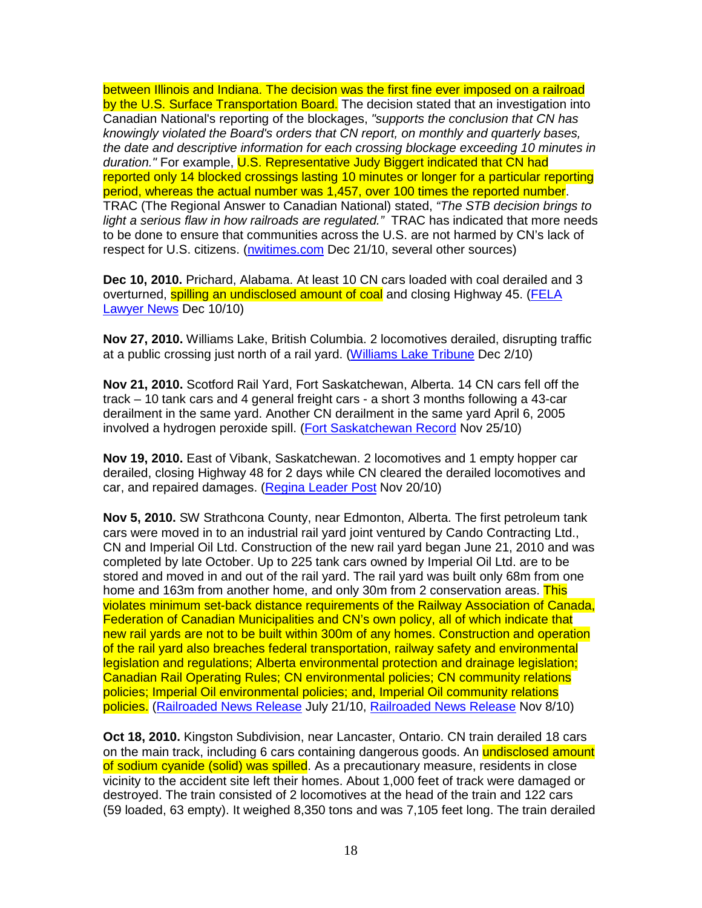between Illinois and Indiana. The decision was the first fine ever imposed on a railroad by the U.S. Surface Transportation Board. The decision stated that an investigation into Canadian National's reporting of the blockages, "supports the conclusion that CN has knowingly violated the Board's orders that CN report, on monthly and quarterly bases, the date and descriptive information for each crossing blockage exceeding 10 minutes in duration." For example, U.S. Representative Judy Biggert indicated that CN had reported only 14 blocked crossings lasting 10 minutes or longer for a particular reporting period, whereas the actual number was 1,457, over 100 times the reported number. TRAC (The Regional Answer to Canadian National) stated, "The STB decision brings to light a serious flaw in how railroads are regulated." TRAC has indicated that more needs to be done to ensure that communities across the U.S. are not harmed by CN's lack of respect for U.S. citizens. (nwitimes.com Dec 21/10, several other sources)

**Dec 10, 2010.** Prichard, Alabama. At least 10 CN cars loaded with coal derailed and 3 overturned, spilling an undisclosed amount of coal and closing Highway 45. (FELA Lawyer News Dec 10/10)

**Nov 27, 2010.** Williams Lake, British Columbia. 2 locomotives derailed, disrupting traffic at a public crossing just north of a rail yard. (Williams Lake Tribune Dec 2/10)

**Nov 21, 2010.** Scotford Rail Yard, Fort Saskatchewan, Alberta. 14 CN cars fell off the track – 10 tank cars and 4 general freight cars - a short 3 months following a 43-car derailment in the same yard. Another CN derailment in the same yard April 6, 2005 involved a hydrogen peroxide spill. (Fort Saskatchewan Record Nov 25/10)

**Nov 19, 2010.** East of Vibank, Saskatchewan. 2 locomotives and 1 empty hopper car derailed, closing Highway 48 for 2 days while CN cleared the derailed locomotives and car, and repaired damages. (Regina Leader Post Nov 20/10)

**Nov 5, 2010.** SW Strathcona County, near Edmonton, Alberta. The first petroleum tank cars were moved in to an industrial rail yard joint ventured by Cando Contracting Ltd., CN and Imperial Oil Ltd. Construction of the new rail yard began June 21, 2010 and was completed by late October. Up to 225 tank cars owned by Imperial Oil Ltd. are to be stored and moved in and out of the rail yard. The rail yard was built only 68m from one home and 163m from another home, and only 30m from 2 conservation areas. This violates minimum set-back distance requirements of the Railway Association of Canada, Federation of Canadian Municipalities and CN's own policy, all of which indicate that new rail yards are not to be built within 300m of any homes. Construction and operation of the rail yard also breaches federal transportation, railway safety and environmental legislation and regulations; Alberta environmental protection and drainage legislation; Canadian Rail Operating Rules; CN environmental policies; CN community relations policies; Imperial Oil environmental policies; and, Imperial Oil community relations policies. (Railroaded News Release July 21/10, Railroaded News Release Nov 8/10)

**Oct 18, 2010.** Kingston Subdivision, near Lancaster, Ontario. CN train derailed 18 cars on the main track, including 6 cars containing dangerous goods. An **undisclosed amount** of sodium cyanide (solid) was spilled. As a precautionary measure, residents in close vicinity to the accident site left their homes. About 1,000 feet of track were damaged or destroyed. The train consisted of 2 locomotives at the head of the train and 122 cars (59 loaded, 63 empty). It weighed 8,350 tons and was 7,105 feet long. The train derailed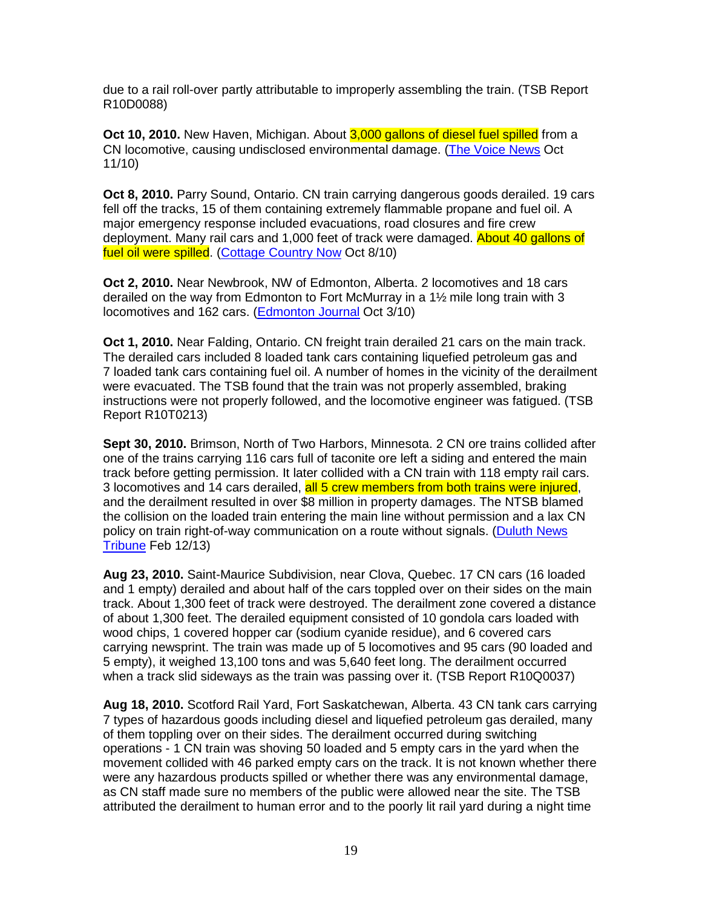due to a rail roll-over partly attributable to improperly assembling the train. (TSB Report R10D0088)

**Oct 10, 2010.** New Haven, Michigan. About 3,000 gallons of diesel fuel spilled from a CN locomotive, causing undisclosed environmental damage. (The Voice News Oct 11/10)

**Oct 8, 2010.** Parry Sound, Ontario. CN train carrying dangerous goods derailed. 19 cars fell off the tracks, 15 of them containing extremely flammable propane and fuel oil. A major emergency response included evacuations, road closures and fire crew deployment. Many rail cars and 1,000 feet of track were damaged. About 40 gallons of fuel oil were spilled. (Cottage Country Now Oct 8/10)

**Oct 2, 2010.** Near Newbrook, NW of Edmonton, Alberta. 2 locomotives and 18 cars derailed on the way from Edmonton to Fort McMurray in a 1½ mile long train with 3 locomotives and 162 cars. (Edmonton Journal Oct 3/10)

**Oct 1, 2010.** Near Falding, Ontario. CN freight train derailed 21 cars on the main track. The derailed cars included 8 loaded tank cars containing liquefied petroleum gas and 7 loaded tank cars containing fuel oil. A number of homes in the vicinity of the derailment were evacuated. The TSB found that the train was not properly assembled, braking instructions were not properly followed, and the locomotive engineer was fatigued. (TSB Report R10T0213)

**Sept 30, 2010.** Brimson, North of Two Harbors, Minnesota. 2 CN ore trains collided after one of the trains carrying 116 cars full of taconite ore left a siding and entered the main track before getting permission. It later collided with a CN train with 118 empty rail cars. 3 locomotives and 14 cars derailed, all 5 crew members from both trains were injured, and the derailment resulted in over \$8 million in property damages. The NTSB blamed the collision on the loaded train entering the main line without permission and a lax CN policy on train right-of-way communication on a route without signals. (Duluth News Tribune Feb 12/13)

**Aug 23, 2010.** Saint-Maurice Subdivision, near Clova, Quebec. 17 CN cars (16 loaded and 1 empty) derailed and about half of the cars toppled over on their sides on the main track. About 1,300 feet of track were destroyed. The derailment zone covered a distance of about 1,300 feet. The derailed equipment consisted of 10 gondola cars loaded with wood chips, 1 covered hopper car (sodium cyanide residue), and 6 covered cars carrying newsprint. The train was made up of 5 locomotives and 95 cars (90 loaded and 5 empty), it weighed 13,100 tons and was 5,640 feet long. The derailment occurred when a track slid sideways as the train was passing over it. (TSB Report R10Q0037)

**Aug 18, 2010.** Scotford Rail Yard, Fort Saskatchewan, Alberta. 43 CN tank cars carrying 7 types of hazardous goods including diesel and liquefied petroleum gas derailed, many of them toppling over on their sides. The derailment occurred during switching operations - 1 CN train was shoving 50 loaded and 5 empty cars in the yard when the movement collided with 46 parked empty cars on the track. It is not known whether there were any hazardous products spilled or whether there was any environmental damage, as CN staff made sure no members of the public were allowed near the site. The TSB attributed the derailment to human error and to the poorly lit rail yard during a night time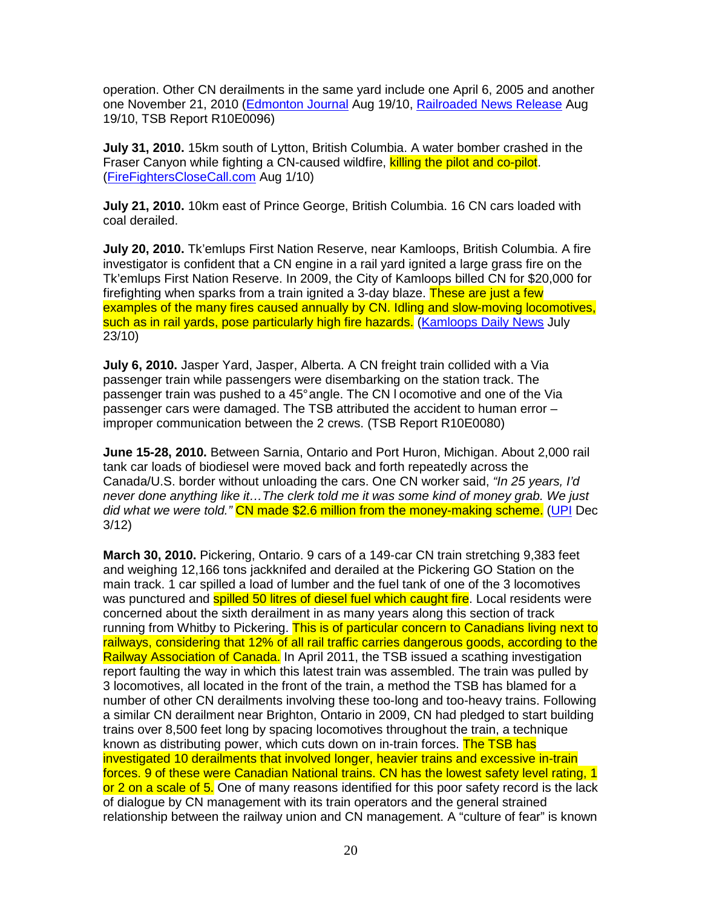operation. Other CN derailments in the same yard include one April 6, 2005 and another one November 21, 2010 (Edmonton Journal Aug 19/10, Railroaded News Release Aug 19/10, TSB Report R10E0096)

**July 31, 2010.** 15km south of Lytton, British Columbia. A water bomber crashed in the Fraser Canyon while fighting a CN-caused wildfire, killing the pilot and co-pilot. (FireFightersCloseCall.com Aug 1/10)

**July 21, 2010.** 10km east of Prince George, British Columbia. 16 CN cars loaded with coal derailed.

**July 20, 2010.** Tk'emlups First Nation Reserve, near Kamloops, British Columbia. A fire investigator is confident that a CN engine in a rail yard ignited a large grass fire on the Tk'emlups First Nation Reserve. In 2009, the City of Kamloops billed CN for \$20,000 for firefighting when sparks from a train ignited a 3-day blaze. These are just a few examples of the many fires caused annually by CN. Idling and slow-moving locomotives, such as in rail yards, pose particularly high fire hazards. (Kamloops Daily News July 23/10)

**July 6, 2010.** Jasper Yard, Jasper, Alberta. A CN freight train collided with a Via passenger train while passengers were disembarking on the station track. The passenger train was pushed to a 45° angle. The CN l ocomotive and one of the Via passenger cars were damaged. The TSB attributed the accident to human error – improper communication between the 2 crews. (TSB Report R10E0080)

**June 15-28, 2010.** Between Sarnia, Ontario and Port Huron, Michigan. About 2,000 rail tank car loads of biodiesel were moved back and forth repeatedly across the Canada/U.S. border without unloading the cars. One CN worker said, "In 25 years, I'd never done anything like it…The clerk told me it was some kind of money grab. We just did what we were told." CN made \$2.6 million from the money-making scheme. (UPI Dec 3/12)

**March 30, 2010.** Pickering, Ontario. 9 cars of a 149-car CN train stretching 9,383 feet and weighing 12,166 tons jackknifed and derailed at the Pickering GO Station on the main track. 1 car spilled a load of lumber and the fuel tank of one of the 3 locomotives was punctured and **spilled 50 litres of diesel fuel which caught fire**. Local residents were concerned about the sixth derailment in as many years along this section of track running from Whitby to Pickering. This is of particular concern to Canadians living next to railways, considering that 12% of all rail traffic carries dangerous goods, according to the Railway Association of Canada. In April 2011, the TSB issued a scathing investigation report faulting the way in which this latest train was assembled. The train was pulled by 3 locomotives, all located in the front of the train, a method the TSB has blamed for a number of other CN derailments involving these too-long and too-heavy trains. Following a similar CN derailment near Brighton, Ontario in 2009, CN had pledged to start building trains over 8,500 feet long by spacing locomotives throughout the train, a technique known as distributing power, which cuts down on in-train forces. The TSB has investigated 10 derailments that involved longer, heavier trains and excessive in-train forces. 9 of these were Canadian National trains. CN has the lowest safety level rating, 1 or 2 on a scale of 5. One of many reasons identified for this poor safety record is the lack of dialogue by CN management with its train operators and the general strained relationship between the railway union and CN management. A "culture of fear" is known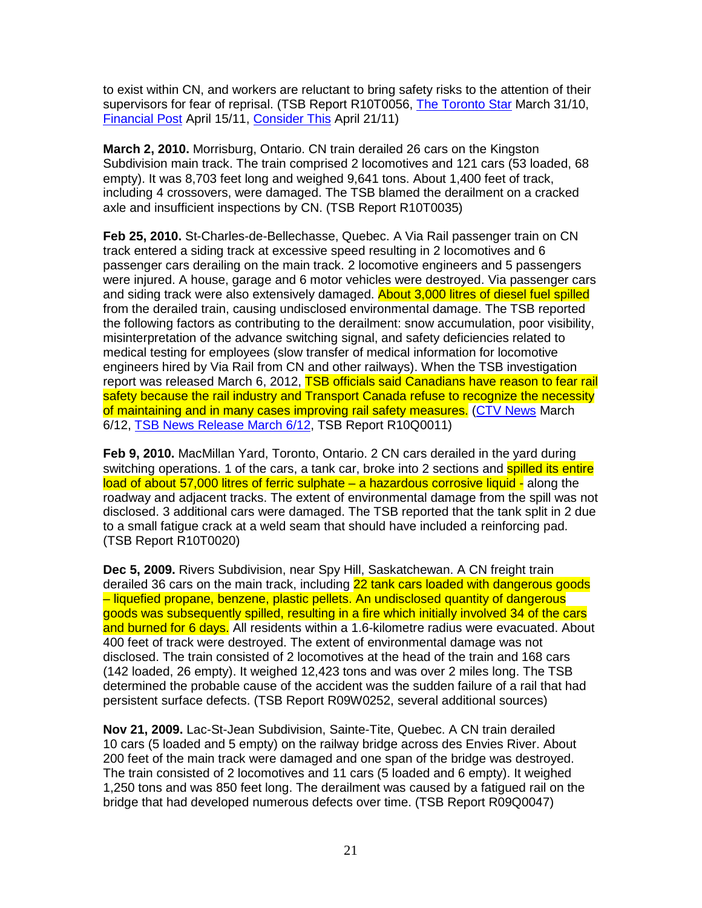to exist within CN, and workers are reluctant to bring safety risks to the attention of their supervisors for fear of reprisal. (TSB Report R10T0056, The Toronto Star March 31/10, Financial Post April 15/11, Consider This April 21/11)

**March 2, 2010.** Morrisburg, Ontario. CN train derailed 26 cars on the Kingston Subdivision main track. The train comprised 2 locomotives and 121 cars (53 loaded, 68 empty). It was 8,703 feet long and weighed 9,641 tons. About 1,400 feet of track, including 4 crossovers, were damaged. The TSB blamed the derailment on a cracked axle and insufficient inspections by CN. (TSB Report R10T0035)

**Feb 25, 2010.** St-Charles-de-Bellechasse, Quebec. A Via Rail passenger train on CN track entered a siding track at excessive speed resulting in 2 locomotives and 6 passenger cars derailing on the main track. 2 locomotive engineers and 5 passengers were injured. A house, garage and 6 motor vehicles were destroyed. Via passenger cars and siding track were also extensively damaged. **About 3,000 litres of diesel fuel spilled** from the derailed train, causing undisclosed environmental damage. The TSB reported the following factors as contributing to the derailment: snow accumulation, poor visibility, misinterpretation of the advance switching signal, and safety deficiencies related to medical testing for employees (slow transfer of medical information for locomotive engineers hired by Via Rail from CN and other railways). When the TSB investigation report was released March 6, 2012, TSB officials said Canadians have reason to fear rail safety because the rail industry and Transport Canada refuse to recognize the necessity of maintaining and in many cases improving rail safety measures. (CTV News March 6/12, TSB News Release March 6/12, TSB Report R10Q0011)

**Feb 9, 2010.** MacMillan Yard, Toronto, Ontario. 2 CN cars derailed in the yard during switching operations. 1 of the cars, a tank car, broke into 2 sections and **spilled its entire** load of about 57,000 litres of ferric sulphate – a hazardous corrosive liquid - along the roadway and adjacent tracks. The extent of environmental damage from the spill was not disclosed. 3 additional cars were damaged. The TSB reported that the tank split in 2 due to a small fatigue crack at a weld seam that should have included a reinforcing pad. (TSB Report R10T0020)

**Dec 5, 2009.** Rivers Subdivision, near Spy Hill, Saskatchewan. A CN freight train derailed 36 cars on the main track, including 22 tank cars loaded with dangerous goods – liquefied propane, benzene, plastic pellets. An undisclosed quantity of dangerous goods was subsequently spilled, resulting in a fire which initially involved 34 of the cars and burned for 6 days. All residents within a 1.6-kilometre radius were evacuated. About 400 feet of track were destroyed. The extent of environmental damage was not disclosed. The train consisted of 2 locomotives at the head of the train and 168 cars (142 loaded, 26 empty). It weighed 12,423 tons and was over 2 miles long. The TSB determined the probable cause of the accident was the sudden failure of a rail that had persistent surface defects. (TSB Report R09W0252, several additional sources)

**Nov 21, 2009.** Lac-St-Jean Subdivision, Sainte-Tite, Quebec. A CN train derailed 10 cars (5 loaded and 5 empty) on the railway bridge across des Envies River. About 200 feet of the main track were damaged and one span of the bridge was destroyed. The train consisted of 2 locomotives and 11 cars (5 loaded and 6 empty). It weighed 1,250 tons and was 850 feet long. The derailment was caused by a fatigued rail on the bridge that had developed numerous defects over time. (TSB Report R09Q0047)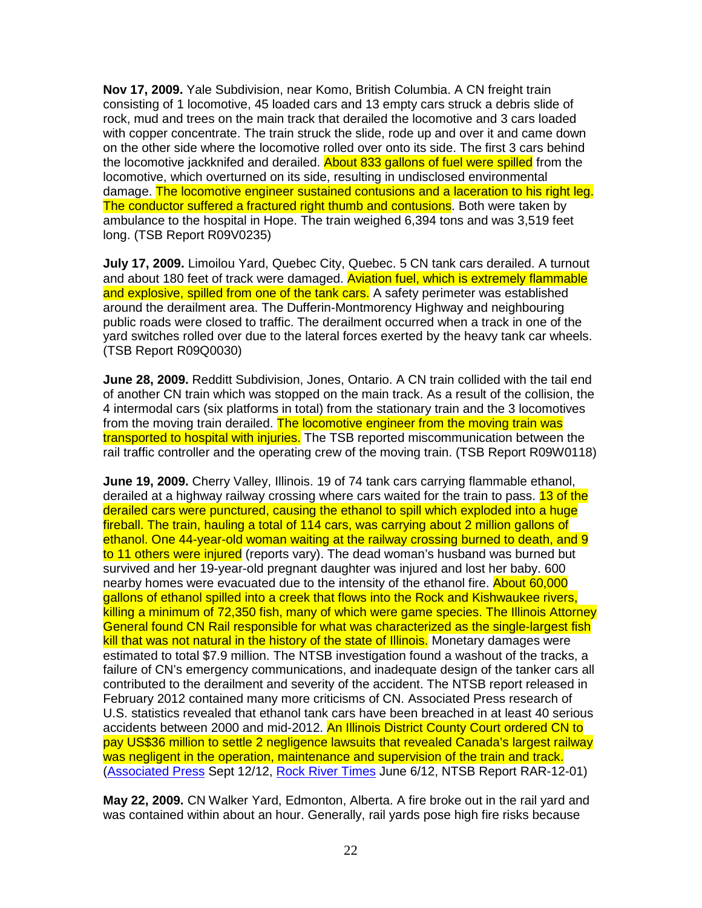**Nov 17, 2009.** Yale Subdivision, near Komo, British Columbia. A CN freight train consisting of 1 locomotive, 45 loaded cars and 13 empty cars struck a debris slide of rock, mud and trees on the main track that derailed the locomotive and 3 cars loaded with copper concentrate. The train struck the slide, rode up and over it and came down on the other side where the locomotive rolled over onto its side. The first 3 cars behind the locomotive jackknifed and derailed. About 833 gallons of fuel were spilled from the locomotive, which overturned on its side, resulting in undisclosed environmental damage. The locomotive engineer sustained contusions and a laceration to his right leg. The conductor suffered a fractured right thumb and contusions. Both were taken by ambulance to the hospital in Hope. The train weighed 6,394 tons and was 3,519 feet long. (TSB Report R09V0235)

**July 17, 2009.** Limoilou Yard, Quebec City, Quebec. 5 CN tank cars derailed. A turnout and about 180 feet of track were damaged. Aviation fuel, which is extremely flammable and explosive, spilled from one of the tank cars. A safety perimeter was established around the derailment area. The Dufferin-Montmorency Highway and neighbouring public roads were closed to traffic. The derailment occurred when a track in one of the yard switches rolled over due to the lateral forces exerted by the heavy tank car wheels. (TSB Report R09Q0030)

**June 28, 2009.** Redditt Subdivision, Jones, Ontario. A CN train collided with the tail end of another CN train which was stopped on the main track. As a result of the collision, the 4 intermodal cars (six platforms in total) from the stationary train and the 3 locomotives from the moving train derailed. The locomotive engineer from the moving train was transported to hospital with injuries. The TSB reported miscommunication between the rail traffic controller and the operating crew of the moving train. (TSB Report R09W0118)

**June 19, 2009.** Cherry Valley, Illinois. 19 of 74 tank cars carrying flammable ethanol, derailed at a highway railway crossing where cars waited for the train to pass. 13 of the derailed cars were punctured, causing the ethanol to spill which exploded into a huge fireball. The train, hauling a total of 114 cars, was carrying about 2 million gallons of ethanol. One 44-year-old woman waiting at the railway crossing burned to death, and 9 to 11 others were injured (reports vary). The dead woman's husband was burned but survived and her 19-year-old pregnant daughter was injured and lost her baby. 600 nearby homes were evacuated due to the intensity of the ethanol fire. About 60,000 gallons of ethanol spilled into a creek that flows into the Rock and Kishwaukee rivers, killing a minimum of 72,350 fish, many of which were game species. The Illinois Attorney General found CN Rail responsible for what was characterized as the single-largest fish kill that was not natural in the history of the state of Illinois. Monetary damages were estimated to total \$7.9 million. The NTSB investigation found a washout of the tracks, a failure of CN's emergency communications, and inadequate design of the tanker cars all contributed to the derailment and severity of the accident. The NTSB report released in February 2012 contained many more criticisms of CN. Associated Press research of U.S. statistics revealed that ethanol tank cars have been breached in at least 40 serious accidents between 2000 and mid-2012. An Illinois District County Court ordered CN to pay US\$36 million to settle 2 negligence lawsuits that revealed Canada's largest railway was negligent in the operation, maintenance and supervision of the train and track. (Associated Press Sept 12/12, Rock River Times June 6/12, NTSB Report RAR-12-01)

**May 22, 2009.** CN Walker Yard, Edmonton, Alberta. A fire broke out in the rail yard and was contained within about an hour. Generally, rail yards pose high fire risks because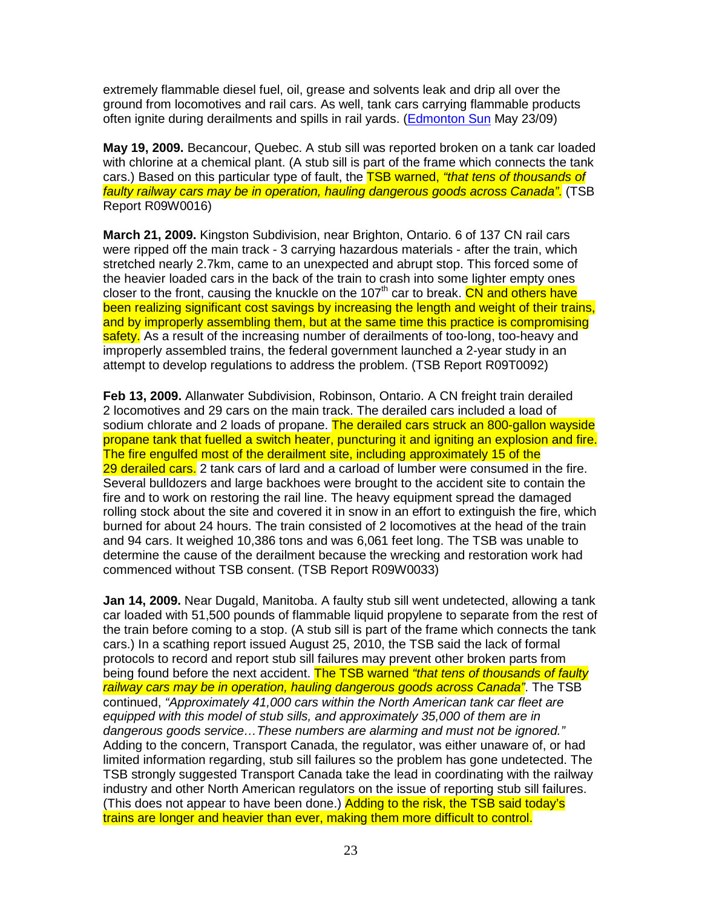extremely flammable diesel fuel, oil, grease and solvents leak and drip all over the ground from locomotives and rail cars. As well, tank cars carrying flammable products often ignite during derailments and spills in rail yards. (Edmonton Sun May 23/09)

**May 19, 2009.** Becancour, Quebec. A stub sill was reported broken on a tank car loaded with chlorine at a chemical plant. (A stub sill is part of the frame which connects the tank cars.) Based on this particular type of fault, the **TSB warned, "that tens of thousands of** faulty railway cars may be in operation, hauling dangerous goods across Canada". (TSB Report R09W0016)

**March 21, 2009.** Kingston Subdivision, near Brighton, Ontario. 6 of 137 CN rail cars were ripped off the main track - 3 carrying hazardous materials - after the train, which stretched nearly 2.7km, came to an unexpected and abrupt stop. This forced some of the heavier loaded cars in the back of the train to crash into some lighter empty ones closer to the front, causing the knuckle on the 107<sup>th</sup> car to break. CN and others have been realizing significant cost savings by increasing the length and weight of their trains, and by improperly assembling them, but at the same time this practice is compromising safety. As a result of the increasing number of derailments of too-long, too-heavy and improperly assembled trains, the federal government launched a 2-year study in an attempt to develop regulations to address the problem. (TSB Report R09T0092)

**Feb 13, 2009.** Allanwater Subdivision, Robinson, Ontario. A CN freight train derailed 2 locomotives and 29 cars on the main track. The derailed cars included a load of sodium chlorate and 2 loads of propane. The derailed cars struck an 800-gallon wayside propane tank that fuelled a switch heater, puncturing it and igniting an explosion and fire. The fire engulfed most of the derailment site, including approximately 15 of the 29 derailed cars. 2 tank cars of lard and a carload of lumber were consumed in the fire. Several bulldozers and large backhoes were brought to the accident site to contain the fire and to work on restoring the rail line. The heavy equipment spread the damaged rolling stock about the site and covered it in snow in an effort to extinguish the fire, which burned for about 24 hours. The train consisted of 2 locomotives at the head of the train and 94 cars. It weighed 10,386 tons and was 6,061 feet long. The TSB was unable to determine the cause of the derailment because the wrecking and restoration work had commenced without TSB consent. (TSB Report R09W0033)

**Jan 14, 2009.** Near Dugald, Manitoba. A faulty stub sill went undetected, allowing a tank car loaded with 51,500 pounds of flammable liquid propylene to separate from the rest of the train before coming to a stop. (A stub sill is part of the frame which connects the tank cars.) In a scathing report issued August 25, 2010, the TSB said the lack of formal protocols to record and report stub sill failures may prevent other broken parts from being found before the next accident. The TSB warned "that tens of thousands of faulty railway cars may be in operation, hauling dangerous goods across Canada". The TSB continued, "Approximately 41,000 cars within the North American tank car fleet are equipped with this model of stub sills, and approximately 35,000 of them are in dangerous goods service…These numbers are alarming and must not be ignored." Adding to the concern, Transport Canada, the regulator, was either unaware of, or had limited information regarding, stub sill failures so the problem has gone undetected. The TSB strongly suggested Transport Canada take the lead in coordinating with the railway industry and other North American regulators on the issue of reporting stub sill failures. (This does not appear to have been done.) Adding to the risk, the TSB said today's trains are longer and heavier than ever, making them more difficult to control.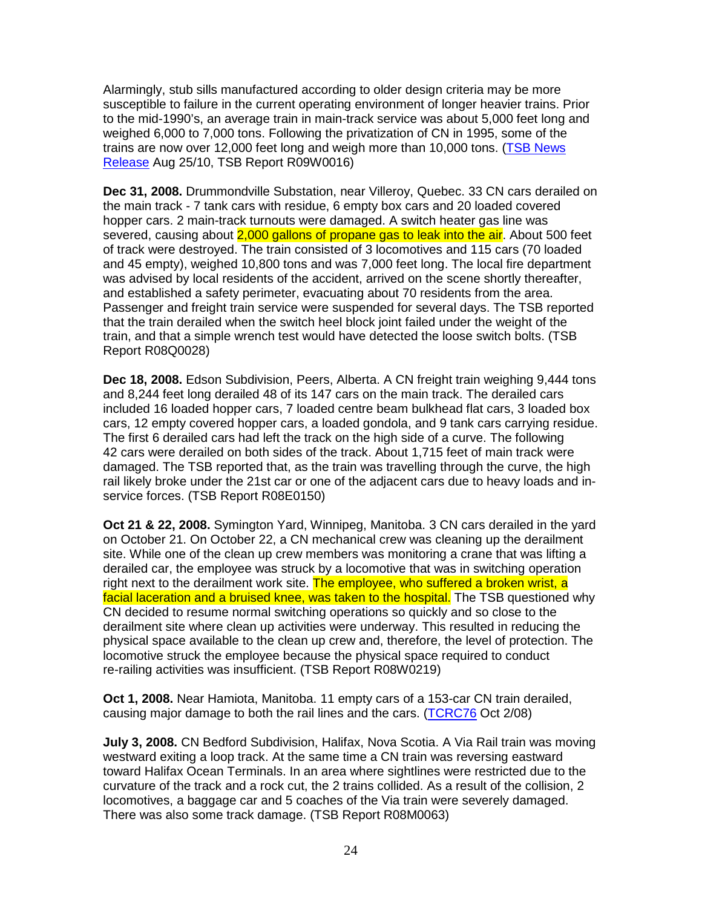Alarmingly, stub sills manufactured according to older design criteria may be more susceptible to failure in the current operating environment of longer heavier trains. Prior to the mid-1990's, an average train in main-track service was about 5,000 feet long and weighed 6,000 to 7,000 tons. Following the privatization of CN in 1995, some of the trains are now over 12,000 feet long and weigh more than 10,000 tons. (TSB News Release Aug 25/10, TSB Report R09W0016)

**Dec 31, 2008.** Drummondville Substation, near Villeroy, Quebec. 33 CN cars derailed on the main track - 7 tank cars with residue, 6 empty box cars and 20 loaded covered hopper cars. 2 main-track turnouts were damaged. A switch heater gas line was severed, causing about 2,000 gallons of propane gas to leak into the air. About 500 feet of track were destroyed. The train consisted of 3 locomotives and 115 cars (70 loaded and 45 empty), weighed 10,800 tons and was 7,000 feet long. The local fire department was advised by local residents of the accident, arrived on the scene shortly thereafter, and established a safety perimeter, evacuating about 70 residents from the area. Passenger and freight train service were suspended for several days. The TSB reported that the train derailed when the switch heel block joint failed under the weight of the train, and that a simple wrench test would have detected the loose switch bolts. (TSB Report R08Q0028)

**Dec 18, 2008.** Edson Subdivision, Peers, Alberta. A CN freight train weighing 9,444 tons and 8,244 feet long derailed 48 of its 147 cars on the main track. The derailed cars included 16 loaded hopper cars, 7 loaded centre beam bulkhead flat cars, 3 loaded box cars, 12 empty covered hopper cars, a loaded gondola, and 9 tank cars carrying residue. The first 6 derailed cars had left the track on the high side of a curve. The following 42 cars were derailed on both sides of the track. About 1,715 feet of main track were damaged. The TSB reported that, as the train was travelling through the curve, the high rail likely broke under the 21st car or one of the adjacent cars due to heavy loads and inservice forces. (TSB Report R08E0150)

**Oct 21 & 22, 2008.** Symington Yard, Winnipeg, Manitoba. 3 CN cars derailed in the yard on October 21. On October 22, a CN mechanical crew was cleaning up the derailment site. While one of the clean up crew members was monitoring a crane that was lifting a derailed car, the employee was struck by a locomotive that was in switching operation right next to the derailment work site. The employee, who suffered a broken wrist, a facial laceration and a bruised knee, was taken to the hospital. The TSB questioned why CN decided to resume normal switching operations so quickly and so close to the derailment site where clean up activities were underway. This resulted in reducing the physical space available to the clean up crew and, therefore, the level of protection. The locomotive struck the employee because the physical space required to conduct re-railing activities was insufficient. (TSB Report R08W0219)

**Oct 1, 2008.** Near Hamiota, Manitoba. 11 empty cars of a 153-car CN train derailed, causing major damage to both the rail lines and the cars. (TCRC76 Oct 2/08)

**July 3, 2008.** CN Bedford Subdivision, Halifax, Nova Scotia. A Via Rail train was moving westward exiting a loop track. At the same time a CN train was reversing eastward toward Halifax Ocean Terminals. In an area where sightlines were restricted due to the curvature of the track and a rock cut, the 2 trains collided. As a result of the collision, 2 locomotives, a baggage car and 5 coaches of the Via train were severely damaged. There was also some track damage. (TSB Report R08M0063)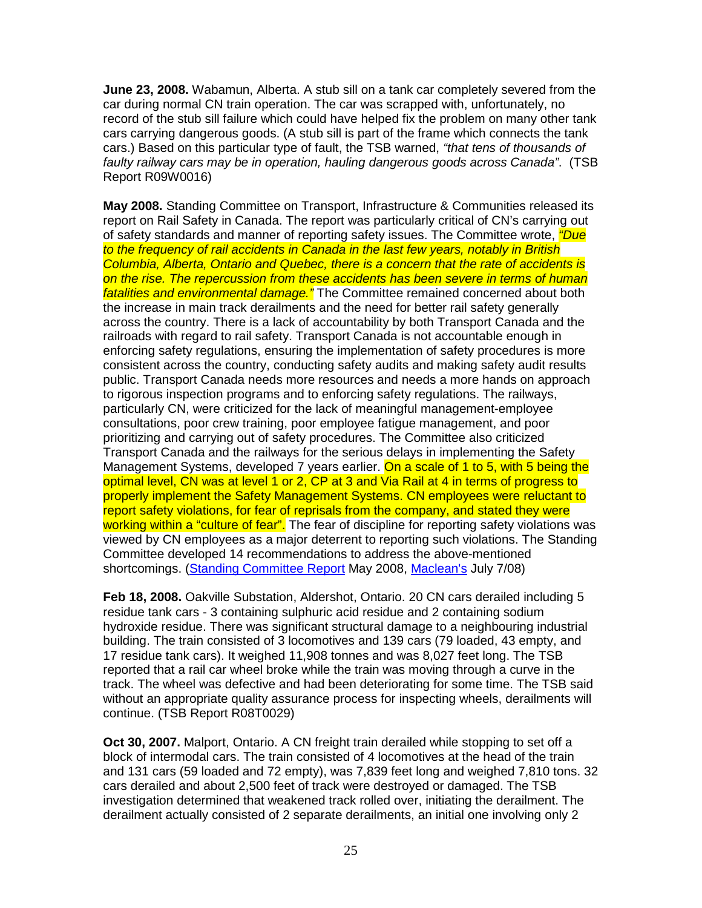**June 23, 2008.** Wabamun, Alberta. A stub sill on a tank car completely severed from the car during normal CN train operation. The car was scrapped with, unfortunately, no record of the stub sill failure which could have helped fix the problem on many other tank cars carrying dangerous goods. (A stub sill is part of the frame which connects the tank cars.) Based on this particular type of fault, the TSB warned, "that tens of thousands of faulty railway cars may be in operation, hauling dangerous goods across Canada". (TSB Report R09W0016)

**May 2008.** Standing Committee on Transport, Infrastructure & Communities released its report on Rail Safety in Canada. The report was particularly critical of CN's carrying out of safety standards and manner of reporting safety issues. The Committee wrote, *"Due* to the frequency of rail accidents in Canada in the last few years, notably in British Columbia, Alberta, Ontario and Quebec, there is a concern that the rate of accidents is on the rise. The repercussion from these accidents has been severe in terms of human fatalities and environmental damage." The Committee remained concerned about both the increase in main track derailments and the need for better rail safety generally across the country. There is a lack of accountability by both Transport Canada and the railroads with regard to rail safety. Transport Canada is not accountable enough in enforcing safety regulations, ensuring the implementation of safety procedures is more consistent across the country, conducting safety audits and making safety audit results public. Transport Canada needs more resources and needs a more hands on approach to rigorous inspection programs and to enforcing safety regulations. The railways, particularly CN, were criticized for the lack of meaningful management-employee consultations, poor crew training, poor employee fatigue management, and poor prioritizing and carrying out of safety procedures. The Committee also criticized Transport Canada and the railways for the serious delays in implementing the Safety Management Systems, developed 7 years earlier. On a scale of 1 to 5, with 5 being the optimal level, CN was at level 1 or 2, CP at 3 and Via Rail at 4 in terms of progress to properly implement the Safety Management Systems. CN employees were reluctant to report safety violations, for fear of reprisals from the company, and stated they were working within a "culture of fear". The fear of discipline for reporting safety violations was viewed by CN employees as a major deterrent to reporting such violations. The Standing Committee developed 14 recommendations to address the above-mentioned shortcomings. (Standing Committee Report May 2008, Maclean's July 7/08)

**Feb 18, 2008.** Oakville Substation, Aldershot, Ontario. 20 CN cars derailed including 5 residue tank cars - 3 containing sulphuric acid residue and 2 containing sodium hydroxide residue. There was significant structural damage to a neighbouring industrial building. The train consisted of 3 locomotives and 139 cars (79 loaded, 43 empty, and 17 residue tank cars). It weighed 11,908 tonnes and was 8,027 feet long. The TSB reported that a rail car wheel broke while the train was moving through a curve in the track. The wheel was defective and had been deteriorating for some time. The TSB said without an appropriate quality assurance process for inspecting wheels, derailments will continue. (TSB Report R08T0029)

**Oct 30, 2007.** Malport, Ontario. A CN freight train derailed while stopping to set off a block of intermodal cars. The train consisted of 4 locomotives at the head of the train and 131 cars (59 loaded and 72 empty), was 7,839 feet long and weighed 7,810 tons. 32 cars derailed and about 2,500 feet of track were destroyed or damaged. The TSB investigation determined that weakened track rolled over, initiating the derailment. The derailment actually consisted of 2 separate derailments, an initial one involving only 2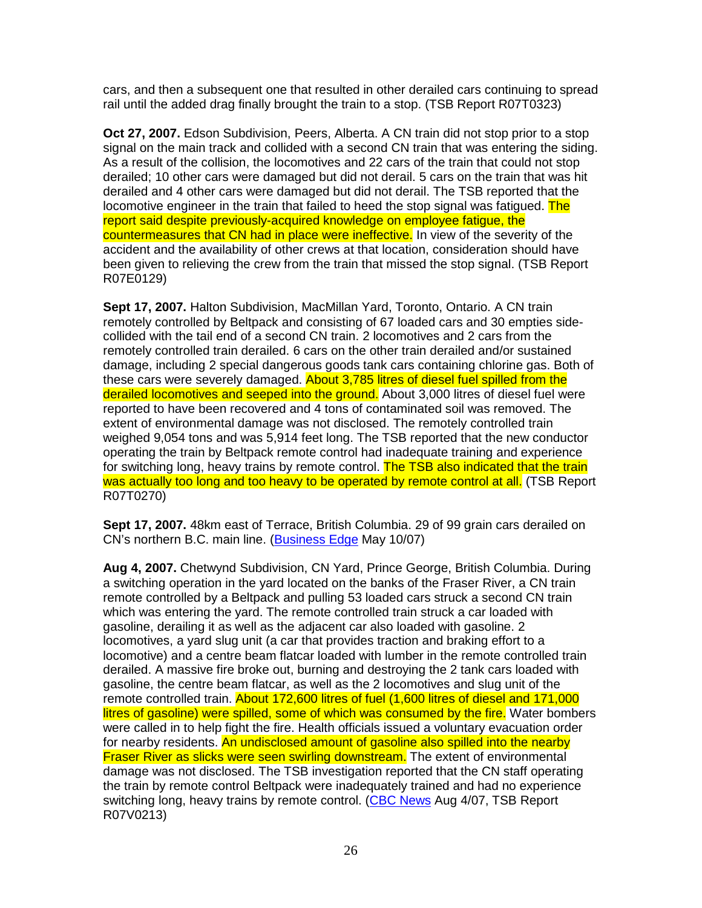cars, and then a subsequent one that resulted in other derailed cars continuing to spread rail until the added drag finally brought the train to a stop. (TSB Report R07T0323)

**Oct 27, 2007.** Edson Subdivision, Peers, Alberta. A CN train did not stop prior to a stop signal on the main track and collided with a second CN train that was entering the siding. As a result of the collision, the locomotives and 22 cars of the train that could not stop derailed; 10 other cars were damaged but did not derail. 5 cars on the train that was hit derailed and 4 other cars were damaged but did not derail. The TSB reported that the locomotive engineer in the train that failed to heed the stop signal was fatigued. The report said despite previously-acquired knowledge on employee fatigue, the countermeasures that CN had in place were ineffective. In view of the severity of the accident and the availability of other crews at that location, consideration should have been given to relieving the crew from the train that missed the stop signal. (TSB Report R07E0129)

**Sept 17, 2007.** Halton Subdivision, MacMillan Yard, Toronto, Ontario. A CN train remotely controlled by Beltpack and consisting of 67 loaded cars and 30 empties sidecollided with the tail end of a second CN train. 2 locomotives and 2 cars from the remotely controlled train derailed. 6 cars on the other train derailed and/or sustained damage, including 2 special dangerous goods tank cars containing chlorine gas. Both of these cars were severely damaged. About 3,785 litres of diesel fuel spilled from the derailed locomotives and seeped into the ground. About 3,000 litres of diesel fuel were reported to have been recovered and 4 tons of contaminated soil was removed. The extent of environmental damage was not disclosed. The remotely controlled train weighed 9,054 tons and was 5,914 feet long. The TSB reported that the new conductor operating the train by Beltpack remote control had inadequate training and experience for switching long, heavy trains by remote control. The TSB also indicated that the train was actually too long and too heavy to be operated by remote control at all. (TSB Report R07T0270)

**Sept 17, 2007.** 48km east of Terrace, British Columbia. 29 of 99 grain cars derailed on CN's northern B.C. main line. (Business Edge May 10/07)

**Aug 4, 2007.** Chetwynd Subdivision, CN Yard, Prince George, British Columbia. During a switching operation in the yard located on the banks of the Fraser River, a CN train remote controlled by a Beltpack and pulling 53 loaded cars struck a second CN train which was entering the yard. The remote controlled train struck a car loaded with gasoline, derailing it as well as the adjacent car also loaded with gasoline. 2 locomotives, a yard slug unit (a car that provides traction and braking effort to a locomotive) and a centre beam flatcar loaded with lumber in the remote controlled train derailed. A massive fire broke out, burning and destroying the 2 tank cars loaded with gasoline, the centre beam flatcar, as well as the 2 locomotives and slug unit of the remote controlled train. About 172,600 litres of fuel (1,600 litres of diesel and 171,000 litres of gasoline) were spilled, some of which was consumed by the fire. Water bombers were called in to help fight the fire. Health officials issued a voluntary evacuation order for nearby residents. An undisclosed amount of gasoline also spilled into the nearby Fraser River as slicks were seen swirling downstream. The extent of environmental damage was not disclosed. The TSB investigation reported that the CN staff operating the train by remote control Beltpack were inadequately trained and had no experience switching long, heavy trains by remote control. (CBC News Aug 4/07, TSB Report R07V0213)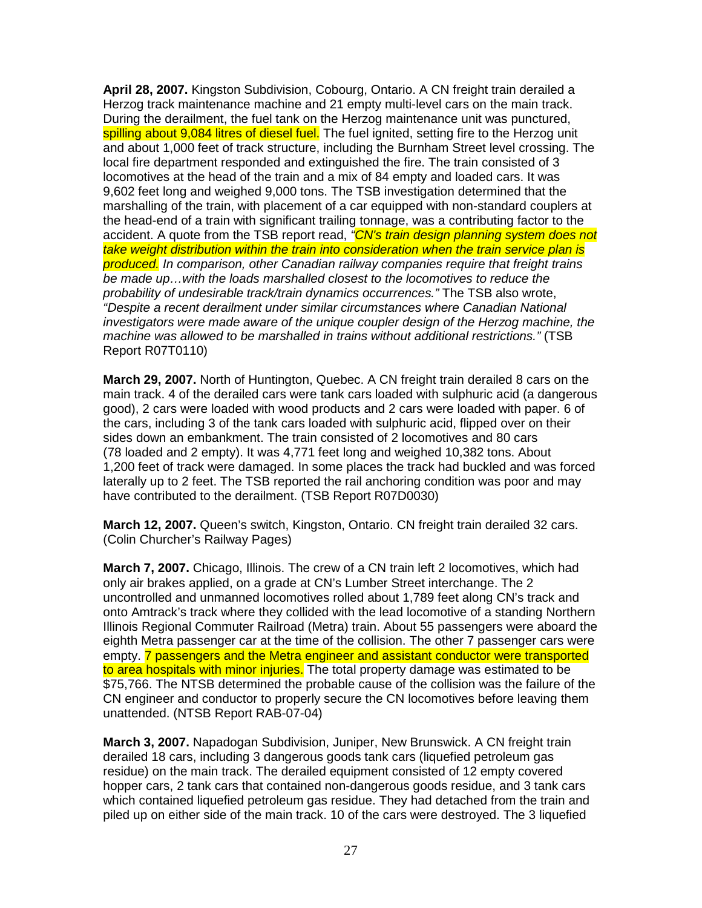**April 28, 2007.** Kingston Subdivision, Cobourg, Ontario. A CN freight train derailed a Herzog track maintenance machine and 21 empty multi-level cars on the main track. During the derailment, the fuel tank on the Herzog maintenance unit was punctured, spilling about 9,084 litres of diesel fuel. The fuel ignited, setting fire to the Herzog unit and about 1,000 feet of track structure, including the Burnham Street level crossing. The local fire department responded and extinguished the fire. The train consisted of 3 locomotives at the head of the train and a mix of 84 empty and loaded cars. It was 9,602 feet long and weighed 9,000 tons. The TSB investigation determined that the marshalling of the train, with placement of a car equipped with non-standard couplers at the head-end of a train with significant trailing tonnage, was a contributing factor to the accident. A quote from the TSB report read, <sup>"</sup>CN's train design planning system does not take weight distribution within the train into consideration when the train service plan is produced. In comparison, other Canadian railway companies require that freight trains be made up…with the loads marshalled closest to the locomotives to reduce the probability of undesirable track/train dynamics occurrences." The TSB also wrote, "Despite a recent derailment under similar circumstances where Canadian National investigators were made aware of the unique coupler design of the Herzog machine, the machine was allowed to be marshalled in trains without additional restrictions." (TSB Report R07T0110)

**March 29, 2007.** North of Huntington, Quebec. A CN freight train derailed 8 cars on the main track. 4 of the derailed cars were tank cars loaded with sulphuric acid (a dangerous good), 2 cars were loaded with wood products and 2 cars were loaded with paper. 6 of the cars, including 3 of the tank cars loaded with sulphuric acid, flipped over on their sides down an embankment. The train consisted of 2 locomotives and 80 cars (78 loaded and 2 empty). It was 4,771 feet long and weighed 10,382 tons. About 1,200 feet of track were damaged. In some places the track had buckled and was forced laterally up to 2 feet. The TSB reported the rail anchoring condition was poor and may have contributed to the derailment. (TSB Report R07D0030)

**March 12, 2007.** Queen's switch, Kingston, Ontario. CN freight train derailed 32 cars. (Colin Churcher's Railway Pages)

**March 7, 2007.** Chicago, Illinois. The crew of a CN train left 2 locomotives, which had only air brakes applied, on a grade at CN's Lumber Street interchange. The 2 uncontrolled and unmanned locomotives rolled about 1,789 feet along CN's track and onto Amtrack's track where they collided with the lead locomotive of a standing Northern Illinois Regional Commuter Railroad (Metra) train. About 55 passengers were aboard the eighth Metra passenger car at the time of the collision. The other 7 passenger cars were empty. **7 passengers and the Metra engineer and assistant conductor were transported** to area hospitals with minor injuries. The total property damage was estimated to be \$75,766. The NTSB determined the probable cause of the collision was the failure of the CN engineer and conductor to properly secure the CN locomotives before leaving them unattended. (NTSB Report RAB-07-04)

**March 3, 2007.** Napadogan Subdivision, Juniper, New Brunswick. A CN freight train derailed 18 cars, including 3 dangerous goods tank cars (liquefied petroleum gas residue) on the main track. The derailed equipment consisted of 12 empty covered hopper cars, 2 tank cars that contained non-dangerous goods residue, and 3 tank cars which contained liquefied petroleum gas residue. They had detached from the train and piled up on either side of the main track. 10 of the cars were destroyed. The 3 liquefied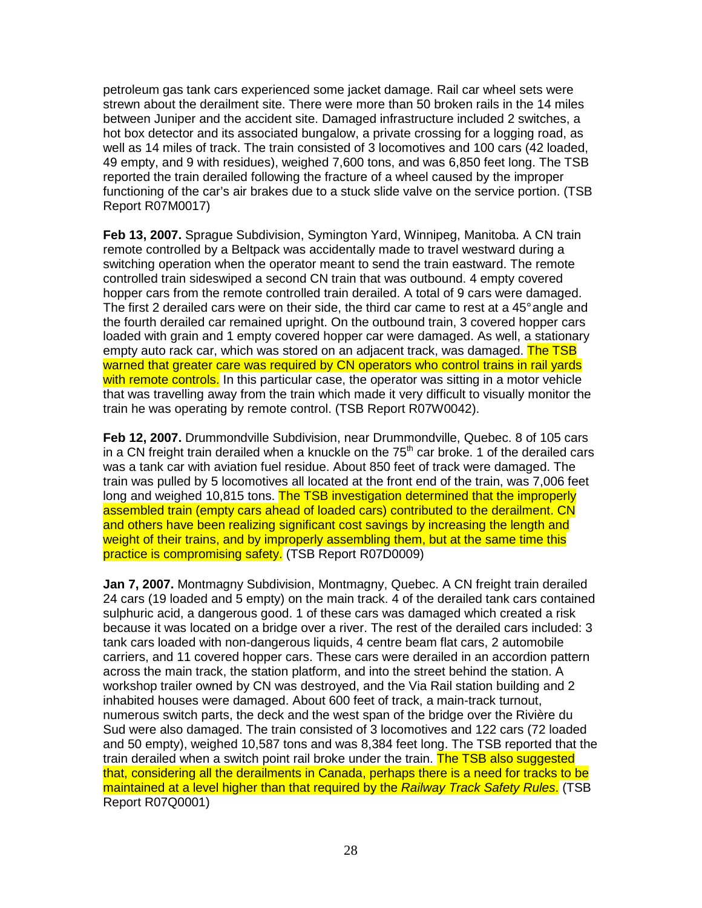petroleum gas tank cars experienced some jacket damage. Rail car wheel sets were strewn about the derailment site. There were more than 50 broken rails in the 14 miles between Juniper and the accident site. Damaged infrastructure included 2 switches, a hot box detector and its associated bungalow, a private crossing for a logging road, as well as 14 miles of track. The train consisted of 3 locomotives and 100 cars (42 loaded, 49 empty, and 9 with residues), weighed 7,600 tons, and was 6,850 feet long. The TSB reported the train derailed following the fracture of a wheel caused by the improper functioning of the car's air brakes due to a stuck slide valve on the service portion. (TSB Report R07M0017)

**Feb 13, 2007.** Sprague Subdivision, Symington Yard, Winnipeg, Manitoba. A CN train remote controlled by a Beltpack was accidentally made to travel westward during a switching operation when the operator meant to send the train eastward. The remote controlled train sideswiped a second CN train that was outbound. 4 empty covered hopper cars from the remote controlled train derailed. A total of 9 cars were damaged. The first 2 derailed cars were on their side, the third car came to rest at a 45° angle and the fourth derailed car remained upright. On the outbound train, 3 covered hopper cars loaded with grain and 1 empty covered hopper car were damaged. As well, a stationary empty auto rack car, which was stored on an adjacent track, was damaged. The TSB warned that greater care was required by CN operators who control trains in rail yards with remote controls. In this particular case, the operator was sitting in a motor vehicle that was travelling away from the train which made it very difficult to visually monitor the train he was operating by remote control. (TSB Report R07W0042).

**Feb 12, 2007.** Drummondville Subdivision, near Drummondville, Quebec. 8 of 105 cars in a CN freight train derailed when a knuckle on the  $75<sup>th</sup>$  car broke. 1 of the derailed cars was a tank car with aviation fuel residue. About 850 feet of track were damaged. The train was pulled by 5 locomotives all located at the front end of the train, was 7,006 feet long and weighed 10,815 tons. The TSB investigation determined that the improperly assembled train (empty cars ahead of loaded cars) contributed to the derailment. CN and others have been realizing significant cost savings by increasing the length and weight of their trains, and by improperly assembling them, but at the same time this practice is compromising safety. (TSB Report R07D0009)

**Jan 7, 2007.** Montmagny Subdivision, Montmagny, Quebec. A CN freight train derailed 24 cars (19 loaded and 5 empty) on the main track. 4 of the derailed tank cars contained sulphuric acid, a dangerous good. 1 of these cars was damaged which created a risk because it was located on a bridge over a river. The rest of the derailed cars included: 3 tank cars loaded with non-dangerous liquids, 4 centre beam flat cars, 2 automobile carriers, and 11 covered hopper cars. These cars were derailed in an accordion pattern across the main track, the station platform, and into the street behind the station. A workshop trailer owned by CN was destroyed, and the Via Rail station building and 2 inhabited houses were damaged. About 600 feet of track, a main-track turnout, numerous switch parts, the deck and the west span of the bridge over the Rivière du Sud were also damaged. The train consisted of 3 locomotives and 122 cars (72 loaded and 50 empty), weighed 10,587 tons and was 8,384 feet long. The TSB reported that the train derailed when a switch point rail broke under the train. The TSB also suggested that, considering all the derailments in Canada, perhaps there is a need for tracks to be maintained at a level higher than that required by the Railway Track Safety Rules. (TSB Report R07Q0001)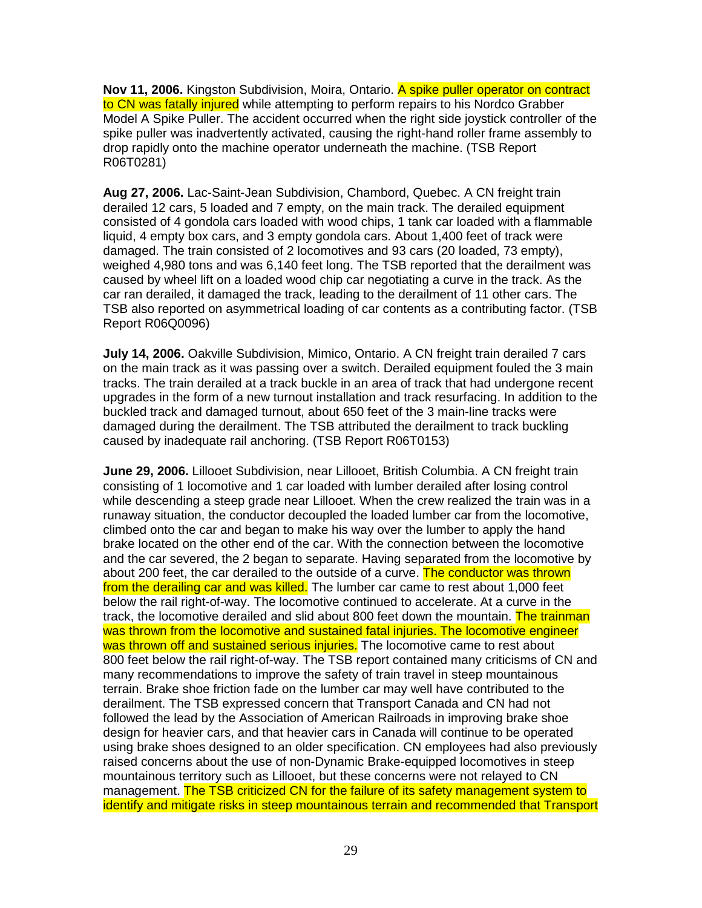**Nov 11, 2006.** Kingston Subdivision, Moira, Ontario. A spike puller operator on contract to CN was fatally injured while attempting to perform repairs to his Nordco Grabber Model A Spike Puller. The accident occurred when the right side joystick controller of the spike puller was inadvertently activated, causing the right-hand roller frame assembly to drop rapidly onto the machine operator underneath the machine. (TSB Report R06T0281)

**Aug 27, 2006.** Lac-Saint-Jean Subdivision, Chambord, Quebec. A CN freight train derailed 12 cars, 5 loaded and 7 empty, on the main track. The derailed equipment consisted of 4 gondola cars loaded with wood chips, 1 tank car loaded with a flammable liquid, 4 empty box cars, and 3 empty gondola cars. About 1,400 feet of track were damaged. The train consisted of 2 locomotives and 93 cars (20 loaded, 73 empty), weighed 4,980 tons and was 6,140 feet long. The TSB reported that the derailment was caused by wheel lift on a loaded wood chip car negotiating a curve in the track. As the car ran derailed, it damaged the track, leading to the derailment of 11 other cars. The TSB also reported on asymmetrical loading of car contents as a contributing factor. (TSB Report R06Q0096)

**July 14, 2006.** Oakville Subdivision, Mimico, Ontario. A CN freight train derailed 7 cars on the main track as it was passing over a switch. Derailed equipment fouled the 3 main tracks. The train derailed at a track buckle in an area of track that had undergone recent upgrades in the form of a new turnout installation and track resurfacing. In addition to the buckled track and damaged turnout, about 650 feet of the 3 main-line tracks were damaged during the derailment. The TSB attributed the derailment to track buckling caused by inadequate rail anchoring. (TSB Report R06T0153)

**June 29, 2006.** Lillooet Subdivision, near Lillooet, British Columbia. A CN freight train consisting of 1 locomotive and 1 car loaded with lumber derailed after losing control while descending a steep grade near Lillooet. When the crew realized the train was in a runaway situation, the conductor decoupled the loaded lumber car from the locomotive, climbed onto the car and began to make his way over the lumber to apply the hand brake located on the other end of the car. With the connection between the locomotive and the car severed, the 2 began to separate. Having separated from the locomotive by about 200 feet, the car derailed to the outside of a curve. The conductor was thrown from the derailing car and was killed. The lumber car came to rest about 1,000 feet below the rail right-of-way. The locomotive continued to accelerate. At a curve in the track, the locomotive derailed and slid about 800 feet down the mountain. The trainman was thrown from the locomotive and sustained fatal injuries. The locomotive engineer was thrown off and sustained serious injuries. The locomotive came to rest about 800 feet below the rail right-of-way. The TSB report contained many criticisms of CN and many recommendations to improve the safety of train travel in steep mountainous terrain. Brake shoe friction fade on the lumber car may well have contributed to the derailment. The TSB expressed concern that Transport Canada and CN had not followed the lead by the Association of American Railroads in improving brake shoe design for heavier cars, and that heavier cars in Canada will continue to be operated using brake shoes designed to an older specification. CN employees had also previously raised concerns about the use of non-Dynamic Brake-equipped locomotives in steep mountainous territory such as Lillooet, but these concerns were not relayed to CN management. The TSB criticized CN for the failure of its safety management system to identify and mitigate risks in steep mountainous terrain and recommended that Transport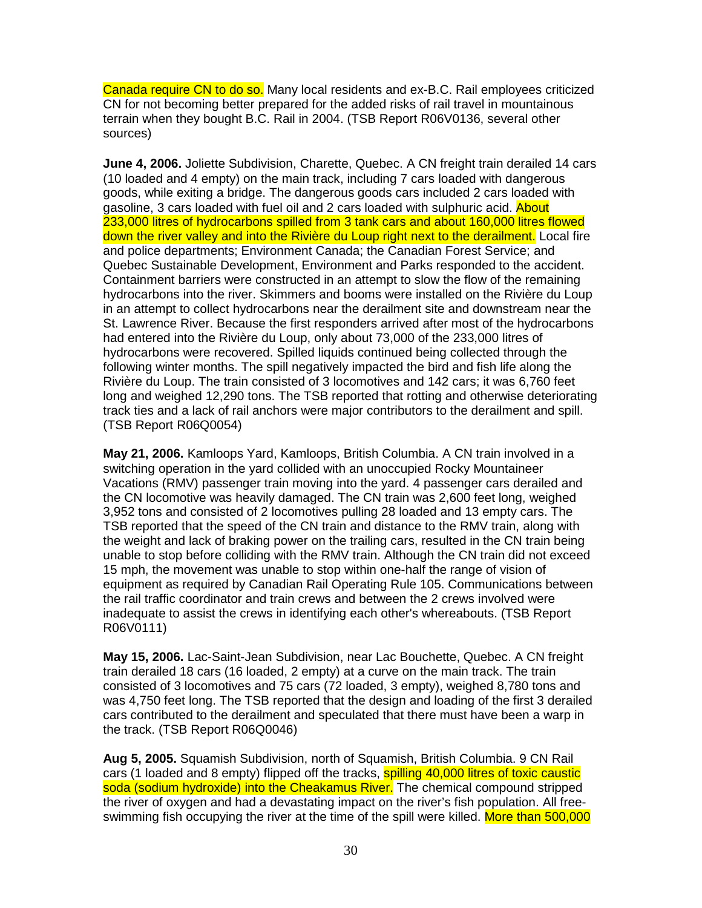Canada require CN to do so. Many local residents and ex-B.C. Rail employees criticized CN for not becoming better prepared for the added risks of rail travel in mountainous terrain when they bought B.C. Rail in 2004. (TSB Report R06V0136, several other sources)

**June 4, 2006.** Joliette Subdivision, Charette, Quebec. A CN freight train derailed 14 cars (10 loaded and 4 empty) on the main track, including 7 cars loaded with dangerous goods, while exiting a bridge. The dangerous goods cars included 2 cars loaded with gasoline, 3 cars loaded with fuel oil and 2 cars loaded with sulphuric acid. About 233,000 litres of hydrocarbons spilled from 3 tank cars and about 160,000 litres flowed down the river valley and into the Rivière du Loup right next to the derailment. Local fire and police departments; Environment Canada; the Canadian Forest Service; and Quebec Sustainable Development, Environment and Parks responded to the accident. Containment barriers were constructed in an attempt to slow the flow of the remaining hydrocarbons into the river. Skimmers and booms were installed on the Rivière du Loup in an attempt to collect hydrocarbons near the derailment site and downstream near the St. Lawrence River. Because the first responders arrived after most of the hydrocarbons had entered into the Rivière du Loup, only about 73,000 of the 233,000 litres of hydrocarbons were recovered. Spilled liquids continued being collected through the following winter months. The spill negatively impacted the bird and fish life along the Rivière du Loup. The train consisted of 3 locomotives and 142 cars; it was 6,760 feet long and weighed 12,290 tons. The TSB reported that rotting and otherwise deteriorating track ties and a lack of rail anchors were major contributors to the derailment and spill. (TSB Report R06Q0054)

**May 21, 2006.** Kamloops Yard, Kamloops, British Columbia. A CN train involved in a switching operation in the yard collided with an unoccupied Rocky Mountaineer Vacations (RMV) passenger train moving into the yard. 4 passenger cars derailed and the CN locomotive was heavily damaged. The CN train was 2,600 feet long, weighed 3,952 tons and consisted of 2 locomotives pulling 28 loaded and 13 empty cars. The TSB reported that the speed of the CN train and distance to the RMV train, along with the weight and lack of braking power on the trailing cars, resulted in the CN train being unable to stop before colliding with the RMV train. Although the CN train did not exceed 15 mph, the movement was unable to stop within one-half the range of vision of equipment as required by Canadian Rail Operating Rule 105. Communications between the rail traffic coordinator and train crews and between the 2 crews involved were inadequate to assist the crews in identifying each other's whereabouts. (TSB Report R06V0111)

**May 15, 2006.** Lac-Saint-Jean Subdivision, near Lac Bouchette, Quebec. A CN freight train derailed 18 cars (16 loaded, 2 empty) at a curve on the main track. The train consisted of 3 locomotives and 75 cars (72 loaded, 3 empty), weighed 8,780 tons and was 4,750 feet long. The TSB reported that the design and loading of the first 3 derailed cars contributed to the derailment and speculated that there must have been a warp in the track. (TSB Report R06Q0046)

**Aug 5, 2005.** Squamish Subdivision, north of Squamish, British Columbia. 9 CN Rail cars (1 loaded and 8 empty) flipped off the tracks, **spilling 40,000 litres of toxic caustic** soda (sodium hydroxide) into the Cheakamus River. The chemical compound stripped the river of oxygen and had a devastating impact on the river's fish population. All freeswimming fish occupying the river at the time of the spill were killed. More than 500,000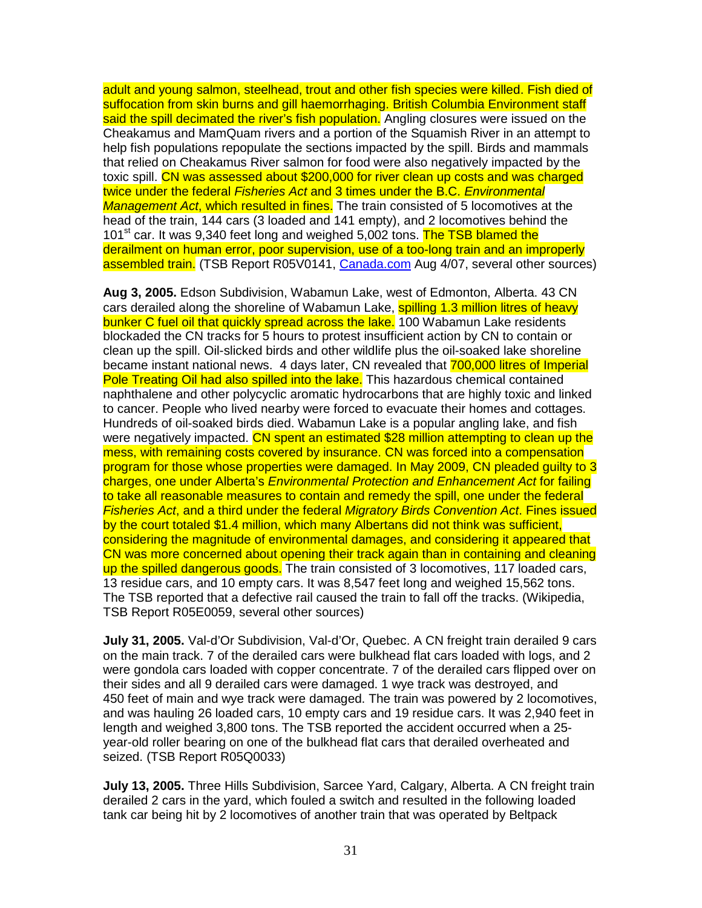adult and young salmon, steelhead, trout and other fish species were killed. Fish died of suffocation from skin burns and gill haemorrhaging. British Columbia Environment staff said the spill decimated the river's fish population. Angling closures were issued on the Cheakamus and MamQuam rivers and a portion of the Squamish River in an attempt to help fish populations repopulate the sections impacted by the spill. Birds and mammals that relied on Cheakamus River salmon for food were also negatively impacted by the toxic spill. CN was assessed about \$200,000 for river clean up costs and was charged twice under the federal *Fisheries Act* and 3 times under the B.C. *Environmental* Management Act, which resulted in fines. The train consisted of 5 locomotives at the head of the train, 144 cars (3 loaded and 141 empty), and 2 locomotives behind the 101<sup>st</sup> car. It was 9,340 feet long and weighed 5,002 tons. The TSB blamed the derailment on human error, poor supervision, use of a too-long train and an improperly assembled train. (TSB Report R05V0141, Canada.com Aug 4/07, several other sources)

**Aug 3, 2005.** Edson Subdivision, Wabamun Lake, west of Edmonton, Alberta. 43 CN cars derailed along the shoreline of Wabamun Lake, spilling 1.3 million litres of heavy bunker C fuel oil that quickly spread across the lake. 100 Wabamun Lake residents blockaded the CN tracks for 5 hours to protest insufficient action by CN to contain or clean up the spill. Oil-slicked birds and other wildlife plus the oil-soaked lake shoreline became instant national news. 4 days later, CN revealed that 700,000 litres of Imperial Pole Treating Oil had also spilled into the lake. This hazardous chemical contained naphthalene and other polycyclic aromatic hydrocarbons that are highly toxic and linked to cancer. People who lived nearby were forced to evacuate their homes and cottages. Hundreds of oil-soaked birds died. Wabamun Lake is a popular angling lake, and fish were negatively impacted. CN spent an estimated \$28 million attempting to clean up the mess, with remaining costs covered by insurance. CN was forced into a compensation program for those whose properties were damaged. In May 2009, CN pleaded guilty to 3 charges, one under Alberta's Environmental Protection and Enhancement Act for failing to take all reasonable measures to contain and remedy the spill, one under the federal Fisheries Act, and a third under the federal Migratory Birds Convention Act. Fines issued by the court totaled \$1.4 million, which many Albertans did not think was sufficient, considering the magnitude of environmental damages, and considering it appeared that CN was more concerned about opening their track again than in containing and cleaning up the spilled dangerous goods. The train consisted of 3 locomotives, 117 loaded cars, 13 residue cars, and 10 empty cars. It was 8,547 feet long and weighed 15,562 tons. The TSB reported that a defective rail caused the train to fall off the tracks. (Wikipedia, TSB Report R05E0059, several other sources)

**July 31, 2005.** Val-d'Or Subdivision, Val-d'Or, Quebec. A CN freight train derailed 9 cars on the main track. 7 of the derailed cars were bulkhead flat cars loaded with logs, and 2 were gondola cars loaded with copper concentrate. 7 of the derailed cars flipped over on their sides and all 9 derailed cars were damaged. 1 wye track was destroyed, and 450 feet of main and wye track were damaged. The train was powered by 2 locomotives, and was hauling 26 loaded cars, 10 empty cars and 19 residue cars. It was 2,940 feet in length and weighed 3,800 tons. The TSB reported the accident occurred when a 25 year-old roller bearing on one of the bulkhead flat cars that derailed overheated and seized. (TSB Report R05Q0033)

**July 13, 2005.** Three Hills Subdivision, Sarcee Yard, Calgary, Alberta. A CN freight train derailed 2 cars in the yard, which fouled a switch and resulted in the following loaded tank car being hit by 2 locomotives of another train that was operated by Beltpack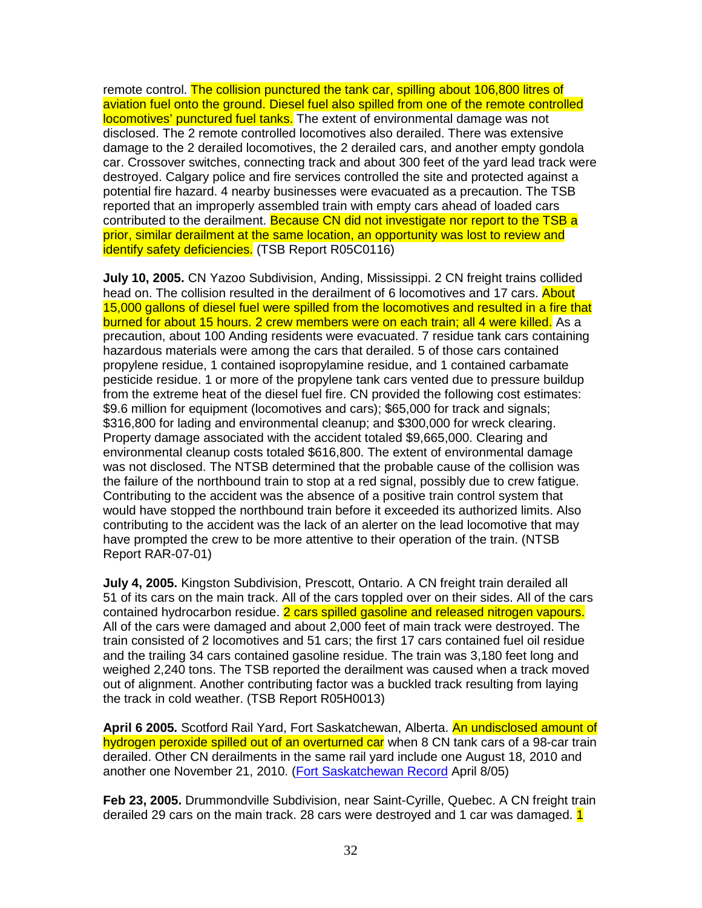remote control. The collision punctured the tank car, spilling about 106,800 litres of aviation fuel onto the ground. Diesel fuel also spilled from one of the remote controlled locomotives' punctured fuel tanks. The extent of environmental damage was not disclosed. The 2 remote controlled locomotives also derailed. There was extensive damage to the 2 derailed locomotives, the 2 derailed cars, and another empty gondola car. Crossover switches, connecting track and about 300 feet of the yard lead track were destroyed. Calgary police and fire services controlled the site and protected against a potential fire hazard. 4 nearby businesses were evacuated as a precaution. The TSB reported that an improperly assembled train with empty cars ahead of loaded cars contributed to the derailment. Because CN did not investigate nor report to the TSB a prior, similar derailment at the same location, an opportunity was lost to review and identify safety deficiencies. (TSB Report R05C0116)

**July 10, 2005.** CN Yazoo Subdivision, Anding, Mississippi. 2 CN freight trains collided head on. The collision resulted in the derailment of 6 locomotives and 17 cars. About 15,000 gallons of diesel fuel were spilled from the locomotives and resulted in a fire that burned for about 15 hours. 2 crew members were on each train; all 4 were killed. As a precaution, about 100 Anding residents were evacuated. 7 residue tank cars containing hazardous materials were among the cars that derailed. 5 of those cars contained propylene residue, 1 contained isopropylamine residue, and 1 contained carbamate pesticide residue. 1 or more of the propylene tank cars vented due to pressure buildup from the extreme heat of the diesel fuel fire. CN provided the following cost estimates: \$9.6 million for equipment (locomotives and cars); \$65,000 for track and signals; \$316,800 for lading and environmental cleanup; and \$300,000 for wreck clearing. Property damage associated with the accident totaled \$9,665,000. Clearing and environmental cleanup costs totaled \$616,800. The extent of environmental damage was not disclosed. The NTSB determined that the probable cause of the collision was the failure of the northbound train to stop at a red signal, possibly due to crew fatigue. Contributing to the accident was the absence of a positive train control system that would have stopped the northbound train before it exceeded its authorized limits. Also contributing to the accident was the lack of an alerter on the lead locomotive that may have prompted the crew to be more attentive to their operation of the train. (NTSB Report RAR-07-01)

**July 4, 2005.** Kingston Subdivision, Prescott, Ontario. A CN freight train derailed all 51 of its cars on the main track. All of the cars toppled over on their sides. All of the cars contained hydrocarbon residue. 2 cars spilled gasoline and released nitrogen vapours. All of the cars were damaged and about 2,000 feet of main track were destroyed. The train consisted of 2 locomotives and 51 cars; the first 17 cars contained fuel oil residue and the trailing 34 cars contained gasoline residue. The train was 3,180 feet long and weighed 2,240 tons. The TSB reported the derailment was caused when a track moved out of alignment. Another contributing factor was a buckled track resulting from laying the track in cold weather. (TSB Report R05H0013)

**April 6 2005.** Scotford Rail Yard, Fort Saskatchewan, Alberta. An undisclosed amount of hydrogen peroxide spilled out of an overturned car when 8 CN tank cars of a 98-car train derailed. Other CN derailments in the same rail yard include one August 18, 2010 and another one November 21, 2010. (Fort Saskatchewan Record April 8/05)

**Feb 23, 2005.** Drummondville Subdivision, near Saint-Cyrille, Quebec. A CN freight train derailed 29 cars on the main track. 28 cars were destroyed and 1 car was damaged. 1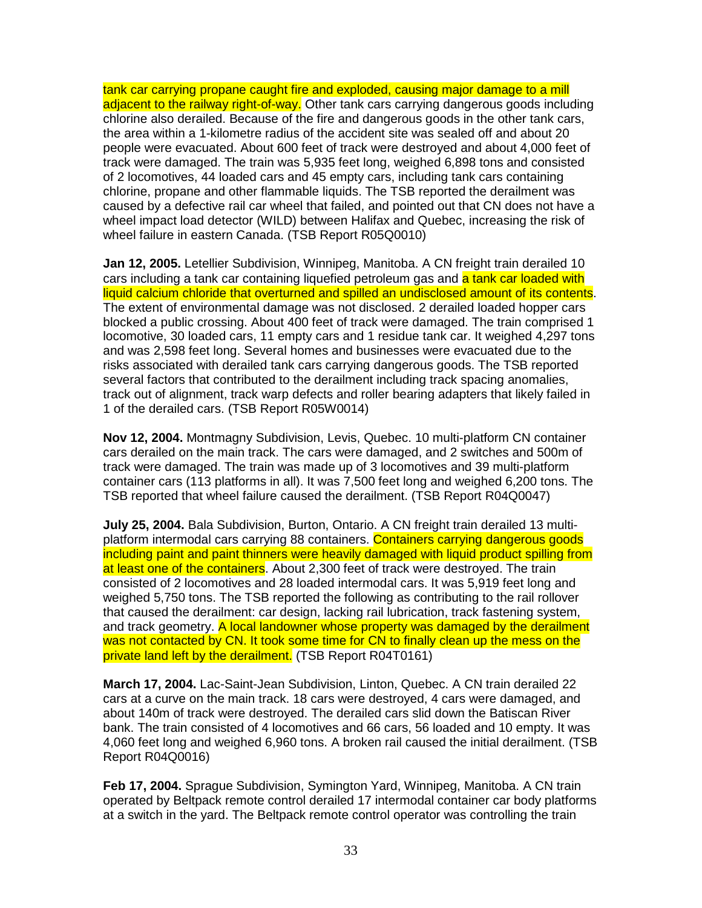tank car carrying propane caught fire and exploded, causing major damage to a mill adjacent to the railway right-of-way. Other tank cars carrying dangerous goods including chlorine also derailed. Because of the fire and dangerous goods in the other tank cars, the area within a 1-kilometre radius of the accident site was sealed off and about 20 people were evacuated. About 600 feet of track were destroyed and about 4,000 feet of track were damaged. The train was 5,935 feet long, weighed 6,898 tons and consisted of 2 locomotives, 44 loaded cars and 45 empty cars, including tank cars containing chlorine, propane and other flammable liquids. The TSB reported the derailment was caused by a defective rail car wheel that failed, and pointed out that CN does not have a wheel impact load detector (WILD) between Halifax and Quebec, increasing the risk of wheel failure in eastern Canada. (TSB Report R05Q0010)

**Jan 12, 2005.** Letellier Subdivision, Winnipeg, Manitoba. A CN freight train derailed 10 cars including a tank car containing liquefied petroleum gas and a tank car loaded with liquid calcium chloride that overturned and spilled an undisclosed amount of its contents. The extent of environmental damage was not disclosed. 2 derailed loaded hopper cars blocked a public crossing. About 400 feet of track were damaged. The train comprised 1 locomotive, 30 loaded cars, 11 empty cars and 1 residue tank car. It weighed 4,297 tons and was 2,598 feet long. Several homes and businesses were evacuated due to the risks associated with derailed tank cars carrying dangerous goods. The TSB reported several factors that contributed to the derailment including track spacing anomalies, track out of alignment, track warp defects and roller bearing adapters that likely failed in 1 of the derailed cars. (TSB Report R05W0014)

**Nov 12, 2004.** Montmagny Subdivision, Levis, Quebec. 10 multi-platform CN container cars derailed on the main track. The cars were damaged, and 2 switches and 500m of track were damaged. The train was made up of 3 locomotives and 39 multi-platform container cars (113 platforms in all). It was 7,500 feet long and weighed 6,200 tons. The TSB reported that wheel failure caused the derailment. (TSB Report R04Q0047)

**July 25, 2004.** Bala Subdivision, Burton, Ontario. A CN freight train derailed 13 multiplatform intermodal cars carrying 88 containers. Containers carrying dangerous goods including paint and paint thinners were heavily damaged with liquid product spilling from at least one of the containers. About 2,300 feet of track were destroyed. The train consisted of 2 locomotives and 28 loaded intermodal cars. It was 5,919 feet long and weighed 5,750 tons. The TSB reported the following as contributing to the rail rollover that caused the derailment: car design, lacking rail lubrication, track fastening system, and track geometry. A local landowner whose property was damaged by the derailment was not contacted by CN. It took some time for CN to finally clean up the mess on the private land left by the derailment. (TSB Report R04T0161)

**March 17, 2004.** Lac-Saint-Jean Subdivision, Linton, Quebec. A CN train derailed 22 cars at a curve on the main track. 18 cars were destroyed, 4 cars were damaged, and about 140m of track were destroyed. The derailed cars slid down the Batiscan River bank. The train consisted of 4 locomotives and 66 cars, 56 loaded and 10 empty. It was 4,060 feet long and weighed 6,960 tons. A broken rail caused the initial derailment. (TSB Report R04Q0016)

**Feb 17, 2004.** Sprague Subdivision, Symington Yard, Winnipeg, Manitoba. A CN train operated by Beltpack remote control derailed 17 intermodal container car body platforms at a switch in the yard. The Beltpack remote control operator was controlling the train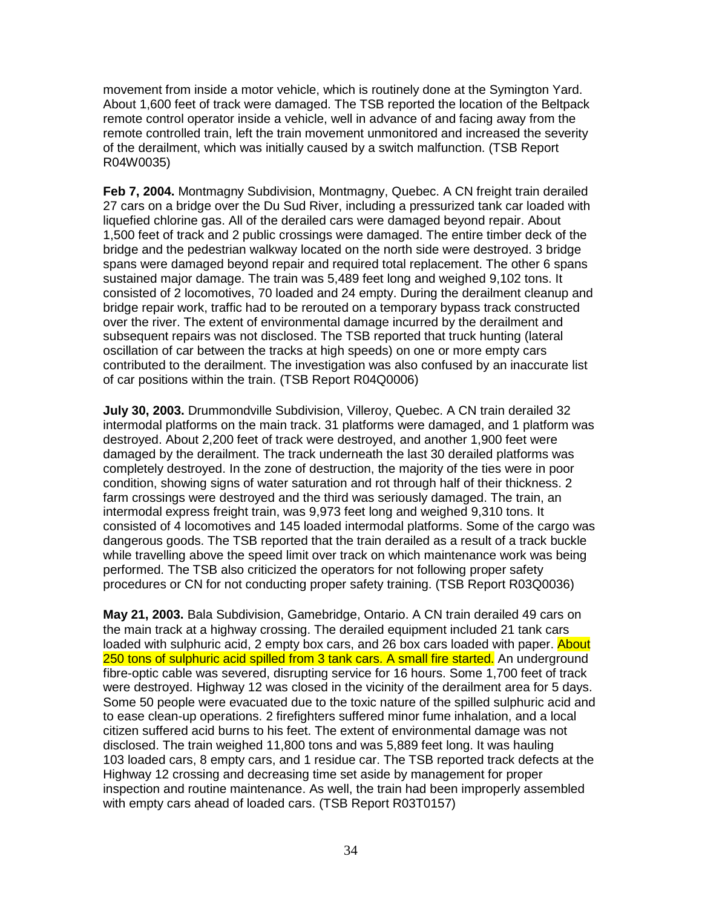movement from inside a motor vehicle, which is routinely done at the Symington Yard. About 1,600 feet of track were damaged. The TSB reported the location of the Beltpack remote control operator inside a vehicle, well in advance of and facing away from the remote controlled train, left the train movement unmonitored and increased the severity of the derailment, which was initially caused by a switch malfunction. (TSB Report R04W0035)

**Feb 7, 2004.** Montmagny Subdivision, Montmagny, Quebec. A CN freight train derailed 27 cars on a bridge over the Du Sud River, including a pressurized tank car loaded with liquefied chlorine gas. All of the derailed cars were damaged beyond repair. About 1,500 feet of track and 2 public crossings were damaged. The entire timber deck of the bridge and the pedestrian walkway located on the north side were destroyed. 3 bridge spans were damaged beyond repair and required total replacement. The other 6 spans sustained major damage. The train was 5,489 feet long and weighed 9,102 tons. It consisted of 2 locomotives, 70 loaded and 24 empty. During the derailment cleanup and bridge repair work, traffic had to be rerouted on a temporary bypass track constructed over the river. The extent of environmental damage incurred by the derailment and subsequent repairs was not disclosed. The TSB reported that truck hunting (lateral oscillation of car between the tracks at high speeds) on one or more empty cars contributed to the derailment. The investigation was also confused by an inaccurate list of car positions within the train. (TSB Report R04Q0006)

**July 30, 2003.** Drummondville Subdivision, Villeroy, Quebec. A CN train derailed 32 intermodal platforms on the main track. 31 platforms were damaged, and 1 platform was destroyed. About 2,200 feet of track were destroyed, and another 1,900 feet were damaged by the derailment. The track underneath the last 30 derailed platforms was completely destroyed. In the zone of destruction, the majority of the ties were in poor condition, showing signs of water saturation and rot through half of their thickness. 2 farm crossings were destroyed and the third was seriously damaged. The train, an intermodal express freight train, was 9,973 feet long and weighed 9,310 tons. It consisted of 4 locomotives and 145 loaded intermodal platforms. Some of the cargo was dangerous goods. The TSB reported that the train derailed as a result of a track buckle while travelling above the speed limit over track on which maintenance work was being performed. The TSB also criticized the operators for not following proper safety procedures or CN for not conducting proper safety training. (TSB Report R03Q0036)

**May 21, 2003.** Bala Subdivision, Gamebridge, Ontario. A CN train derailed 49 cars on the main track at a highway crossing. The derailed equipment included 21 tank cars loaded with sulphuric acid, 2 empty box cars, and 26 box cars loaded with paper. About 250 tons of sulphuric acid spilled from 3 tank cars. A small fire started. An underground fibre-optic cable was severed, disrupting service for 16 hours. Some 1,700 feet of track were destroyed. Highway 12 was closed in the vicinity of the derailment area for 5 days. Some 50 people were evacuated due to the toxic nature of the spilled sulphuric acid and to ease clean-up operations. 2 firefighters suffered minor fume inhalation, and a local citizen suffered acid burns to his feet. The extent of environmental damage was not disclosed. The train weighed 11,800 tons and was 5,889 feet long. It was hauling 103 loaded cars, 8 empty cars, and 1 residue car. The TSB reported track defects at the Highway 12 crossing and decreasing time set aside by management for proper inspection and routine maintenance. As well, the train had been improperly assembled with empty cars ahead of loaded cars. (TSB Report R03T0157)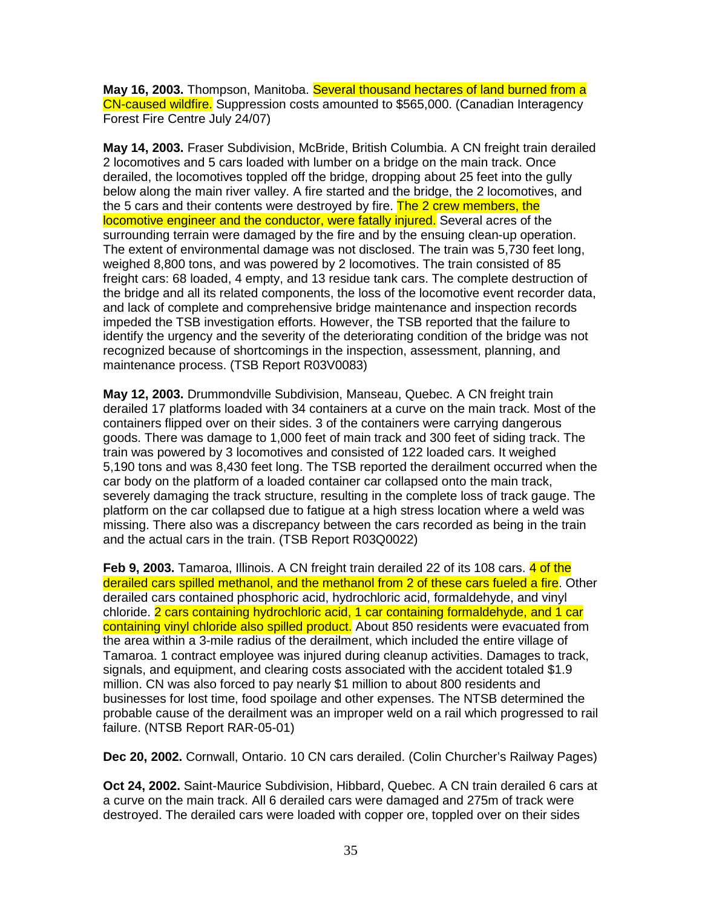**May 16, 2003.** Thompson, Manitoba. Several thousand hectares of land burned from a CN-caused wildfire. Suppression costs amounted to \$565,000. (Canadian Interagency Forest Fire Centre July 24/07)

**May 14, 2003.** Fraser Subdivision, McBride, British Columbia. A CN freight train derailed 2 locomotives and 5 cars loaded with lumber on a bridge on the main track. Once derailed, the locomotives toppled off the bridge, dropping about 25 feet into the gully below along the main river valley. A fire started and the bridge, the 2 locomotives, and the 5 cars and their contents were destroyed by fire. The 2 crew members, the locomotive engineer and the conductor, were fatally injured. Several acres of the surrounding terrain were damaged by the fire and by the ensuing clean-up operation. The extent of environmental damage was not disclosed. The train was 5,730 feet long, weighed 8,800 tons, and was powered by 2 locomotives. The train consisted of 85 freight cars: 68 loaded, 4 empty, and 13 residue tank cars. The complete destruction of the bridge and all its related components, the loss of the locomotive event recorder data, and lack of complete and comprehensive bridge maintenance and inspection records impeded the TSB investigation efforts. However, the TSB reported that the failure to identify the urgency and the severity of the deteriorating condition of the bridge was not recognized because of shortcomings in the inspection, assessment, planning, and maintenance process. (TSB Report R03V0083)

**May 12, 2003.** Drummondville Subdivision, Manseau, Quebec. A CN freight train derailed 17 platforms loaded with 34 containers at a curve on the main track. Most of the containers flipped over on their sides. 3 of the containers were carrying dangerous goods. There was damage to 1,000 feet of main track and 300 feet of siding track. The train was powered by 3 locomotives and consisted of 122 loaded cars. It weighed 5,190 tons and was 8,430 feet long. The TSB reported the derailment occurred when the car body on the platform of a loaded container car collapsed onto the main track, severely damaging the track structure, resulting in the complete loss of track gauge. The platform on the car collapsed due to fatigue at a high stress location where a weld was missing. There also was a discrepancy between the cars recorded as being in the train and the actual cars in the train. (TSB Report R03Q0022)

**Feb 9, 2003.** Tamaroa, Illinois. A CN freight train derailed 22 of its 108 cars. 4 of the derailed cars spilled methanol, and the methanol from 2 of these cars fueled a fire. Other derailed cars contained phosphoric acid, hydrochloric acid, formaldehyde, and vinyl chloride. 2 cars containing hydrochloric acid, 1 car containing formaldehyde, and 1 car containing vinyl chloride also spilled product. About 850 residents were evacuated from the area within a 3-mile radius of the derailment, which included the entire village of Tamaroa. 1 contract employee was injured during cleanup activities. Damages to track, signals, and equipment, and clearing costs associated with the accident totaled \$1.9 million. CN was also forced to pay nearly \$1 million to about 800 residents and businesses for lost time, food spoilage and other expenses. The NTSB determined the probable cause of the derailment was an improper weld on a rail which progressed to rail failure. (NTSB Report RAR-05-01)

**Dec 20, 2002.** Cornwall, Ontario. 10 CN cars derailed. (Colin Churcher's Railway Pages)

**Oct 24, 2002.** Saint-Maurice Subdivision, Hibbard, Quebec. A CN train derailed 6 cars at a curve on the main track. All 6 derailed cars were damaged and 275m of track were destroyed. The derailed cars were loaded with copper ore, toppled over on their sides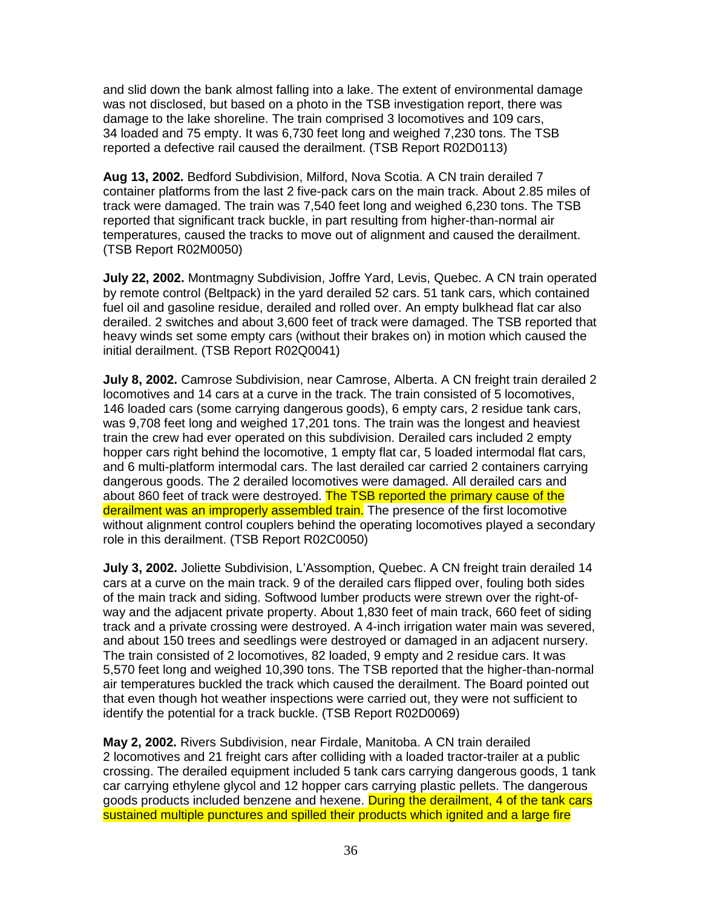and slid down the bank almost falling into a lake. The extent of environmental damage was not disclosed, but based on a photo in the TSB investigation report, there was damage to the lake shoreline. The train comprised 3 locomotives and 109 cars, 34 loaded and 75 empty. It was 6,730 feet long and weighed 7,230 tons. The TSB reported a defective rail caused the derailment. (TSB Report R02D0113)

**Aug 13, 2002.** Bedford Subdivision, Milford, Nova Scotia. A CN train derailed 7 container platforms from the last 2 five-pack cars on the main track. About 2.85 miles of track were damaged. The train was 7,540 feet long and weighed 6,230 tons. The TSB reported that significant track buckle, in part resulting from higher-than-normal air temperatures, caused the tracks to move out of alignment and caused the derailment. (TSB Report R02M0050)

**July 22, 2002.** Montmagny Subdivision, Joffre Yard, Levis, Quebec. A CN train operated by remote control (Beltpack) in the yard derailed 52 cars. 51 tank cars, which contained fuel oil and gasoline residue, derailed and rolled over. An empty bulkhead flat car also derailed. 2 switches and about 3,600 feet of track were damaged. The TSB reported that heavy winds set some empty cars (without their brakes on) in motion which caused the initial derailment. (TSB Report R02Q0041)

**July 8, 2002.** Camrose Subdivision, near Camrose, Alberta. A CN freight train derailed 2 locomotives and 14 cars at a curve in the track. The train consisted of 5 locomotives, 146 loaded cars (some carrying dangerous goods), 6 empty cars, 2 residue tank cars, was 9,708 feet long and weighed 17,201 tons. The train was the longest and heaviest train the crew had ever operated on this subdivision. Derailed cars included 2 empty hopper cars right behind the locomotive, 1 empty flat car, 5 loaded intermodal flat cars, and 6 multi-platform intermodal cars. The last derailed car carried 2 containers carrying dangerous goods. The 2 derailed locomotives were damaged. All derailed cars and about 860 feet of track were destroyed. The TSB reported the primary cause of the derailment was an improperly assembled train. The presence of the first locomotive without alignment control couplers behind the operating locomotives played a secondary role in this derailment. (TSB Report R02C0050)

**July 3, 2002.** Joliette Subdivision, L'Assomption, Quebec. A CN freight train derailed 14 cars at a curve on the main track. 9 of the derailed cars flipped over, fouling both sides of the main track and siding. Softwood lumber products were strewn over the right-ofway and the adjacent private property. About 1,830 feet of main track, 660 feet of siding track and a private crossing were destroyed. A 4-inch irrigation water main was severed, and about 150 trees and seedlings were destroyed or damaged in an adjacent nursery. The train consisted of 2 locomotives, 82 loaded, 9 empty and 2 residue cars. It was 5,570 feet long and weighed 10,390 tons. The TSB reported that the higher-than-normal air temperatures buckled the track which caused the derailment. The Board pointed out that even though hot weather inspections were carried out, they were not sufficient to identify the potential for a track buckle. (TSB Report R02D0069)

**May 2, 2002.** Rivers Subdivision, near Firdale, Manitoba. A CN train derailed 2 locomotives and 21 freight cars after colliding with a loaded tractor-trailer at a public crossing. The derailed equipment included 5 tank cars carrying dangerous goods, 1 tank car carrying ethylene glycol and 12 hopper cars carrying plastic pellets. The dangerous goods products included benzene and hexene. During the derailment, 4 of the tank cars sustained multiple punctures and spilled their products which ignited and a large fire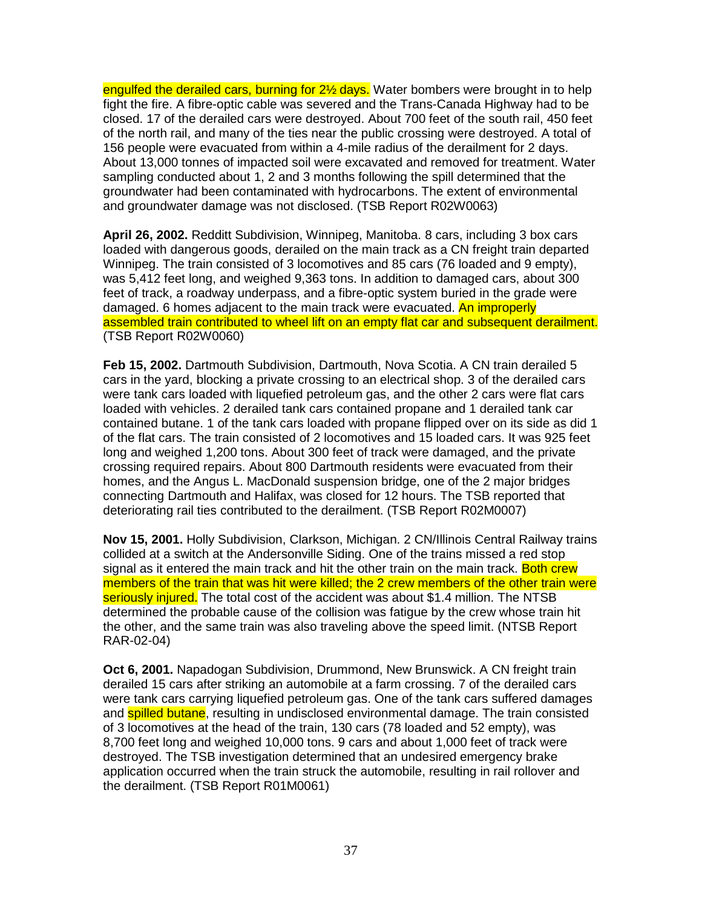engulfed the derailed cars, burning for 2<sup>1/2</sup> days. Water bombers were brought in to help fight the fire. A fibre-optic cable was severed and the Trans-Canada Highway had to be closed. 17 of the derailed cars were destroyed. About 700 feet of the south rail, 450 feet of the north rail, and many of the ties near the public crossing were destroyed. A total of 156 people were evacuated from within a 4-mile radius of the derailment for 2 days. About 13,000 tonnes of impacted soil were excavated and removed for treatment. Water sampling conducted about 1, 2 and 3 months following the spill determined that the groundwater had been contaminated with hydrocarbons. The extent of environmental and groundwater damage was not disclosed. (TSB Report R02W0063)

**April 26, 2002.** Redditt Subdivision, Winnipeg, Manitoba. 8 cars, including 3 box cars loaded with dangerous goods, derailed on the main track as a CN freight train departed Winnipeg. The train consisted of 3 locomotives and 85 cars (76 loaded and 9 empty), was 5,412 feet long, and weighed 9,363 tons. In addition to damaged cars, about 300 feet of track, a roadway underpass, and a fibre-optic system buried in the grade were damaged. 6 homes adjacent to the main track were evacuated. An improperly assembled train contributed to wheel lift on an empty flat car and subsequent derailment. (TSB Report R02W0060)

**Feb 15, 2002.** Dartmouth Subdivision, Dartmouth, Nova Scotia. A CN train derailed 5 cars in the yard, blocking a private crossing to an electrical shop. 3 of the derailed cars were tank cars loaded with liquefied petroleum gas, and the other 2 cars were flat cars loaded with vehicles. 2 derailed tank cars contained propane and 1 derailed tank car contained butane. 1 of the tank cars loaded with propane flipped over on its side as did 1 of the flat cars. The train consisted of 2 locomotives and 15 loaded cars. It was 925 feet long and weighed 1,200 tons. About 300 feet of track were damaged, and the private crossing required repairs. About 800 Dartmouth residents were evacuated from their homes, and the Angus L. MacDonald suspension bridge, one of the 2 major bridges connecting Dartmouth and Halifax, was closed for 12 hours. The TSB reported that deteriorating rail ties contributed to the derailment. (TSB Report R02M0007)

**Nov 15, 2001.** Holly Subdivision, Clarkson, Michigan. 2 CN/Illinois Central Railway trains collided at a switch at the Andersonville Siding. One of the trains missed a red stop signal as it entered the main track and hit the other train on the main track. Both crew members of the train that was hit were killed; the 2 crew members of the other train were seriously injured. The total cost of the accident was about \$1.4 million. The NTSB determined the probable cause of the collision was fatigue by the crew whose train hit the other, and the same train was also traveling above the speed limit. (NTSB Report RAR-02-04)

**Oct 6, 2001.** Napadogan Subdivision, Drummond, New Brunswick. A CN freight train derailed 15 cars after striking an automobile at a farm crossing. 7 of the derailed cars were tank cars carrying liquefied petroleum gas. One of the tank cars suffered damages and **spilled butane**, resulting in undisclosed environmental damage. The train consisted of 3 locomotives at the head of the train, 130 cars (78 loaded and 52 empty), was 8,700 feet long and weighed 10,000 tons. 9 cars and about 1,000 feet of track were destroyed. The TSB investigation determined that an undesired emergency brake application occurred when the train struck the automobile, resulting in rail rollover and the derailment. (TSB Report R01M0061)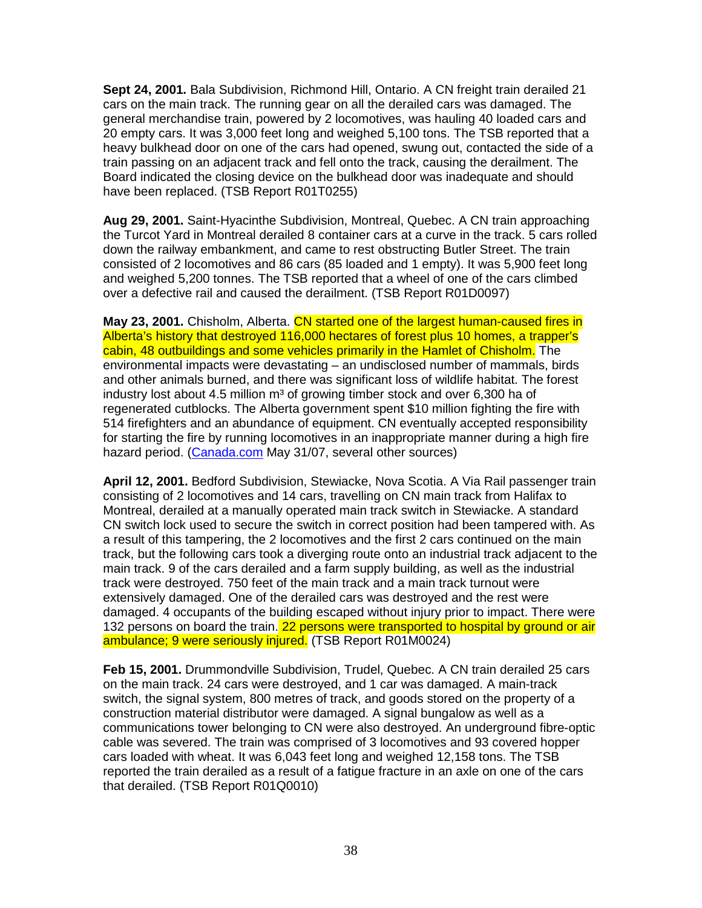**Sept 24, 2001.** Bala Subdivision, Richmond Hill, Ontario. A CN freight train derailed 21 cars on the main track. The running gear on all the derailed cars was damaged. The general merchandise train, powered by 2 locomotives, was hauling 40 loaded cars and 20 empty cars. It was 3,000 feet long and weighed 5,100 tons. The TSB reported that a heavy bulkhead door on one of the cars had opened, swung out, contacted the side of a train passing on an adjacent track and fell onto the track, causing the derailment. The Board indicated the closing device on the bulkhead door was inadequate and should have been replaced. (TSB Report R01T0255)

**Aug 29, 2001.** Saint-Hyacinthe Subdivision, Montreal, Quebec. A CN train approaching the Turcot Yard in Montreal derailed 8 container cars at a curve in the track. 5 cars rolled down the railway embankment, and came to rest obstructing Butler Street. The train consisted of 2 locomotives and 86 cars (85 loaded and 1 empty). It was 5,900 feet long and weighed 5,200 tonnes. The TSB reported that a wheel of one of the cars climbed over a defective rail and caused the derailment. (TSB Report R01D0097)

**May 23, 2001.** Chisholm, Alberta. CN started one of the largest human-caused fires in Alberta's history that destroyed 116,000 hectares of forest plus 10 homes, a trapper's cabin, 48 outbuildings and some vehicles primarily in the Hamlet of Chisholm. The environmental impacts were devastating – an undisclosed number of mammals, birds and other animals burned, and there was significant loss of wildlife habitat. The forest industry lost about 4.5 million  $m<sup>3</sup>$  of growing timber stock and over 6,300 ha of regenerated cutblocks. The Alberta government spent \$10 million fighting the fire with 514 firefighters and an abundance of equipment. CN eventually accepted responsibility for starting the fire by running locomotives in an inappropriate manner during a high fire hazard period. (Canada.com May 31/07, several other sources)

**April 12, 2001.** Bedford Subdivision, Stewiacke, Nova Scotia. A Via Rail passenger train consisting of 2 locomotives and 14 cars, travelling on CN main track from Halifax to Montreal, derailed at a manually operated main track switch in Stewiacke. A standard CN switch lock used to secure the switch in correct position had been tampered with. As a result of this tampering, the 2 locomotives and the first 2 cars continued on the main track, but the following cars took a diverging route onto an industrial track adjacent to the main track. 9 of the cars derailed and a farm supply building, as well as the industrial track were destroyed. 750 feet of the main track and a main track turnout were extensively damaged. One of the derailed cars was destroyed and the rest were damaged. 4 occupants of the building escaped without injury prior to impact. There were 132 persons on board the train. 22 persons were transported to hospital by ground or air ambulance; 9 were seriously injured. (TSB Report R01M0024)

**Feb 15, 2001.** Drummondville Subdivision, Trudel, Quebec. A CN train derailed 25 cars on the main track. 24 cars were destroyed, and 1 car was damaged. A main-track switch, the signal system, 800 metres of track, and goods stored on the property of a construction material distributor were damaged. A signal bungalow as well as a communications tower belonging to CN were also destroyed. An underground fibre-optic cable was severed. The train was comprised of 3 locomotives and 93 covered hopper cars loaded with wheat. It was 6,043 feet long and weighed 12,158 tons. The TSB reported the train derailed as a result of a fatigue fracture in an axle on one of the cars that derailed. (TSB Report R01Q0010)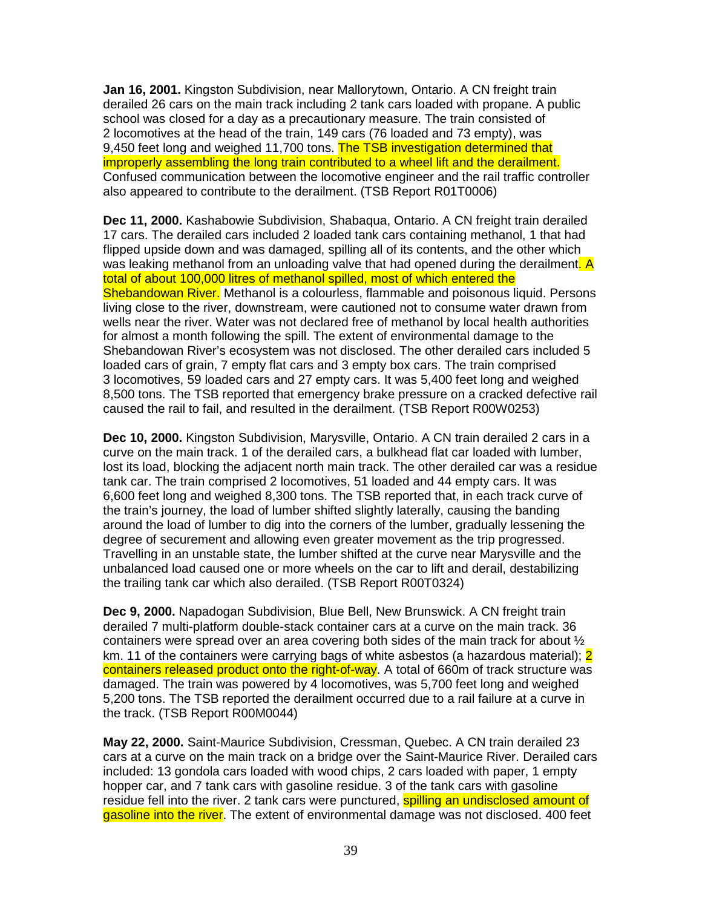**Jan 16, 2001.** Kingston Subdivision, near Mallorytown, Ontario. A CN freight train derailed 26 cars on the main track including 2 tank cars loaded with propane. A public school was closed for a day as a precautionary measure. The train consisted of 2 locomotives at the head of the train, 149 cars (76 loaded and 73 empty), was 9.450 feet long and weighed 11,700 tons. The TSB investigation determined that improperly assembling the long train contributed to a wheel lift and the derailment. Confused communication between the locomotive engineer and the rail traffic controller also appeared to contribute to the derailment. (TSB Report R01T0006)

**Dec 11, 2000.** Kashabowie Subdivision, Shabaqua, Ontario. A CN freight train derailed 17 cars. The derailed cars included 2 loaded tank cars containing methanol, 1 that had flipped upside down and was damaged, spilling all of its contents, and the other which was leaking methanol from an unloading valve that had opened during the derailment. A total of about 100,000 litres of methanol spilled, most of which entered the Shebandowan River. Methanol is a colourless, flammable and poisonous liquid. Persons living close to the river, downstream, were cautioned not to consume water drawn from wells near the river. Water was not declared free of methanol by local health authorities for almost a month following the spill. The extent of environmental damage to the Shebandowan River's ecosystem was not disclosed. The other derailed cars included 5 loaded cars of grain, 7 empty flat cars and 3 empty box cars. The train comprised 3 locomotives, 59 loaded cars and 27 empty cars. It was 5,400 feet long and weighed 8,500 tons. The TSB reported that emergency brake pressure on a cracked defective rail caused the rail to fail, and resulted in the derailment. (TSB Report R00W0253)

**Dec 10, 2000.** Kingston Subdivision, Marysville, Ontario. A CN train derailed 2 cars in a curve on the main track. 1 of the derailed cars, a bulkhead flat car loaded with lumber, lost its load, blocking the adjacent north main track. The other derailed car was a residue tank car. The train comprised 2 locomotives, 51 loaded and 44 empty cars. It was 6,600 feet long and weighed 8,300 tons. The TSB reported that, in each track curve of the train's journey, the load of lumber shifted slightly laterally, causing the banding around the load of lumber to dig into the corners of the lumber, gradually lessening the degree of securement and allowing even greater movement as the trip progressed. Travelling in an unstable state, the lumber shifted at the curve near Marysville and the unbalanced load caused one or more wheels on the car to lift and derail, destabilizing the trailing tank car which also derailed. (TSB Report R00T0324)

**Dec 9, 2000.** Napadogan Subdivision, Blue Bell, New Brunswick. A CN freight train derailed 7 multi-platform double-stack container cars at a curve on the main track. 36 containers were spread over an area covering both sides of the main track for about  $\frac{1}{2}$ km. 11 of the containers were carrying bags of white asbestos (a hazardous material); 2 containers released product onto the right-of-way. A total of 660m of track structure was damaged. The train was powered by 4 locomotives, was 5,700 feet long and weighed 5,200 tons. The TSB reported the derailment occurred due to a rail failure at a curve in the track. (TSB Report R00M0044)

**May 22, 2000.** Saint-Maurice Subdivision, Cressman, Quebec. A CN train derailed 23 cars at a curve on the main track on a bridge over the Saint-Maurice River. Derailed cars included: 13 gondola cars loaded with wood chips, 2 cars loaded with paper, 1 empty hopper car, and 7 tank cars with gasoline residue. 3 of the tank cars with gasoline residue fell into the river. 2 tank cars were punctured, **spilling an undisclosed amount of** gasoline into the river. The extent of environmental damage was not disclosed. 400 feet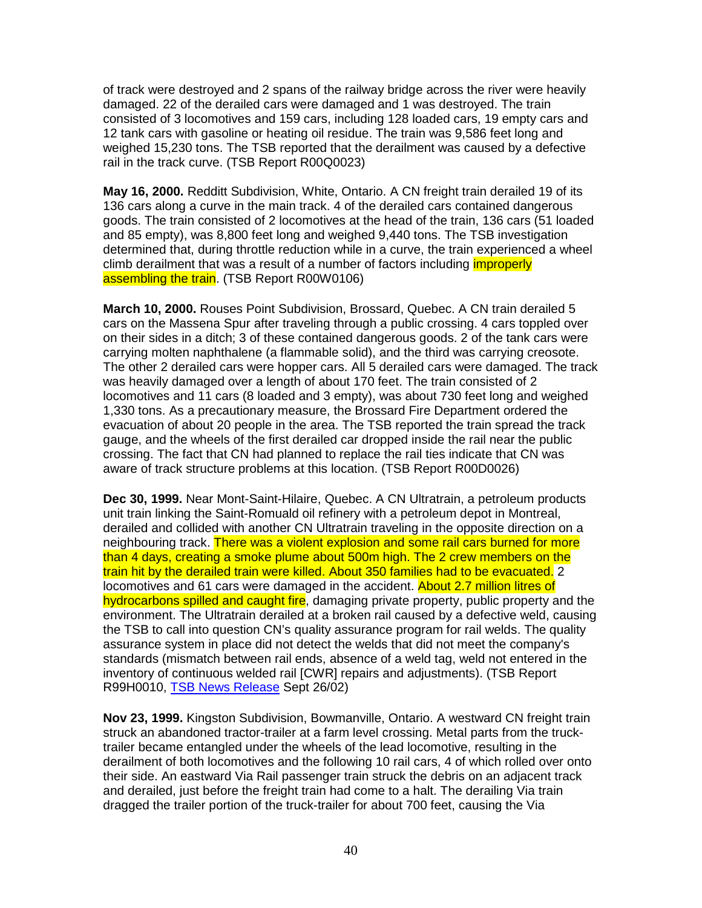of track were destroyed and 2 spans of the railway bridge across the river were heavily damaged. 22 of the derailed cars were damaged and 1 was destroyed. The train consisted of 3 locomotives and 159 cars, including 128 loaded cars, 19 empty cars and 12 tank cars with gasoline or heating oil residue. The train was 9,586 feet long and weighed 15,230 tons. The TSB reported that the derailment was caused by a defective rail in the track curve. (TSB Report R00Q0023)

**May 16, 2000.** Redditt Subdivision, White, Ontario. A CN freight train derailed 19 of its 136 cars along a curve in the main track. 4 of the derailed cars contained dangerous goods. The train consisted of 2 locomotives at the head of the train, 136 cars (51 loaded and 85 empty), was 8,800 feet long and weighed 9,440 tons. The TSB investigation determined that, during throttle reduction while in a curve, the train experienced a wheel climb derailment that was a result of a number of factors including *improperly* assembling the train. (TSB Report R00W0106)

**March 10, 2000.** Rouses Point Subdivision, Brossard, Quebec. A CN train derailed 5 cars on the Massena Spur after traveling through a public crossing. 4 cars toppled over on their sides in a ditch; 3 of these contained dangerous goods. 2 of the tank cars were carrying molten naphthalene (a flammable solid), and the third was carrying creosote. The other 2 derailed cars were hopper cars. All 5 derailed cars were damaged. The track was heavily damaged over a length of about 170 feet. The train consisted of 2 locomotives and 11 cars (8 loaded and 3 empty), was about 730 feet long and weighed 1,330 tons. As a precautionary measure, the Brossard Fire Department ordered the evacuation of about 20 people in the area. The TSB reported the train spread the track gauge, and the wheels of the first derailed car dropped inside the rail near the public crossing. The fact that CN had planned to replace the rail ties indicate that CN was aware of track structure problems at this location. (TSB Report R00D0026)

**Dec 30, 1999.** Near Mont-Saint-Hilaire, Quebec. A CN Ultratrain, a petroleum products unit train linking the Saint-Romuald oil refinery with a petroleum depot in Montreal, derailed and collided with another CN Ultratrain traveling in the opposite direction on a neighbouring track. There was a violent explosion and some rail cars burned for more than 4 days, creating a smoke plume about 500m high. The 2 crew members on the train hit by the derailed train were killed. About 350 families had to be evacuated. 2 locomotives and 61 cars were damaged in the accident. About 2.7 million litres of hydrocarbons spilled and caught fire, damaging private property, public property and the environment. The Ultratrain derailed at a broken rail caused by a defective weld, causing the TSB to call into question CN's quality assurance program for rail welds. The quality assurance system in place did not detect the welds that did not meet the company's standards (mismatch between rail ends, absence of a weld tag, weld not entered in the inventory of continuous welded rail [CWR] repairs and adjustments). (TSB Report R99H0010, TSB News Release Sept 26/02)

**Nov 23, 1999.** Kingston Subdivision, Bowmanville, Ontario. A westward CN freight train struck an abandoned tractor-trailer at a farm level crossing. Metal parts from the trucktrailer became entangled under the wheels of the lead locomotive, resulting in the derailment of both locomotives and the following 10 rail cars, 4 of which rolled over onto their side. An eastward Via Rail passenger train struck the debris on an adjacent track and derailed, just before the freight train had come to a halt. The derailing Via train dragged the trailer portion of the truck-trailer for about 700 feet, causing the Via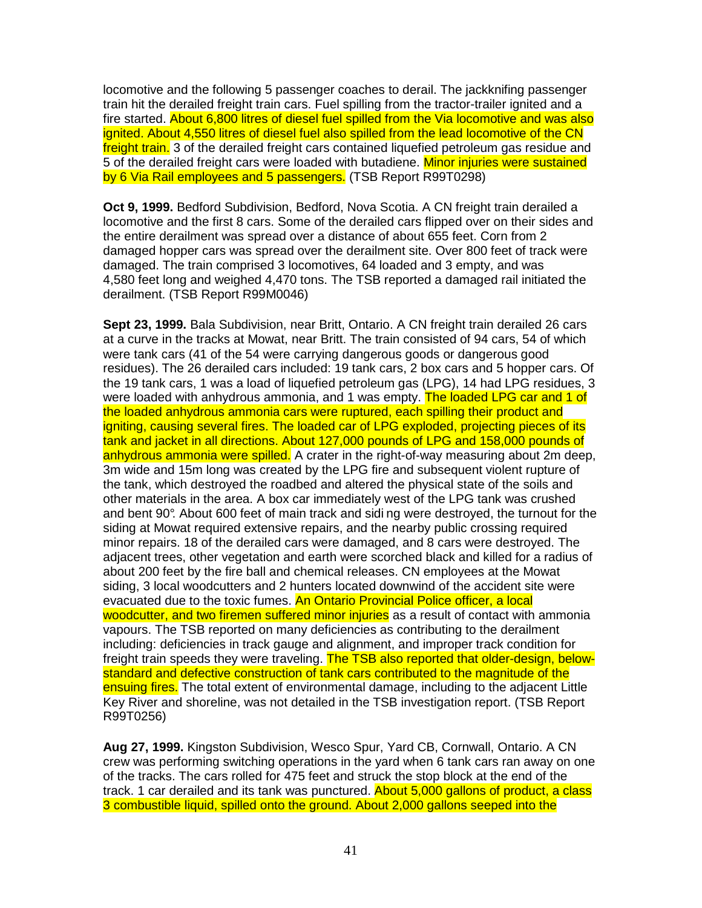locomotive and the following 5 passenger coaches to derail. The jackknifing passenger train hit the derailed freight train cars. Fuel spilling from the tractor-trailer ignited and a fire started. About 6,800 litres of diesel fuel spilled from the Via locomotive and was also ignited. About 4,550 litres of diesel fuel also spilled from the lead locomotive of the CN freight train. 3 of the derailed freight cars contained liquefied petroleum gas residue and 5 of the derailed freight cars were loaded with butadiene. Minor injuries were sustained by 6 Via Rail employees and 5 passengers. (TSB Report R99T0298)

**Oct 9, 1999.** Bedford Subdivision, Bedford, Nova Scotia. A CN freight train derailed a locomotive and the first 8 cars. Some of the derailed cars flipped over on their sides and the entire derailment was spread over a distance of about 655 feet. Corn from 2 damaged hopper cars was spread over the derailment site. Over 800 feet of track were damaged. The train comprised 3 locomotives, 64 loaded and 3 empty, and was 4,580 feet long and weighed 4,470 tons. The TSB reported a damaged rail initiated the derailment. (TSB Report R99M0046)

**Sept 23, 1999.** Bala Subdivision, near Britt, Ontario. A CN freight train derailed 26 cars at a curve in the tracks at Mowat, near Britt. The train consisted of 94 cars, 54 of which were tank cars (41 of the 54 were carrying dangerous goods or dangerous good residues). The 26 derailed cars included: 19 tank cars, 2 box cars and 5 hopper cars. Of the 19 tank cars, 1 was a load of liquefied petroleum gas (LPG), 14 had LPG residues, 3 were loaded with anhydrous ammonia, and 1 was empty. The loaded LPG car and 1 of the loaded anhydrous ammonia cars were ruptured, each spilling their product and igniting, causing several fires. The loaded car of LPG exploded, projecting pieces of its tank and jacket in all directions. About 127,000 pounds of LPG and 158,000 pounds of anhydrous ammonia were spilled. A crater in the right-of-way measuring about 2m deep. 3m wide and 15m long was created by the LPG fire and subsequent violent rupture of the tank, which destroyed the roadbed and altered the physical state of the soils and other materials in the area. A box car immediately west of the LPG tank was crushed and bent 90°. About 600 feet of main track and sidi ng were destroyed, the turnout for the siding at Mowat required extensive repairs, and the nearby public crossing required minor repairs. 18 of the derailed cars were damaged, and 8 cars were destroyed. The adjacent trees, other vegetation and earth were scorched black and killed for a radius of about 200 feet by the fire ball and chemical releases. CN employees at the Mowat siding, 3 local woodcutters and 2 hunters located downwind of the accident site were evacuated due to the toxic fumes. An Ontario Provincial Police officer, a local woodcutter, and two firemen suffered minor injuries as a result of contact with ammonia vapours. The TSB reported on many deficiencies as contributing to the derailment including: deficiencies in track gauge and alignment, and improper track condition for freight train speeds they were traveling. The TSB also reported that older-design, belowstandard and defective construction of tank cars contributed to the magnitude of the ensuing fires. The total extent of environmental damage, including to the adjacent Little Key River and shoreline, was not detailed in the TSB investigation report. (TSB Report R99T0256)

**Aug 27, 1999.** Kingston Subdivision, Wesco Spur, Yard CB, Cornwall, Ontario. A CN crew was performing switching operations in the yard when 6 tank cars ran away on one of the tracks. The cars rolled for 475 feet and struck the stop block at the end of the track. 1 car derailed and its tank was punctured. About 5,000 gallons of product, a class 3 combustible liquid, spilled onto the ground. About 2,000 gallons seeped into the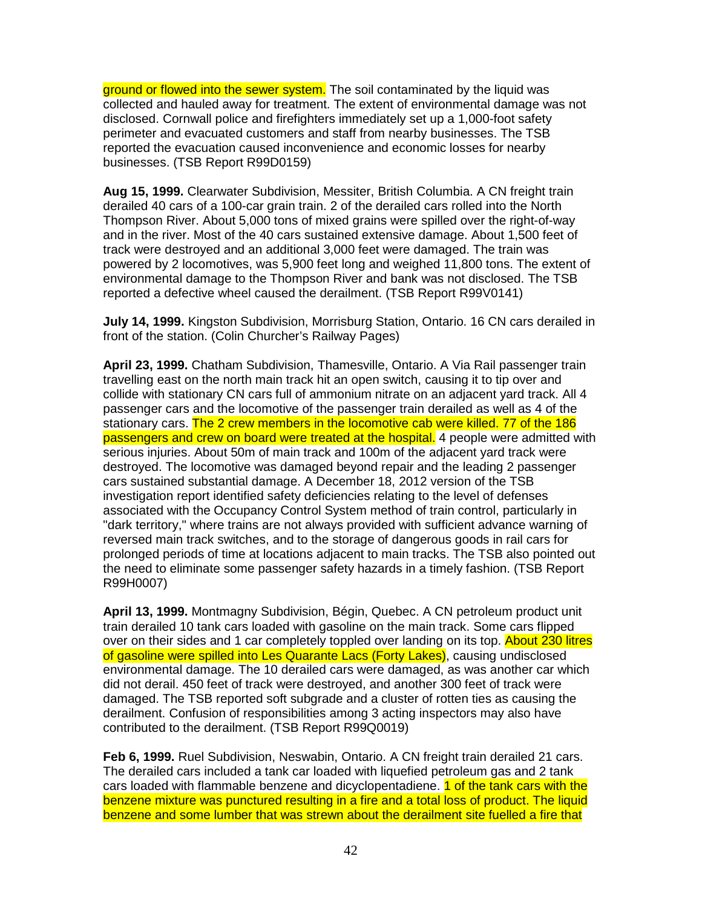ground or flowed into the sewer system. The soil contaminated by the liquid was collected and hauled away for treatment. The extent of environmental damage was not disclosed. Cornwall police and firefighters immediately set up a 1,000-foot safety perimeter and evacuated customers and staff from nearby businesses. The TSB reported the evacuation caused inconvenience and economic losses for nearby businesses. (TSB Report R99D0159)

**Aug 15, 1999.** Clearwater Subdivision, Messiter, British Columbia. A CN freight train derailed 40 cars of a 100-car grain train. 2 of the derailed cars rolled into the North Thompson River. About 5,000 tons of mixed grains were spilled over the right-of-way and in the river. Most of the 40 cars sustained extensive damage. About 1,500 feet of track were destroyed and an additional 3,000 feet were damaged. The train was powered by 2 locomotives, was 5,900 feet long and weighed 11,800 tons. The extent of environmental damage to the Thompson River and bank was not disclosed. The TSB reported a defective wheel caused the derailment. (TSB Report R99V0141)

**July 14, 1999.** Kingston Subdivision, Morrisburg Station, Ontario. 16 CN cars derailed in front of the station. (Colin Churcher's Railway Pages)

**April 23, 1999.** Chatham Subdivision, Thamesville, Ontario. A Via Rail passenger train travelling east on the north main track hit an open switch, causing it to tip over and collide with stationary CN cars full of ammonium nitrate on an adjacent yard track. All 4 passenger cars and the locomotive of the passenger train derailed as well as 4 of the stationary cars. The 2 crew members in the locomotive cab were killed. 77 of the 186 passengers and crew on board were treated at the hospital. 4 people were admitted with serious injuries. About 50m of main track and 100m of the adjacent yard track were destroyed. The locomotive was damaged beyond repair and the leading 2 passenger cars sustained substantial damage. A December 18, 2012 version of the TSB investigation report identified safety deficiencies relating to the level of defenses associated with the Occupancy Control System method of train control, particularly in "dark territory," where trains are not always provided with sufficient advance warning of reversed main track switches, and to the storage of dangerous goods in rail cars for prolonged periods of time at locations adjacent to main tracks. The TSB also pointed out the need to eliminate some passenger safety hazards in a timely fashion. (TSB Report R99H0007)

**April 13, 1999.** Montmagny Subdivision, Bégin, Quebec. A CN petroleum product unit train derailed 10 tank cars loaded with gasoline on the main track. Some cars flipped over on their sides and 1 car completely toppled over landing on its top. About 230 litres of gasoline were spilled into Les Quarante Lacs (Forty Lakes), causing undisclosed environmental damage. The 10 derailed cars were damaged, as was another car which did not derail. 450 feet of track were destroyed, and another 300 feet of track were damaged. The TSB reported soft subgrade and a cluster of rotten ties as causing the derailment. Confusion of responsibilities among 3 acting inspectors may also have contributed to the derailment. (TSB Report R99Q0019)

**Feb 6, 1999.** Ruel Subdivision, Neswabin, Ontario. A CN freight train derailed 21 cars. The derailed cars included a tank car loaded with liquefied petroleum gas and 2 tank cars loaded with flammable benzene and dicyclopentadiene. **1 of the tank cars with the** benzene mixture was punctured resulting in a fire and a total loss of product. The liquid benzene and some lumber that was strewn about the derailment site fuelled a fire that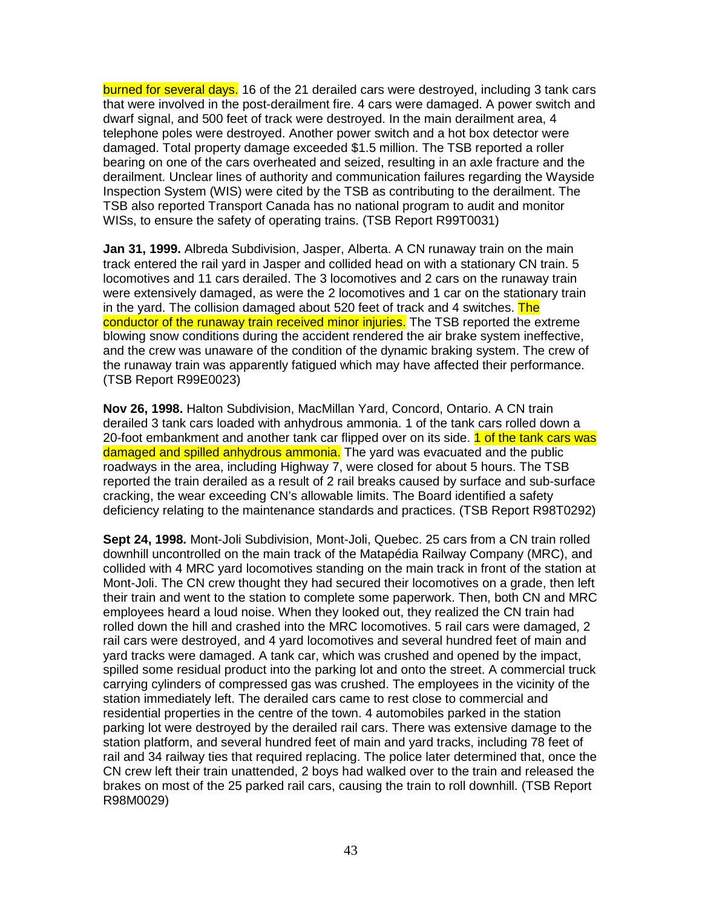burned for several days. 16 of the 21 derailed cars were destroyed, including 3 tank cars that were involved in the post-derailment fire. 4 cars were damaged. A power switch and dwarf signal, and 500 feet of track were destroyed. In the main derailment area, 4 telephone poles were destroyed. Another power switch and a hot box detector were damaged. Total property damage exceeded \$1.5 million. The TSB reported a roller bearing on one of the cars overheated and seized, resulting in an axle fracture and the derailment. Unclear lines of authority and communication failures regarding the Wayside Inspection System (WIS) were cited by the TSB as contributing to the derailment. The TSB also reported Transport Canada has no national program to audit and monitor WISs, to ensure the safety of operating trains. (TSB Report R99T0031)

**Jan 31, 1999.** Albreda Subdivision, Jasper, Alberta. A CN runaway train on the main track entered the rail yard in Jasper and collided head on with a stationary CN train. 5 locomotives and 11 cars derailed. The 3 locomotives and 2 cars on the runaway train were extensively damaged, as were the 2 locomotives and 1 car on the stationary train in the yard. The collision damaged about 520 feet of track and 4 switches. The conductor of the runaway train received minor injuries. The TSB reported the extreme blowing snow conditions during the accident rendered the air brake system ineffective, and the crew was unaware of the condition of the dynamic braking system. The crew of the runaway train was apparently fatigued which may have affected their performance. (TSB Report R99E0023)

**Nov 26, 1998.** Halton Subdivision, MacMillan Yard, Concord, Ontario. A CN train derailed 3 tank cars loaded with anhydrous ammonia. 1 of the tank cars rolled down a 20-foot embankment and another tank car flipped over on its side. 1 of the tank cars was damaged and spilled anhydrous ammonia. The yard was evacuated and the public roadways in the area, including Highway 7, were closed for about 5 hours. The TSB reported the train derailed as a result of 2 rail breaks caused by surface and sub-surface cracking, the wear exceeding CN's allowable limits. The Board identified a safety deficiency relating to the maintenance standards and practices. (TSB Report R98T0292)

**Sept 24, 1998.** Mont-Joli Subdivision, Mont-Joli, Quebec. 25 cars from a CN train rolled downhill uncontrolled on the main track of the Matapédia Railway Company (MRC), and collided with 4 MRC yard locomotives standing on the main track in front of the station at Mont-Joli. The CN crew thought they had secured their locomotives on a grade, then left their train and went to the station to complete some paperwork. Then, both CN and MRC employees heard a loud noise. When they looked out, they realized the CN train had rolled down the hill and crashed into the MRC locomotives. 5 rail cars were damaged, 2 rail cars were destroyed, and 4 yard locomotives and several hundred feet of main and yard tracks were damaged. A tank car, which was crushed and opened by the impact, spilled some residual product into the parking lot and onto the street. A commercial truck carrying cylinders of compressed gas was crushed. The employees in the vicinity of the station immediately left. The derailed cars came to rest close to commercial and residential properties in the centre of the town. 4 automobiles parked in the station parking lot were destroyed by the derailed rail cars. There was extensive damage to the station platform, and several hundred feet of main and yard tracks, including 78 feet of rail and 34 railway ties that required replacing. The police later determined that, once the CN crew left their train unattended, 2 boys had walked over to the train and released the brakes on most of the 25 parked rail cars, causing the train to roll downhill. (TSB Report R98M0029)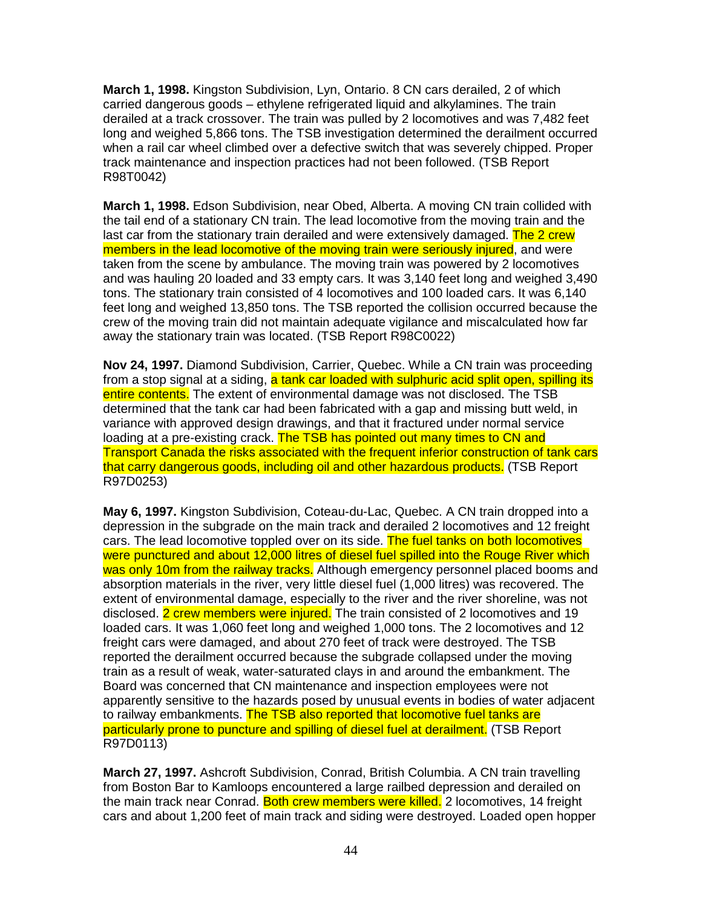**March 1, 1998.** Kingston Subdivision, Lyn, Ontario. 8 CN cars derailed, 2 of which carried dangerous goods – ethylene refrigerated liquid and alkylamines. The train derailed at a track crossover. The train was pulled by 2 locomotives and was 7,482 feet long and weighed 5,866 tons. The TSB investigation determined the derailment occurred when a rail car wheel climbed over a defective switch that was severely chipped. Proper track maintenance and inspection practices had not been followed. (TSB Report R98T0042)

**March 1, 1998.** Edson Subdivision, near Obed, Alberta. A moving CN train collided with the tail end of a stationary CN train. The lead locomotive from the moving train and the last car from the stationary train derailed and were extensively damaged. The 2 crew members in the lead locomotive of the moving train were seriously injured, and were taken from the scene by ambulance. The moving train was powered by 2 locomotives and was hauling 20 loaded and 33 empty cars. It was 3,140 feet long and weighed 3,490 tons. The stationary train consisted of 4 locomotives and 100 loaded cars. It was 6,140 feet long and weighed 13,850 tons. The TSB reported the collision occurred because the crew of the moving train did not maintain adequate vigilance and miscalculated how far away the stationary train was located. (TSB Report R98C0022)

**Nov 24, 1997.** Diamond Subdivision, Carrier, Quebec. While a CN train was proceeding from a stop signal at a siding, a tank car loaded with sulphuric acid split open, spilling its entire contents. The extent of environmental damage was not disclosed. The TSB determined that the tank car had been fabricated with a gap and missing butt weld, in variance with approved design drawings, and that it fractured under normal service loading at a pre-existing crack. The TSB has pointed out many times to CN and Transport Canada the risks associated with the frequent inferior construction of tank cars that carry dangerous goods, including oil and other hazardous products. (TSB Report R97D0253)

**May 6, 1997.** Kingston Subdivision, Coteau-du-Lac, Quebec. A CN train dropped into a depression in the subgrade on the main track and derailed 2 locomotives and 12 freight cars. The lead locomotive toppled over on its side. The fuel tanks on both locomotives were punctured and about 12,000 litres of diesel fuel spilled into the Rouge River which was only 10m from the railway tracks. Although emergency personnel placed booms and absorption materials in the river, very little diesel fuel (1,000 litres) was recovered. The extent of environmental damage, especially to the river and the river shoreline, was not disclosed. 2 crew members were injured. The train consisted of 2 locomotives and 19 loaded cars. It was 1,060 feet long and weighed 1,000 tons. The 2 locomotives and 12 freight cars were damaged, and about 270 feet of track were destroyed. The TSB reported the derailment occurred because the subgrade collapsed under the moving train as a result of weak, water-saturated clays in and around the embankment. The Board was concerned that CN maintenance and inspection employees were not apparently sensitive to the hazards posed by unusual events in bodies of water adjacent to railway embankments. The TSB also reported that locomotive fuel tanks are particularly prone to puncture and spilling of diesel fuel at derailment. (TSB Report R97D0113)

**March 27, 1997.** Ashcroft Subdivision, Conrad, British Columbia. A CN train travelling from Boston Bar to Kamloops encountered a large railbed depression and derailed on the main track near Conrad. Both crew members were killed. 2 locomotives, 14 freight cars and about 1,200 feet of main track and siding were destroyed. Loaded open hopper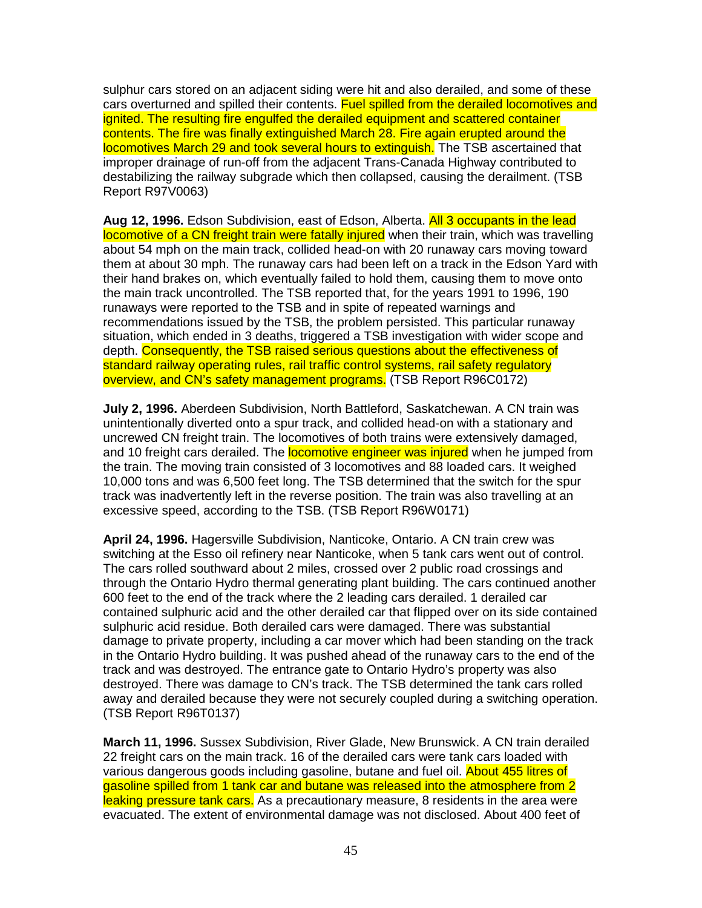sulphur cars stored on an adjacent siding were hit and also derailed, and some of these cars overturned and spilled their contents. Fuel spilled from the derailed locomotives and ignited. The resulting fire engulfed the derailed equipment and scattered container contents. The fire was finally extinguished March 28. Fire again erupted around the locomotives March 29 and took several hours to extinguish. The TSB ascertained that improper drainage of run-off from the adjacent Trans-Canada Highway contributed to destabilizing the railway subgrade which then collapsed, causing the derailment. (TSB Report R97V0063)

**Aug 12, 1996.** Edson Subdivision, east of Edson, Alberta. All 3 occupants in the lead locomotive of a CN freight train were fatally injured when their train, which was travelling about 54 mph on the main track, collided head-on with 20 runaway cars moving toward them at about 30 mph. The runaway cars had been left on a track in the Edson Yard with their hand brakes on, which eventually failed to hold them, causing them to move onto the main track uncontrolled. The TSB reported that, for the years 1991 to 1996, 190 runaways were reported to the TSB and in spite of repeated warnings and recommendations issued by the TSB, the problem persisted. This particular runaway situation, which ended in 3 deaths, triggered a TSB investigation with wider scope and depth. Consequently, the TSB raised serious questions about the effectiveness of standard railway operating rules, rail traffic control systems, rail safety regulatory overview, and CN's safety management programs. (TSB Report R96C0172)

**July 2, 1996.** Aberdeen Subdivision, North Battleford, Saskatchewan. A CN train was unintentionally diverted onto a spur track, and collided head-on with a stationary and uncrewed CN freight train. The locomotives of both trains were extensively damaged, and 10 freight cars derailed. The **locomotive engineer was injured** when he jumped from the train. The moving train consisted of 3 locomotives and 88 loaded cars. It weighed 10,000 tons and was 6,500 feet long. The TSB determined that the switch for the spur track was inadvertently left in the reverse position. The train was also travelling at an excessive speed, according to the TSB. (TSB Report R96W0171)

**April 24, 1996.** Hagersville Subdivision, Nanticoke, Ontario. A CN train crew was switching at the Esso oil refinery near Nanticoke, when 5 tank cars went out of control. The cars rolled southward about 2 miles, crossed over 2 public road crossings and through the Ontario Hydro thermal generating plant building. The cars continued another 600 feet to the end of the track where the 2 leading cars derailed. 1 derailed car contained sulphuric acid and the other derailed car that flipped over on its side contained sulphuric acid residue. Both derailed cars were damaged. There was substantial damage to private property, including a car mover which had been standing on the track in the Ontario Hydro building. It was pushed ahead of the runaway cars to the end of the track and was destroyed. The entrance gate to Ontario Hydro's property was also destroyed. There was damage to CN's track. The TSB determined the tank cars rolled away and derailed because they were not securely coupled during a switching operation. (TSB Report R96T0137)

**March 11, 1996.** Sussex Subdivision, River Glade, New Brunswick. A CN train derailed 22 freight cars on the main track. 16 of the derailed cars were tank cars loaded with various dangerous goods including gasoline, butane and fuel oil. About 455 litres of gasoline spilled from 1 tank car and butane was released into the atmosphere from 2 leaking pressure tank cars. As a precautionary measure, 8 residents in the area were evacuated. The extent of environmental damage was not disclosed. About 400 feet of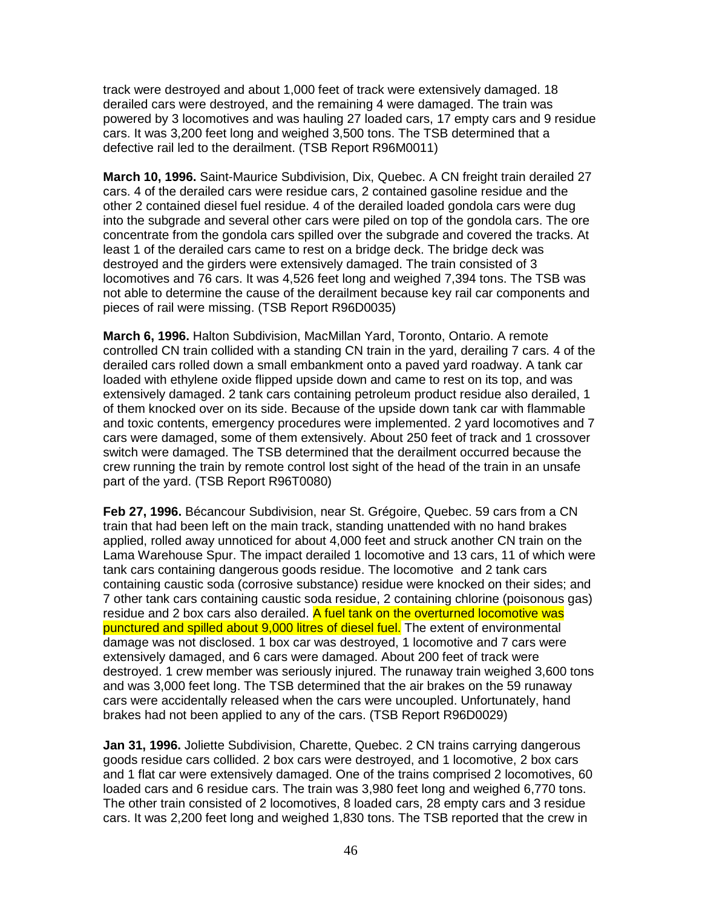track were destroyed and about 1,000 feet of track were extensively damaged. 18 derailed cars were destroyed, and the remaining 4 were damaged. The train was powered by 3 locomotives and was hauling 27 loaded cars, 17 empty cars and 9 residue cars. It was 3,200 feet long and weighed 3,500 tons. The TSB determined that a defective rail led to the derailment. (TSB Report R96M0011)

**March 10, 1996.** Saint-Maurice Subdivision, Dix, Quebec. A CN freight train derailed 27 cars. 4 of the derailed cars were residue cars, 2 contained gasoline residue and the other 2 contained diesel fuel residue. 4 of the derailed loaded gondola cars were dug into the subgrade and several other cars were piled on top of the gondola cars. The ore concentrate from the gondola cars spilled over the subgrade and covered the tracks. At least 1 of the derailed cars came to rest on a bridge deck. The bridge deck was destroyed and the girders were extensively damaged. The train consisted of 3 locomotives and 76 cars. It was 4,526 feet long and weighed 7,394 tons. The TSB was not able to determine the cause of the derailment because key rail car components and pieces of rail were missing. (TSB Report R96D0035)

**March 6, 1996.** Halton Subdivision, MacMillan Yard, Toronto, Ontario. A remote controlled CN train collided with a standing CN train in the yard, derailing 7 cars. 4 of the derailed cars rolled down a small embankment onto a paved yard roadway. A tank car loaded with ethylene oxide flipped upside down and came to rest on its top, and was extensively damaged. 2 tank cars containing petroleum product residue also derailed, 1 of them knocked over on its side. Because of the upside down tank car with flammable and toxic contents, emergency procedures were implemented. 2 yard locomotives and 7 cars were damaged, some of them extensively. About 250 feet of track and 1 crossover switch were damaged. The TSB determined that the derailment occurred because the crew running the train by remote control lost sight of the head of the train in an unsafe part of the yard. (TSB Report R96T0080)

**Feb 27, 1996.** Bécancour Subdivision, near St. Grégoire, Quebec. 59 cars from a CN train that had been left on the main track, standing unattended with no hand brakes applied, rolled away unnoticed for about 4,000 feet and struck another CN train on the Lama Warehouse Spur. The impact derailed 1 locomotive and 13 cars, 11 of which were tank cars containing dangerous goods residue. The locomotive and 2 tank cars containing caustic soda (corrosive substance) residue were knocked on their sides; and 7 other tank cars containing caustic soda residue, 2 containing chlorine (poisonous gas) residue and 2 box cars also derailed. A fuel tank on the overturned locomotive was punctured and spilled about 9,000 litres of diesel fuel. The extent of environmental damage was not disclosed. 1 box car was destroyed, 1 locomotive and 7 cars were extensively damaged, and 6 cars were damaged. About 200 feet of track were destroyed. 1 crew member was seriously injured. The runaway train weighed 3,600 tons and was 3,000 feet long. The TSB determined that the air brakes on the 59 runaway cars were accidentally released when the cars were uncoupled. Unfortunately, hand brakes had not been applied to any of the cars. (TSB Report R96D0029)

**Jan 31, 1996.** Joliette Subdivision, Charette, Quebec. 2 CN trains carrying dangerous goods residue cars collided. 2 box cars were destroyed, and 1 locomotive, 2 box cars and 1 flat car were extensively damaged. One of the trains comprised 2 locomotives, 60 loaded cars and 6 residue cars. The train was 3,980 feet long and weighed 6,770 tons. The other train consisted of 2 locomotives, 8 loaded cars, 28 empty cars and 3 residue cars. It was 2,200 feet long and weighed 1,830 tons. The TSB reported that the crew in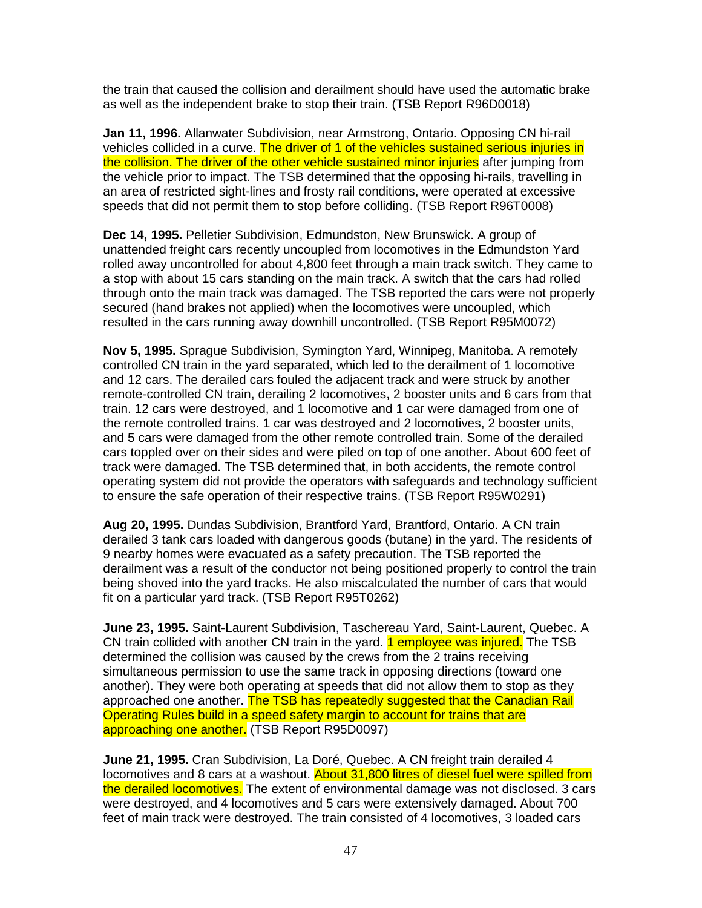the train that caused the collision and derailment should have used the automatic brake as well as the independent brake to stop their train. (TSB Report R96D0018)

**Jan 11, 1996.** Allanwater Subdivision, near Armstrong, Ontario. Opposing CN hi-rail vehicles collided in a curve. The driver of 1 of the vehicles sustained serious injuries in the collision. The driver of the other vehicle sustained minor injuries after jumping from the vehicle prior to impact. The TSB determined that the opposing hi-rails, travelling in an area of restricted sight-lines and frosty rail conditions, were operated at excessive speeds that did not permit them to stop before colliding. (TSB Report R96T0008)

**Dec 14, 1995.** Pelletier Subdivision, Edmundston, New Brunswick. A group of unattended freight cars recently uncoupled from locomotives in the Edmundston Yard rolled away uncontrolled for about 4,800 feet through a main track switch. They came to a stop with about 15 cars standing on the main track. A switch that the cars had rolled through onto the main track was damaged. The TSB reported the cars were not properly secured (hand brakes not applied) when the locomotives were uncoupled, which resulted in the cars running away downhill uncontrolled. (TSB Report R95M0072)

**Nov 5, 1995.** Sprague Subdivision, Symington Yard, Winnipeg, Manitoba. A remotely controlled CN train in the yard separated, which led to the derailment of 1 locomotive and 12 cars. The derailed cars fouled the adjacent track and were struck by another remote-controlled CN train, derailing 2 locomotives, 2 booster units and 6 cars from that train. 12 cars were destroyed, and 1 locomotive and 1 car were damaged from one of the remote controlled trains. 1 car was destroyed and 2 locomotives, 2 booster units, and 5 cars were damaged from the other remote controlled train. Some of the derailed cars toppled over on their sides and were piled on top of one another. About 600 feet of track were damaged. The TSB determined that, in both accidents, the remote control operating system did not provide the operators with safeguards and technology sufficient to ensure the safe operation of their respective trains. (TSB Report R95W0291)

**Aug 20, 1995.** Dundas Subdivision, Brantford Yard, Brantford, Ontario. A CN train derailed 3 tank cars loaded with dangerous goods (butane) in the yard. The residents of 9 nearby homes were evacuated as a safety precaution. The TSB reported the derailment was a result of the conductor not being positioned properly to control the train being shoved into the yard tracks. He also miscalculated the number of cars that would fit on a particular yard track. (TSB Report R95T0262)

**June 23, 1995.** Saint-Laurent Subdivision, Taschereau Yard, Saint-Laurent, Quebec. A CN train collided with another CN train in the yard. **1 employee was injured.** The TSB determined the collision was caused by the crews from the 2 trains receiving simultaneous permission to use the same track in opposing directions (toward one another). They were both operating at speeds that did not allow them to stop as they approached one another. The TSB has repeatedly suggested that the Canadian Rail Operating Rules build in a speed safety margin to account for trains that are approaching one another. (TSB Report R95D0097)

**June 21, 1995.** Cran Subdivision, La Doré, Quebec. A CN freight train derailed 4 locomotives and 8 cars at a washout. About 31,800 litres of diesel fuel were spilled from the derailed locomotives. The extent of environmental damage was not disclosed. 3 cars were destroyed, and 4 locomotives and 5 cars were extensively damaged. About 700 feet of main track were destroyed. The train consisted of 4 locomotives, 3 loaded cars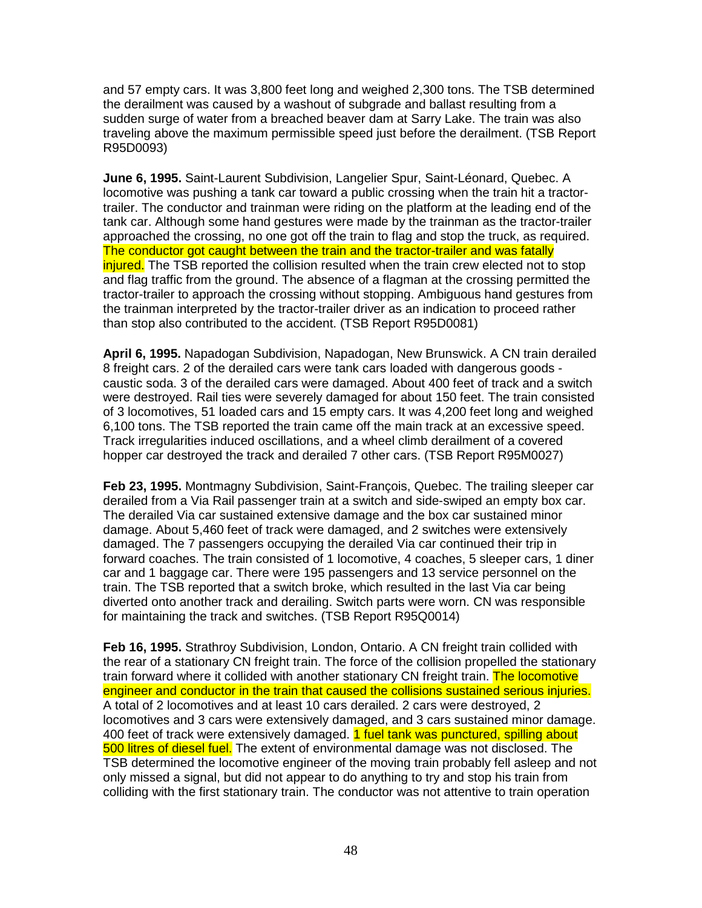and 57 empty cars. It was 3,800 feet long and weighed 2,300 tons. The TSB determined the derailment was caused by a washout of subgrade and ballast resulting from a sudden surge of water from a breached beaver dam at Sarry Lake. The train was also traveling above the maximum permissible speed just before the derailment. (TSB Report R95D0093)

**June 6, 1995.** Saint-Laurent Subdivision, Langelier Spur, Saint-Léonard, Quebec. A locomotive was pushing a tank car toward a public crossing when the train hit a tractortrailer. The conductor and trainman were riding on the platform at the leading end of the tank car. Although some hand gestures were made by the trainman as the tractor-trailer approached the crossing, no one got off the train to flag and stop the truck, as required. The conductor got caught between the train and the tractor-trailer and was fatally injured. The TSB reported the collision resulted when the train crew elected not to stop and flag traffic from the ground. The absence of a flagman at the crossing permitted the tractor-trailer to approach the crossing without stopping. Ambiguous hand gestures from the trainman interpreted by the tractor-trailer driver as an indication to proceed rather than stop also contributed to the accident. (TSB Report R95D0081)

**April 6, 1995.** Napadogan Subdivision, Napadogan, New Brunswick. A CN train derailed 8 freight cars. 2 of the derailed cars were tank cars loaded with dangerous goods caustic soda. 3 of the derailed cars were damaged. About 400 feet of track and a switch were destroyed. Rail ties were severely damaged for about 150 feet. The train consisted of 3 locomotives, 51 loaded cars and 15 empty cars. It was 4,200 feet long and weighed 6,100 tons. The TSB reported the train came off the main track at an excessive speed. Track irregularities induced oscillations, and a wheel climb derailment of a covered hopper car destroyed the track and derailed 7 other cars. (TSB Report R95M0027)

**Feb 23, 1995.** Montmagny Subdivision, Saint-François, Quebec. The trailing sleeper car derailed from a Via Rail passenger train at a switch and side-swiped an empty box car. The derailed Via car sustained extensive damage and the box car sustained minor damage. About 5,460 feet of track were damaged, and 2 switches were extensively damaged. The 7 passengers occupying the derailed Via car continued their trip in forward coaches. The train consisted of 1 locomotive, 4 coaches, 5 sleeper cars, 1 diner car and 1 baggage car. There were 195 passengers and 13 service personnel on the train. The TSB reported that a switch broke, which resulted in the last Via car being diverted onto another track and derailing. Switch parts were worn. CN was responsible for maintaining the track and switches. (TSB Report R95Q0014)

**Feb 16, 1995.** Strathroy Subdivision, London, Ontario. A CN freight train collided with the rear of a stationary CN freight train. The force of the collision propelled the stationary train forward where it collided with another stationary CN freight train. The locomotive engineer and conductor in the train that caused the collisions sustained serious injuries. A total of 2 locomotives and at least 10 cars derailed. 2 cars were destroyed, 2 locomotives and 3 cars were extensively damaged, and 3 cars sustained minor damage. 400 feet of track were extensively damaged. 1 fuel tank was punctured, spilling about 500 litres of diesel fuel. The extent of environmental damage was not disclosed. The TSB determined the locomotive engineer of the moving train probably fell asleep and not only missed a signal, but did not appear to do anything to try and stop his train from colliding with the first stationary train. The conductor was not attentive to train operation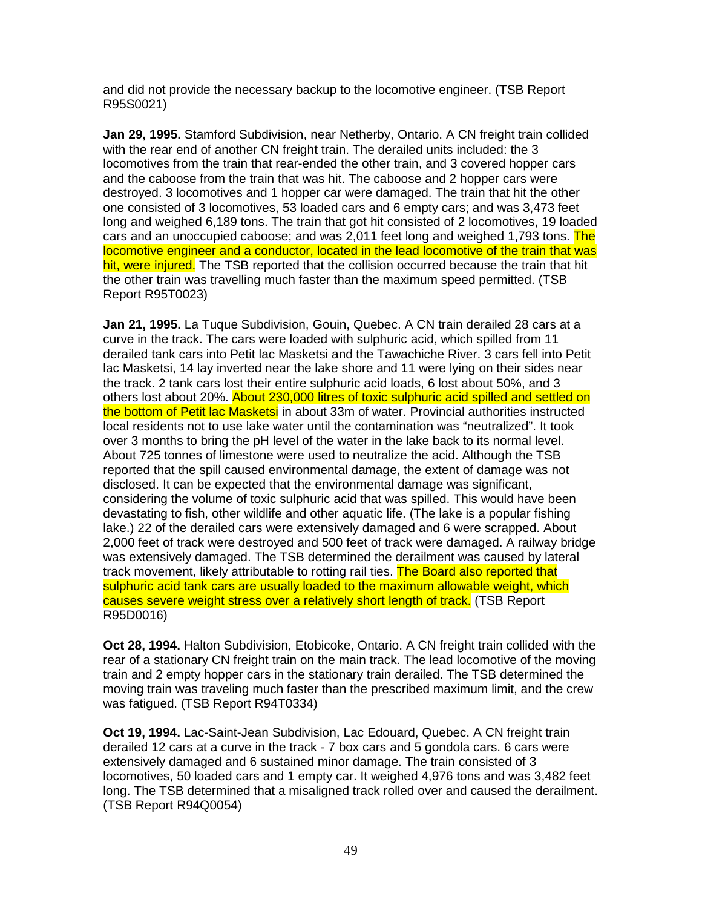and did not provide the necessary backup to the locomotive engineer. (TSB Report R95S0021)

**Jan 29, 1995.** Stamford Subdivision, near Netherby, Ontario. A CN freight train collided with the rear end of another CN freight train. The derailed units included: the 3 locomotives from the train that rear-ended the other train, and 3 covered hopper cars and the caboose from the train that was hit. The caboose and 2 hopper cars were destroyed. 3 locomotives and 1 hopper car were damaged. The train that hit the other one consisted of 3 locomotives, 53 loaded cars and 6 empty cars; and was 3,473 feet long and weighed 6,189 tons. The train that got hit consisted of 2 locomotives, 19 loaded cars and an unoccupied caboose; and was 2,011 feet long and weighed 1,793 tons. The locomotive engineer and a conductor, located in the lead locomotive of the train that was hit, were injured. The TSB reported that the collision occurred because the train that hit the other train was travelling much faster than the maximum speed permitted. (TSB Report R95T0023)

**Jan 21, 1995.** La Tuque Subdivision, Gouin, Quebec. A CN train derailed 28 cars at a curve in the track. The cars were loaded with sulphuric acid, which spilled from 11 derailed tank cars into Petit lac Masketsi and the Tawachiche River. 3 cars fell into Petit lac Masketsi, 14 lay inverted near the lake shore and 11 were lying on their sides near the track. 2 tank cars lost their entire sulphuric acid loads, 6 lost about 50%, and 3 others lost about 20%. About 230,000 litres of toxic sulphuric acid spilled and settled on the bottom of Petit lac Masketsi in about 33m of water. Provincial authorities instructed local residents not to use lake water until the contamination was "neutralized". It took over 3 months to bring the pH level of the water in the lake back to its normal level. About 725 tonnes of limestone were used to neutralize the acid. Although the TSB reported that the spill caused environmental damage, the extent of damage was not disclosed. It can be expected that the environmental damage was significant, considering the volume of toxic sulphuric acid that was spilled. This would have been devastating to fish, other wildlife and other aquatic life. (The lake is a popular fishing lake.) 22 of the derailed cars were extensively damaged and 6 were scrapped. About 2,000 feet of track were destroyed and 500 feet of track were damaged. A railway bridge was extensively damaged. The TSB determined the derailment was caused by lateral track movement, likely attributable to rotting rail ties. The Board also reported that sulphuric acid tank cars are usually loaded to the maximum allowable weight, which causes severe weight stress over a relatively short length of track. (TSB Report R95D0016)

**Oct 28, 1994.** Halton Subdivision, Etobicoke, Ontario. A CN freight train collided with the rear of a stationary CN freight train on the main track. The lead locomotive of the moving train and 2 empty hopper cars in the stationary train derailed. The TSB determined the moving train was traveling much faster than the prescribed maximum limit, and the crew was fatigued. (TSB Report R94T0334)

**Oct 19, 1994.** Lac-Saint-Jean Subdivision, Lac Edouard, Quebec. A CN freight train derailed 12 cars at a curve in the track - 7 box cars and 5 gondola cars. 6 cars were extensively damaged and 6 sustained minor damage. The train consisted of 3 locomotives, 50 loaded cars and 1 empty car. It weighed 4,976 tons and was 3,482 feet long. The TSB determined that a misaligned track rolled over and caused the derailment. (TSB Report R94Q0054)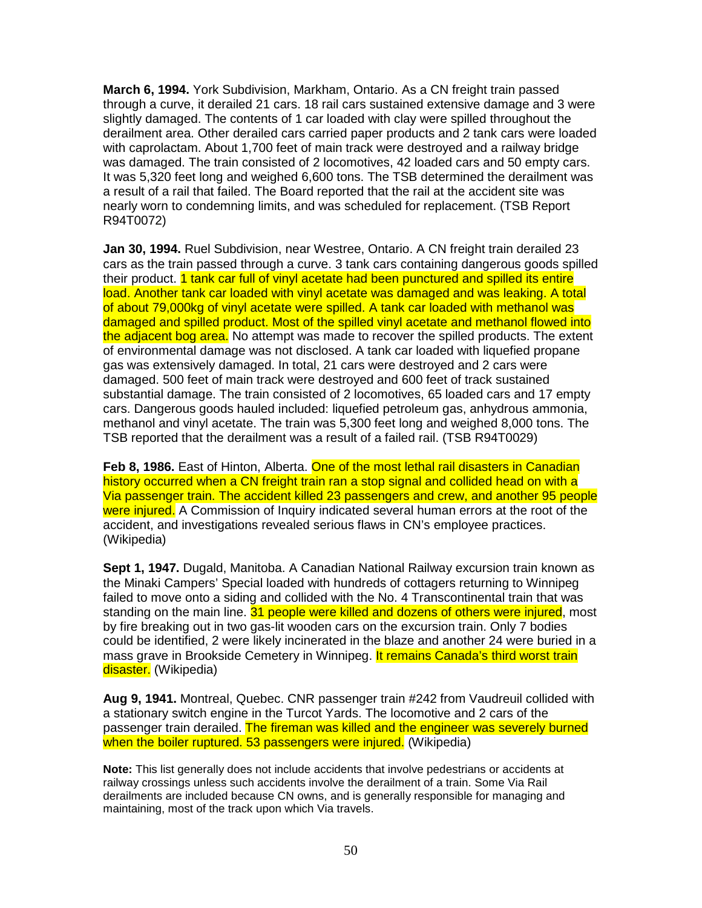**March 6, 1994.** York Subdivision, Markham, Ontario. As a CN freight train passed through a curve, it derailed 21 cars. 18 rail cars sustained extensive damage and 3 were slightly damaged. The contents of 1 car loaded with clay were spilled throughout the derailment area. Other derailed cars carried paper products and 2 tank cars were loaded with caprolactam. About 1,700 feet of main track were destroyed and a railway bridge was damaged. The train consisted of 2 locomotives, 42 loaded cars and 50 empty cars. It was 5,320 feet long and weighed 6,600 tons. The TSB determined the derailment was a result of a rail that failed. The Board reported that the rail at the accident site was nearly worn to condemning limits, and was scheduled for replacement. (TSB Report R94T0072)

**Jan 30, 1994.** Ruel Subdivision, near Westree, Ontario. A CN freight train derailed 23 cars as the train passed through a curve. 3 tank cars containing dangerous goods spilled their product. 1 tank car full of vinyl acetate had been punctured and spilled its entire load. Another tank car loaded with vinyl acetate was damaged and was leaking. A total of about 79,000kg of vinyl acetate were spilled. A tank car loaded with methanol was damaged and spilled product. Most of the spilled vinyl acetate and methanol flowed into the adjacent bog area. No attempt was made to recover the spilled products. The extent of environmental damage was not disclosed. A tank car loaded with liquefied propane gas was extensively damaged. In total, 21 cars were destroyed and 2 cars were damaged. 500 feet of main track were destroyed and 600 feet of track sustained substantial damage. The train consisted of 2 locomotives, 65 loaded cars and 17 empty cars. Dangerous goods hauled included: liquefied petroleum gas, anhydrous ammonia, methanol and vinyl acetate. The train was 5,300 feet long and weighed 8,000 tons. The TSB reported that the derailment was a result of a failed rail. (TSB R94T0029)

**Feb 8, 1986.** East of Hinton, Alberta. One of the most lethal rail disasters in Canadian history occurred when a CN freight train ran a stop signal and collided head on with a Via passenger train. The accident killed 23 passengers and crew, and another 95 people were injured. A Commission of Inquiry indicated several human errors at the root of the accident, and investigations revealed serious flaws in CN's employee practices. (Wikipedia)

**Sept 1, 1947.** Dugald, Manitoba. A Canadian National Railway excursion train known as the Minaki Campers' Special loaded with hundreds of cottagers returning to Winnipeg failed to move onto a siding and collided with the No. 4 Transcontinental train that was standing on the main line. 31 people were killed and dozens of others were injured, most by fire breaking out in two gas-lit wooden cars on the excursion train. Only 7 bodies could be identified, 2 were likely incinerated in the blaze and another 24 were buried in a mass grave in Brookside Cemetery in Winnipeg. It remains Canada's third worst train disaster. (Wikipedia)

**Aug 9, 1941.** Montreal, Quebec. CNR passenger train #242 from Vaudreuil collided with a stationary switch engine in the Turcot Yards. The locomotive and 2 cars of the passenger train derailed. The fireman was killed and the engineer was severely burned when the boiler ruptured. 53 passengers were injured. (Wikipedia)

**Note:** This list generally does not include accidents that involve pedestrians or accidents at railway crossings unless such accidents involve the derailment of a train. Some Via Rail derailments are included because CN owns, and is generally responsible for managing and maintaining, most of the track upon which Via travels.